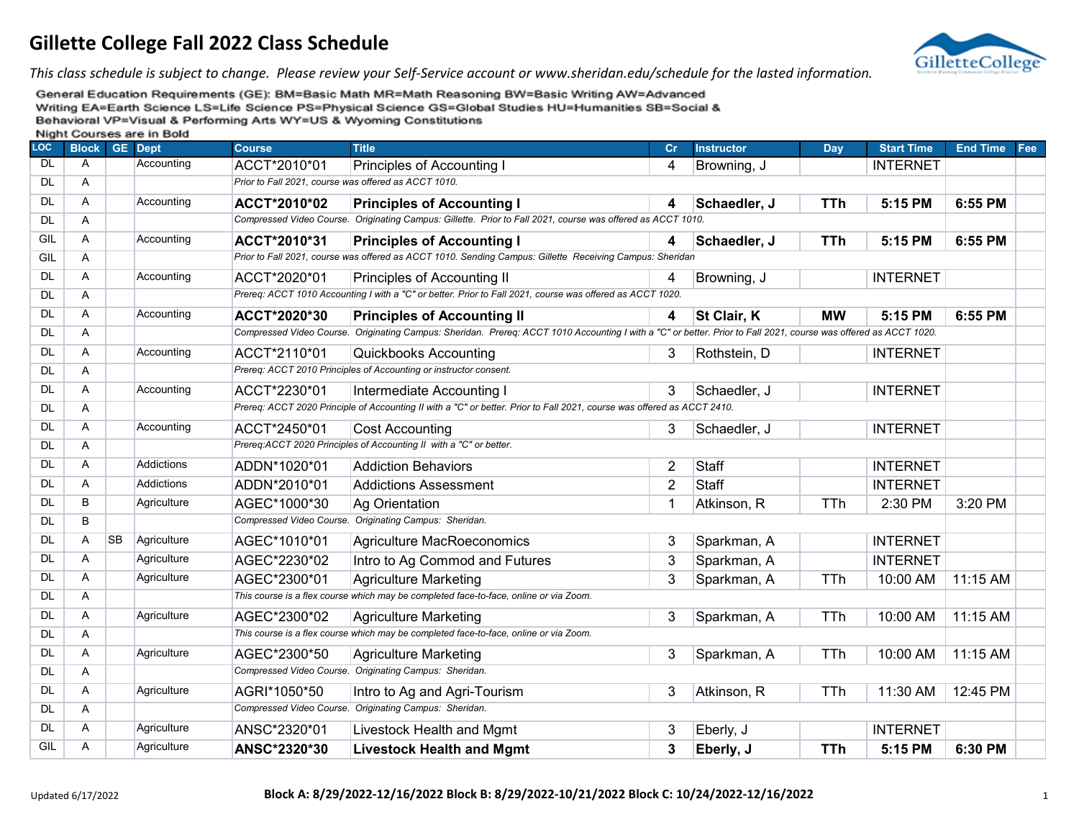

*This class schedule is subject to change. Please review your Self-Service account or www.sheridan.edu/schedule for the lasted information.*

| <b>LOC</b> | <b>Block GE Dept</b> |           |                   | <b>Course</b> | <b>Title</b>                                                                                                                                                     | Cr             | <b>Instructor</b> | Day        | <b>Start Time</b> | <b>End Time</b> | Fee |
|------------|----------------------|-----------|-------------------|---------------|------------------------------------------------------------------------------------------------------------------------------------------------------------------|----------------|-------------------|------------|-------------------|-----------------|-----|
| <b>DL</b>  | A                    |           | Accounting        | ACCT*2010*01  | Principles of Accounting I                                                                                                                                       | 4              | Browning, J       |            | <b>INTERNET</b>   |                 |     |
| DL         | Α                    |           |                   |               | Prior to Fall 2021, course was offered as ACCT 1010.                                                                                                             |                |                   |            |                   |                 |     |
| <b>DL</b>  | A                    |           | Accounting        | ACCT*2010*02  | <b>Principles of Accounting I</b>                                                                                                                                | 4              | Schaedler, J      | <b>TTh</b> | 5:15 PM           | 6:55 PM         |     |
| <b>DL</b>  | Α                    |           |                   |               | Compressed Video Course. Originating Campus: Gillette. Prior to Fall 2021, course was offered as ACCT 1010.                                                      |                |                   |            |                   |                 |     |
| GIL        | Α                    |           | Accounting        | ACCT*2010*31  | <b>Principles of Accounting I</b>                                                                                                                                | 4              | Schaedler, J      | <b>TTh</b> | 5:15 PM           | 6:55 PM         |     |
| GIL        | $\overline{A}$       |           |                   |               | Prior to Fall 2021, course was offered as ACCT 1010. Sending Campus: Gillette Receiving Campus: Sheridan                                                         |                |                   |            |                   |                 |     |
| <b>DL</b>  | A                    |           | Accounting        | ACCT*2020*01  | Principles of Accounting II                                                                                                                                      | 4              | Browning, J       |            | <b>INTERNET</b>   |                 |     |
| DL         | $\overline{A}$       |           |                   |               | Prereg: ACCT 1010 Accounting I with a "C" or better. Prior to Fall 2021, course was offered as ACCT 1020.                                                        |                |                   |            |                   |                 |     |
| DL         | $\mathsf{A}$         |           | Accounting        | ACCT*2020*30  | <b>Principles of Accounting II</b>                                                                                                                               | 4              | St Clair, K       | <b>MW</b>  | 5:15 PM           | 6:55 PM         |     |
| <b>DL</b>  | A                    |           |                   |               | Compressed Video Course. Originating Campus: Sheridan. Prereq: ACCT 1010 Accounting I with a "C" or better. Prior to Fall 2021, course was offered as ACCT 1020. |                |                   |            |                   |                 |     |
| DL         | Α                    |           | Accounting        | ACCT*2110*01  | <b>Quickbooks Accounting</b>                                                                                                                                     | 3              | Rothstein, D      |            | <b>INTERNET</b>   |                 |     |
| <b>DL</b>  | Α                    |           |                   |               | Prereq: ACCT 2010 Principles of Accounting or instructor consent.                                                                                                |                |                   |            |                   |                 |     |
| DL         | $\mathsf{A}$         |           | Accounting        | ACCT*2230*01  | Intermediate Accounting I                                                                                                                                        | 3              | Schaedler, J      |            | <b>INTERNET</b>   |                 |     |
| DL         | Α                    |           |                   |               | Prereq: ACCT 2020 Principle of Accounting II with a "C" or better. Prior to Fall 2021, course was offered as ACCT 2410.                                          |                |                   |            |                   |                 |     |
| DL         | A                    |           | Accounting        | ACCT*2450*01  | <b>Cost Accounting</b>                                                                                                                                           | 3              | Schaedler, J      |            | <b>INTERNET</b>   |                 |     |
| DL         | Α                    |           |                   |               | Prereq:ACCT 2020 Principles of Accounting II with a "C" or better.                                                                                               |                |                   |            |                   |                 |     |
| <b>DL</b>  | A                    |           | Addictions        | ADDN*1020*01  | <b>Addiction Behaviors</b>                                                                                                                                       | $\overline{2}$ | Staff             |            | <b>INTERNET</b>   |                 |     |
| DL         | A                    |           | <b>Addictions</b> | ADDN*2010*01  | <b>Addictions Assessment</b>                                                                                                                                     | $\overline{2}$ | <b>Staff</b>      |            | <b>INTERNET</b>   |                 |     |
| <b>DL</b>  | В                    |           | Agriculture       | AGEC*1000*30  | Ag Orientation                                                                                                                                                   | 1              | Atkinson, R       | TTh        | 2:30 PM           | 3:20 PM         |     |
| <b>DL</b>  | B                    |           |                   |               | Compressed Video Course. Originating Campus: Sheridan.                                                                                                           |                |                   |            |                   |                 |     |
| DL         | Α                    | <b>SB</b> | Agriculture       | AGEC*1010*01  | Agriculture MacRoeconomics                                                                                                                                       | 3              | Sparkman, A       |            | <b>INTERNET</b>   |                 |     |
| <b>DL</b>  | A                    |           | Agriculture       | AGEC*2230*02  | Intro to Ag Commod and Futures                                                                                                                                   | 3              | Sparkman, A       |            | <b>INTERNET</b>   |                 |     |
| DL         | Α                    |           | Agriculture       | AGEC*2300*01  | <b>Agriculture Marketing</b>                                                                                                                                     | 3              | Sparkman, A       | <b>TTh</b> | 10:00 AM          | 11:15 AM        |     |
| <b>DL</b>  | Α                    |           |                   |               | This course is a flex course which may be completed face-to-face, online or via Zoom.                                                                            |                |                   |            |                   |                 |     |
| DL         | A                    |           | Agriculture       | AGEC*2300*02  | <b>Agriculture Marketing</b>                                                                                                                                     | 3              | Sparkman, A       | <b>TTh</b> | 10:00 AM          | 11:15 AM        |     |
| DL         | A                    |           |                   |               | This course is a flex course which may be completed face-to-face, online or via Zoom.                                                                            |                |                   |            |                   |                 |     |
| <b>DL</b>  | Α                    |           | Agriculture       | AGEC*2300*50  | <b>Agriculture Marketing</b>                                                                                                                                     | 3              | Sparkman, A       | <b>TTh</b> | 10:00 AM          | 11:15 AM        |     |
| DL         | $\mathsf{A}$         |           |                   |               | Compressed Video Course. Originating Campus: Sheridan.                                                                                                           |                |                   |            |                   |                 |     |
| <b>DL</b>  | A                    |           | Agriculture       | AGRI*1050*50  | Intro to Ag and Agri-Tourism                                                                                                                                     | 3              | Atkinson, R       | <b>TTh</b> | 11:30 AM          | 12:45 PM        |     |
| DL         | Α                    |           |                   |               | Compressed Video Course. Originating Campus: Sheridan.                                                                                                           |                |                   |            |                   |                 |     |
| DL         | Α                    |           | Agriculture       | ANSC*2320*01  | Livestock Health and Mgmt                                                                                                                                        | 3              | Eberly, J         |            | <b>INTERNET</b>   |                 |     |
| GIL        | A                    |           | Agriculture       | ANSC*2320*30  | <b>Livestock Health and Mgmt</b>                                                                                                                                 | 3              | Eberly, J         | <b>TTh</b> | 5:15 PM           | 6:30 PM         |     |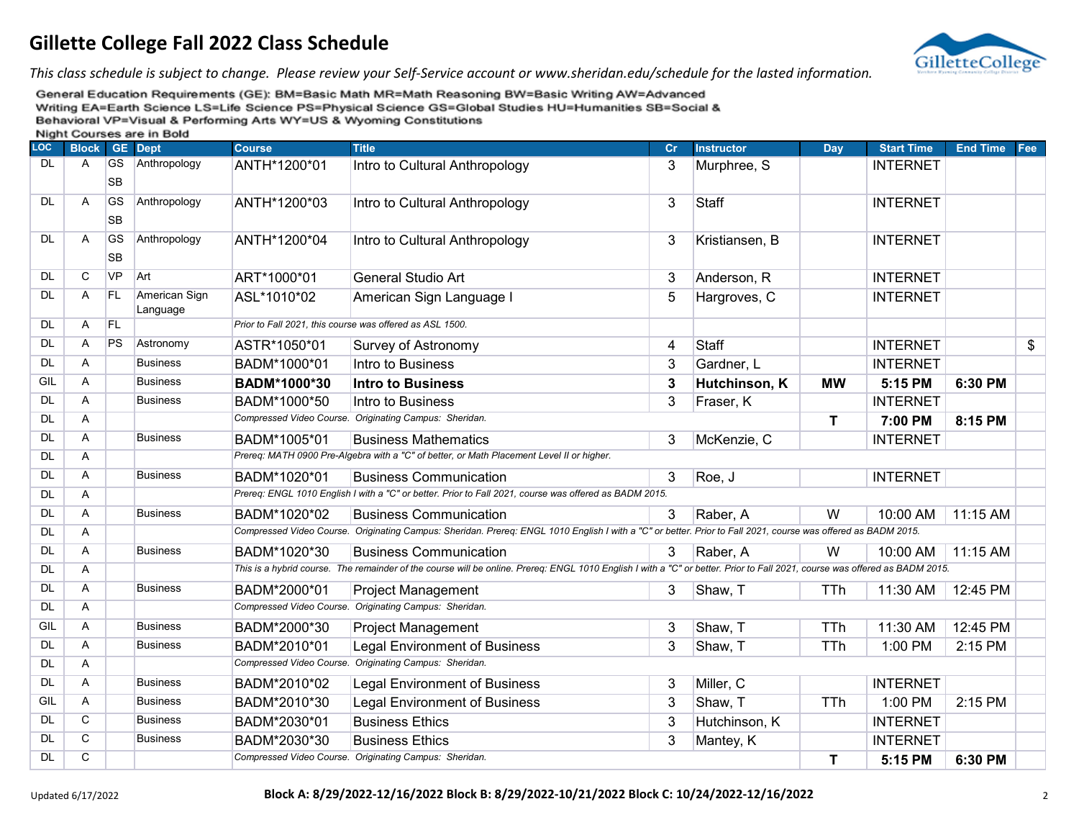

*This class schedule is subject to change. Please review your Self-Service account or www.sheridan.edu/schedule for the lasted information.*

| LOC       | <b>Block</b>   |                        | <b>THISHIII</b> OCCIDED ON CHILDONG<br><b>GE</b> Dept | <b>Course</b> | <b>Title</b>                                                                                                                                                                | cr | <b>Instructor</b> | Day        | <b>Start Time</b> | <b>End Time</b> | Fee |
|-----------|----------------|------------------------|-------------------------------------------------------|---------------|-----------------------------------------------------------------------------------------------------------------------------------------------------------------------------|----|-------------------|------------|-------------------|-----------------|-----|
| DL.       | A              | <b>GS</b><br><b>SB</b> | Anthropology                                          | ANTH*1200*01  | Intro to Cultural Anthropology                                                                                                                                              | 3  | Murphree, S       |            | <b>INTERNET</b>   |                 |     |
| <b>DL</b> | $\overline{A}$ | <b>GS</b><br><b>SB</b> | Anthropology                                          | ANTH*1200*03  | Intro to Cultural Anthropology                                                                                                                                              | 3  | Staff             |            | <b>INTERNET</b>   |                 |     |
| DL.       | A              | <b>GS</b><br><b>SB</b> | Anthropology                                          | ANTH*1200*04  | Intro to Cultural Anthropology                                                                                                                                              | 3  | Kristiansen, B    |            | <b>INTERNET</b>   |                 |     |
| <b>DL</b> | $\mathsf{C}$   | <b>VP</b>              | Art                                                   | ART*1000*01   | <b>General Studio Art</b>                                                                                                                                                   | 3  | Anderson, R       |            | <b>INTERNET</b>   |                 |     |
| <b>DL</b> | $\overline{A}$ | FL                     | American Sign<br>Language                             | ASL*1010*02   | American Sign Language I                                                                                                                                                    | 5  | Hargroves, C      |            | <b>INTERNET</b>   |                 |     |
| DL        | A              | FL                     |                                                       |               | Prior to Fall 2021, this course was offered as ASL 1500.                                                                                                                    |    |                   |            |                   |                 |     |
| DL        | A              | PS                     | Astronomy                                             | ASTR*1050*01  | Survey of Astronomy                                                                                                                                                         | 4  | Staff             |            | <b>INTERNET</b>   |                 | \$  |
| <b>DL</b> | A              |                        | <b>Business</b>                                       | BADM*1000*01  | Intro to Business                                                                                                                                                           | 3  | Gardner, L        |            | <b>INTERNET</b>   |                 |     |
| GIL       | $\overline{A}$ |                        | <b>Business</b>                                       | BADM*1000*30  | <b>Intro to Business</b>                                                                                                                                                    | 3  | Hutchinson, K     | <b>MW</b>  | 5:15 PM           | 6:30 PM         |     |
| <b>DL</b> | $\overline{A}$ |                        | <b>Business</b>                                       | BADM*1000*50  | Intro to Business                                                                                                                                                           | 3  | Fraser, K         |            | <b>INTERNET</b>   |                 |     |
| <b>DL</b> | A              |                        |                                                       |               | Compressed Video Course. Originating Campus: Sheridan.                                                                                                                      |    |                   | T          | 7:00 PM           | 8:15 PM         |     |
| <b>DL</b> | A              |                        | <b>Business</b>                                       | BADM*1005*01  | <b>Business Mathematics</b>                                                                                                                                                 | 3  | McKenzie, C       |            | <b>INTERNET</b>   |                 |     |
| <b>DL</b> | A              |                        |                                                       |               | Prereq: MATH 0900 Pre-Algebra with a "C" of better, or Math Placement Level II or higher.                                                                                   |    |                   |            |                   |                 |     |
| <b>DL</b> | $\overline{A}$ |                        | <b>Business</b>                                       | BADM*1020*01  | <b>Business Communication</b>                                                                                                                                               | 3  | Roe, J            |            | <b>INTERNET</b>   |                 |     |
| DL        | A              |                        |                                                       |               | Prereq: ENGL 1010 English I with a "C" or better. Prior to Fall 2021, course was offered as BADM 2015.                                                                      |    |                   |            |                   |                 |     |
| <b>DL</b> | A              |                        | <b>Business</b>                                       | BADM*1020*02  | <b>Business Communication</b>                                                                                                                                               | 3  | Raber, A          | W          | 10:00 AM          | 11:15 AM        |     |
| <b>DL</b> | A              |                        |                                                       |               | Compressed Video Course. Originating Campus: Sheridan. Prereq: ENGL 1010 English I with a "C" or better. Prior to Fall 2021, course was offered as BADM 2015.               |    |                   |            |                   |                 |     |
| <b>DL</b> | $\overline{A}$ |                        | <b>Business</b>                                       | BADM*1020*30  | <b>Business Communication</b>                                                                                                                                               | 3  | Raber, A          | W          | 10:00 AM          | 11:15 AM        |     |
| DL        | Α              |                        |                                                       |               | This is a hybrid course. The remainder of the course will be online. Prereq: ENGL 1010 English I with a "C" or better. Prior to Fall 2021, course was offered as BADM 2015. |    |                   |            |                   |                 |     |
| <b>DL</b> | A              |                        | <b>Business</b>                                       | BADM*2000*01  | <b>Project Management</b>                                                                                                                                                   | 3  | Shaw, T           | TTh        | 11:30 AM          | 12:45 PM        |     |
| <b>DL</b> | A              |                        |                                                       |               | Compressed Video Course. Originating Campus: Sheridan.                                                                                                                      |    |                   |            |                   |                 |     |
| GIL       | A              |                        | <b>Business</b>                                       | BADM*2000*30  | <b>Project Management</b>                                                                                                                                                   | 3  | Shaw, T           | TTh        | 11:30 AM          | 12:45 PM        |     |
| <b>DL</b> | A              |                        | <b>Business</b>                                       | BADM*2010*01  | <b>Legal Environment of Business</b>                                                                                                                                        | 3  | Shaw, T           | TTh        | 1:00 PM           | 2:15 PM         |     |
| <b>DL</b> | A              |                        |                                                       |               | Compressed Video Course. Originating Campus: Sheridan.                                                                                                                      |    |                   |            |                   |                 |     |
| <b>DL</b> | A              |                        | <b>Business</b>                                       | BADM*2010*02  | <b>Legal Environment of Business</b>                                                                                                                                        | 3  | Miller, C         |            | <b>INTERNET</b>   |                 |     |
| GIL       | A              |                        | <b>Business</b>                                       | BADM*2010*30  | <b>Legal Environment of Business</b>                                                                                                                                        | 3  | Shaw, T           | <b>TTh</b> | 1:00 PM           | 2:15 PM         |     |
| <b>DL</b> | C              |                        | <b>Business</b>                                       | BADM*2030*01  | <b>Business Ethics</b>                                                                                                                                                      | 3  | Hutchinson, K     |            | <b>INTERNET</b>   |                 |     |
| DL        | C              |                        | <b>Business</b>                                       | BADM*2030*30  | <b>Business Ethics</b>                                                                                                                                                      | 3  | Mantey, K         |            | <b>INTERNET</b>   |                 |     |
| <b>DL</b> | $\mathsf C$    |                        |                                                       |               | Compressed Video Course. Originating Campus: Sheridan.                                                                                                                      |    |                   | T          | 5:15 PM           | 6:30 PM         |     |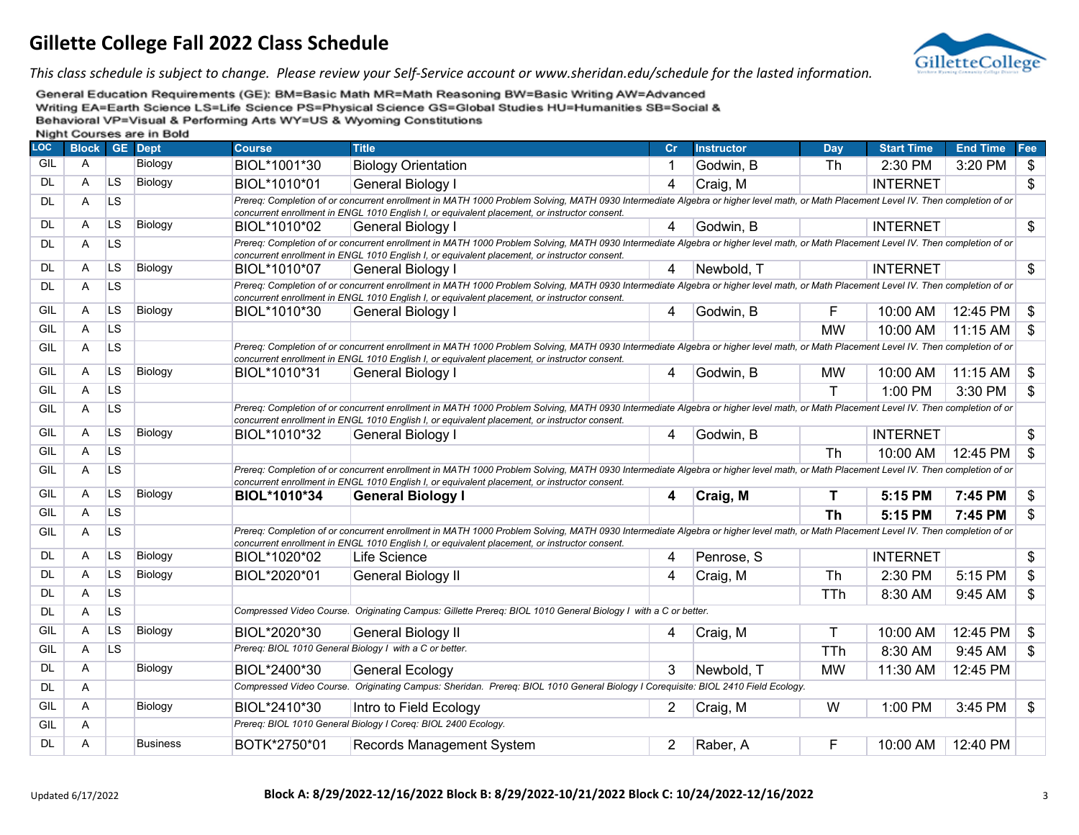

*This class schedule is subject to change. Please review your Self-Service account or www.sheridan.edu/schedule for the lasted information.*

| <b>LOC</b> | <b>Block</b> |           | <b>GE</b> Dept  | <b>Course</b> | <b>Title</b>                                                                                                                                                                                                                                                                         | Cr | <b>Instructor</b> | Day        | <b>Start Time</b> | <b>End Time</b> | Fee             |
|------------|--------------|-----------|-----------------|---------------|--------------------------------------------------------------------------------------------------------------------------------------------------------------------------------------------------------------------------------------------------------------------------------------|----|-------------------|------------|-------------------|-----------------|-----------------|
| GIL        | A            |           | Biology         | BIOL*1001*30  | <b>Biology Orientation</b>                                                                                                                                                                                                                                                           |    | Godwin, B         | Th         | 2:30 PM           | 3:20 PM         | \$              |
| <b>DL</b>  | A            | <b>LS</b> | Biology         | BIOL*1010*01  | <b>General Biology I</b>                                                                                                                                                                                                                                                             | 4  | Craig, M          |            | <b>INTERNET</b>   |                 | $\overline{\$}$ |
| <b>DL</b>  | A            | <b>LS</b> |                 |               | Prereq: Completion of or concurrent enrollment in MATH 1000 Problem Solving, MATH 0930 Intermediate Algebra or higher level math, or Math Placement Level IV. Then completion of or<br>concurrent enrollment in ENGL 1010 English I, or equivalent placement, or instructor consent. |    |                   |            |                   |                 |                 |
| <b>DL</b>  | A            | <b>LS</b> | Biology         | BIOL*1010*02  | General Biology I                                                                                                                                                                                                                                                                    | 4  | Godwin, B         |            | <b>INTERNET</b>   |                 | \$              |
| DL         | A            | <b>LS</b> |                 |               | Prereq: Completion of or concurrent enrollment in MATH 1000 Problem Solving, MATH 0930 Intermediate Algebra or higher level math, or Math Placement Level IV. Then completion of or<br>concurrent enrollment in ENGL 1010 English I, or equivalent placement, or instructor consent. |    |                   |            |                   |                 |                 |
| <b>DL</b>  | A            | <b>LS</b> | Biology         | BIOL*1010*07  | General Biology I                                                                                                                                                                                                                                                                    | 4  | Newbold, T        |            | <b>INTERNET</b>   |                 | $\mathbb{S}$    |
| <b>DL</b>  | A            | <b>LS</b> |                 |               | Prereq: Completion of or concurrent enrollment in MATH 1000 Problem Solving, MATH 0930 Intermediate Algebra or higher level math, or Math Placement Level IV. Then completion of or<br>concurrent enrollment in ENGL 1010 English I, or equivalent placement, or instructor consent. |    |                   |            |                   |                 |                 |
| GIL        | A            | LS        | Biology         | BIOL*1010*30  | General Biology I                                                                                                                                                                                                                                                                    | 4  | Godwin, B         | F          | 10:00 AM          | 12:45 PM        | $\mathfrak{S}$  |
| GIL        | A            | <b>LS</b> |                 |               |                                                                                                                                                                                                                                                                                      |    |                   | <b>MW</b>  | 10:00 AM          | 11:15 AM        | \$              |
| GIL        | A            | <b>LS</b> |                 |               | Prereq: Completion of or concurrent enrollment in MATH 1000 Problem Solving, MATH 0930 Intermediate Algebra or higher level math, or Math Placement Level IV. Then completion of or<br>concurrent enrollment in ENGL 1010 English I, or equivalent placement, or instructor consent. |    |                   |            |                   |                 |                 |
| GIL        | A            | <b>LS</b> | Biology         | BIOL*1010*31  | General Biology I                                                                                                                                                                                                                                                                    | 4  | Godwin, B         | <b>MW</b>  | 10:00 AM          | 11:15 AM        | \$              |
| GIL        | A            | LS        |                 |               |                                                                                                                                                                                                                                                                                      |    |                   | T.         | 1:00 PM           | 3:30 PM         | \$              |
| GIL        | A            | <b>LS</b> |                 |               | Prereg: Completion of or concurrent enrollment in MATH 1000 Problem Solving, MATH 0930 Intermediate Algebra or higher level math, or Math Placement Level IV. Then completion of or<br>concurrent enrollment in ENGL 1010 English I, or equivalent placement, or instructor consent. |    |                   |            |                   |                 |                 |
| GIL        | A            | <b>LS</b> | Biology         | BIOL*1010*32  | General Biology I                                                                                                                                                                                                                                                                    | 4  | Godwin, B         |            | <b>INTERNET</b>   |                 | \$              |
| GIL        | A            | <b>LS</b> |                 |               |                                                                                                                                                                                                                                                                                      |    |                   | Th         | 10:00 AM          | 12:45 PM        | \$              |
| GIL        | A            | <b>LS</b> |                 |               | Prereq: Completion of or concurrent enrollment in MATH 1000 Problem Solving, MATH 0930 Intermediate Algebra or higher level math, or Math Placement Level IV. Then completion of or<br>concurrent enrollment in ENGL 1010 English I, or equivalent placement, or instructor consent. |    |                   |            |                   |                 |                 |
| GIL        | A            | <b>LS</b> | Biology         | BIOL*1010*34  | <b>General Biology I</b>                                                                                                                                                                                                                                                             | 4  | Craig, M          | т          | 5:15 PM           | 7:45 PM         | \$              |
| GIL        | A            | <b>LS</b> |                 |               |                                                                                                                                                                                                                                                                                      |    |                   | <b>Th</b>  | 5:15 PM           | 7:45 PM         | \$              |
| GIL        | A            | <b>LS</b> |                 |               | Prereq: Completion of or concurrent enrollment in MATH 1000 Problem Solving, MATH 0930 Intermediate Algebra or higher level math, or Math Placement Level IV. Then completion of or<br>concurrent enrollment in ENGL 1010 English I, or equivalent placement, or instructor consent. |    |                   |            |                   |                 |                 |
| <b>DL</b>  | A            | <b>LS</b> | Biology         | BIOL*1020*02  | Life Science                                                                                                                                                                                                                                                                         | 4  | Penrose, S        |            | <b>INTERNET</b>   |                 | \$              |
| <b>DL</b>  | A            | <b>LS</b> | Biology         | BIOL*2020*01  | General Biology II                                                                                                                                                                                                                                                                   | 4  | Craig, M          | <b>Th</b>  | 2:30 PM           | 5:15 PM         | \$              |
| DL         | A            | <b>LS</b> |                 |               |                                                                                                                                                                                                                                                                                      |    |                   | <b>TTh</b> | 8:30 AM           | 9:45 AM         | \$              |
| <b>DL</b>  | A            | <b>LS</b> |                 |               | Compressed Video Course. Originating Campus: Gillette Prereq: BIOL 1010 General Biology I with a C or better.                                                                                                                                                                        |    |                   |            |                   |                 |                 |
| GIL        | Α            | <b>LS</b> | Biology         | BIOL*2020*30  | <b>General Biology II</b>                                                                                                                                                                                                                                                            | 4  | Craig, M          | T          | 10:00 AM          | 12:45 PM        | \$              |
| GIL        | A            | <b>LS</b> |                 |               | Prereq: BIOL 1010 General Biology I with a C or better.                                                                                                                                                                                                                              |    |                   | TTh        | 8:30 AM           | 9:45 AM         | \$              |
| <b>DL</b>  | A            |           | Biology         | BIOL*2400*30  | <b>General Ecology</b>                                                                                                                                                                                                                                                               | 3  | Newbold, T        | <b>MW</b>  | 11:30 AM          | 12:45 PM        |                 |
| <b>DL</b>  | A            |           |                 |               | Compressed Video Course. Originating Campus: Sheridan. Prereq: BIOL 1010 General Biology I Corequisite: BIOL 2410 Field Ecology.                                                                                                                                                     |    |                   |            |                   |                 |                 |
| GIL        | A            |           | Biology         | BIOL*2410*30  | Intro to Field Ecology                                                                                                                                                                                                                                                               | 2  | Craig, M          | W          | 1:00 PM           | 3:45 PM         | \$              |
| GIL        | A            |           |                 |               | Prereq: BIOL 1010 General Biology I Coreq: BIOL 2400 Ecology.                                                                                                                                                                                                                        |    |                   |            |                   |                 |                 |
| <b>DL</b>  | A            |           | <b>Business</b> | BOTK*2750*01  | Records Management System                                                                                                                                                                                                                                                            | 2  | Raber, A          | F          | 10:00 AM          | 12:40 PM        |                 |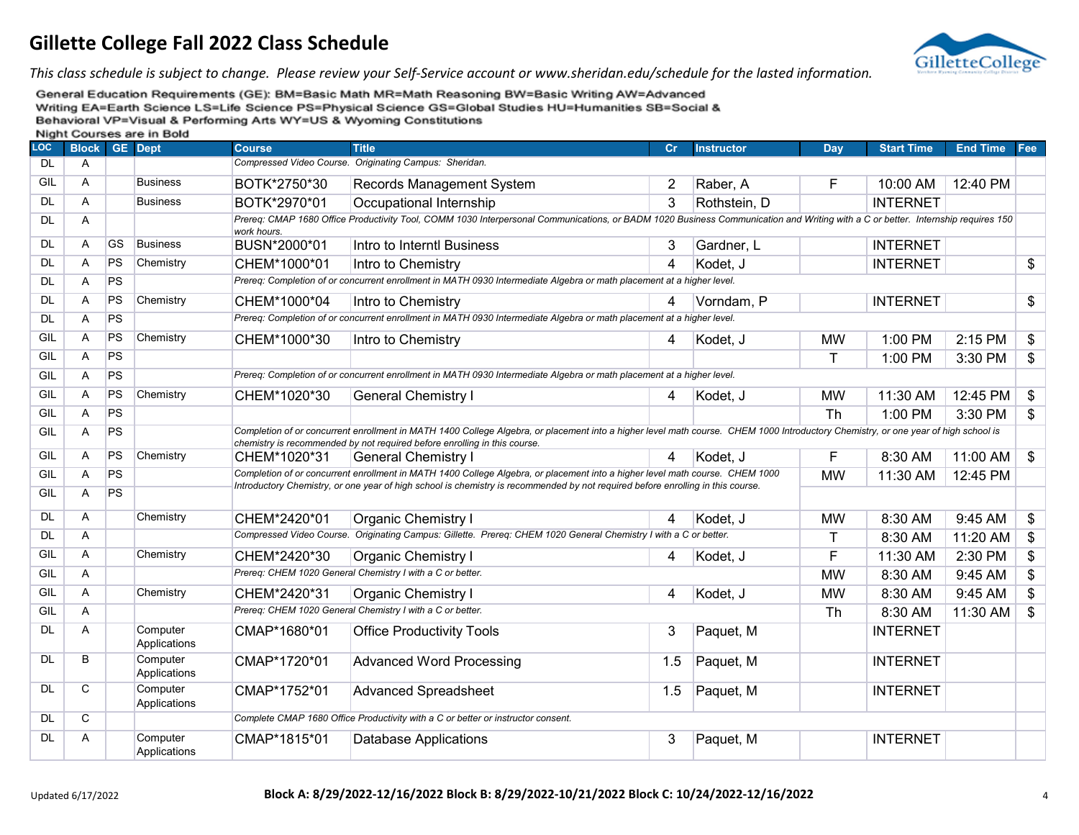

*This class schedule is subject to change. Please review your Self-Service account or www.sheridan.edu/schedule for the lasted information.*

| LOC       | <b>Block</b> |           | <b>GE</b> Dept           | <b>Course</b> | <b>Title</b>                                                                                                                                                                                                                                                    | Cr  | <b>Instructor</b> | Day       | <b>Start Time</b> | <b>End Time</b> | Fee                       |
|-----------|--------------|-----------|--------------------------|---------------|-----------------------------------------------------------------------------------------------------------------------------------------------------------------------------------------------------------------------------------------------------------------|-----|-------------------|-----------|-------------------|-----------------|---------------------------|
| <b>DL</b> | A            |           |                          |               | Compressed Video Course. Originating Campus: Sheridan.                                                                                                                                                                                                          |     |                   |           |                   |                 |                           |
| GIL       | A            |           | <b>Business</b>          | BOTK*2750*30  | <b>Records Management System</b>                                                                                                                                                                                                                                | 2   | Raber, A          | F         | 10:00 AM          | 12:40 PM        |                           |
| DL        | A            |           | <b>Business</b>          | BOTK*2970*01  | Occupational Internship                                                                                                                                                                                                                                         | 3   | Rothstein, D      |           | <b>INTERNET</b>   |                 |                           |
| DL        | A            |           |                          | work hours.   | Prereq: CMAP 1680 Office Productivity Tool, COMM 1030 Interpersonal Communications, or BADM 1020 Business Communication and Writing with a C or better. Internship requires 150                                                                                 |     |                   |           |                   |                 |                           |
| <b>DL</b> | Α            | <b>GS</b> | <b>Business</b>          | BUSN*2000*01  | Intro to Interntl Business                                                                                                                                                                                                                                      | 3   | Gardner, L        |           | <b>INTERNET</b>   |                 |                           |
| DL        | A            | <b>PS</b> | Chemistry                | CHEM*1000*01  | Intro to Chemistry                                                                                                                                                                                                                                              | 4   | Kodet, J          |           | <b>INTERNET</b>   |                 | \$                        |
| DL        | A            | PS        |                          |               | Prereq: Completion of or concurrent enrollment in MATH 0930 Intermediate Algebra or math placement at a higher level.                                                                                                                                           |     |                   |           |                   |                 |                           |
| DL        | Α            | PS        | Chemistry                | CHEM*1000*04  | Intro to Chemistry                                                                                                                                                                                                                                              | 4   | Vorndam, P        |           | <b>INTERNET</b>   |                 | \$                        |
| DL        | Α            | <b>PS</b> |                          |               | Prereq: Completion of or concurrent enrollment in MATH 0930 Intermediate Algebra or math placement at a higher level.                                                                                                                                           |     |                   |           |                   |                 |                           |
| GIL       | A            | <b>PS</b> | Chemistry                | CHEM*1000*30  | Intro to Chemistry                                                                                                                                                                                                                                              | 4   | Kodet, J          | <b>MW</b> | 1:00 PM           | 2:15 PM         | \$                        |
| GIL       | A            | <b>PS</b> |                          |               |                                                                                                                                                                                                                                                                 |     |                   | т         | 1:00 PM           | 3:30 PM         | \$                        |
| GIL       | A            | <b>PS</b> |                          |               | Prereq: Completion of or concurrent enrollment in MATH 0930 Intermediate Algebra or math placement at a higher level.                                                                                                                                           |     |                   |           |                   |                 |                           |
| GIL       | Α            | PS        | Chemistry                | CHEM*1020*30  | <b>General Chemistry I</b>                                                                                                                                                                                                                                      | 4   | Kodet, J          | <b>MW</b> | 11:30 AM          | 12:45 PM        | \$                        |
| GIL       | A            | <b>PS</b> |                          |               |                                                                                                                                                                                                                                                                 |     |                   | <b>Th</b> | 1:00 PM           | 3:30 PM         | \$                        |
| GIL       | Α            | PS        |                          |               | Completion of or concurrent enrollment in MATH 1400 College Algebra, or placement into a higher level math course. CHEM 1000 Introductory Chemistry, or one year of high school is<br>chemistry is recommended by not required before enrolling in this course. |     |                   |           |                   |                 |                           |
| GIL       | A            | <b>PS</b> | Chemistry                | CHEM*1020*31  | <b>General Chemistry I</b>                                                                                                                                                                                                                                      | 4   | Kodet, J          | F         | 8:30 AM           | 11:00 AM        | $\boldsymbol{\mathsf{s}}$ |
| GIL       | Α            | PS        |                          |               | Completion of or concurrent enrollment in MATH 1400 College Algebra, or placement into a higher level math course. CHEM 1000                                                                                                                                    |     |                   | <b>MW</b> | 11:30 AM          | 12:45 PM        |                           |
| GIL       | A            | PS        |                          |               | Introductory Chemistry, or one year of high school is chemistry is recommended by not required before enrolling in this course.                                                                                                                                 |     |                   |           |                   |                 |                           |
| DL        | $\mathsf{A}$ |           | Chemistry                | CHEM*2420*01  | <b>Organic Chemistry I</b>                                                                                                                                                                                                                                      | 4   | Kodet, J          | МW        | 8:30 AM           | 9:45 AM         | \$                        |
| DL        | Α            |           |                          |               | Compressed Video Course. Originating Campus: Gillette. Prereq: CHEM 1020 General Chemistry I with a C or better.                                                                                                                                                |     |                   | т         | 8:30 AM           | 11:20 AM        | \$                        |
| GIL       | Α            |           | Chemistry                | CHEM*2420*30  | <b>Organic Chemistry I</b>                                                                                                                                                                                                                                      | 4   | Kodet, J          | F         | 11:30 AM          | 2:30 PM         | $\overline{\$}$           |
| GIL       | A            |           |                          |               | Prereq: CHEM 1020 General Chemistry I with a C or better.                                                                                                                                                                                                       |     |                   | <b>MW</b> | 8:30 AM           | 9:45 AM         | \$                        |
| GIL       | $\mathsf{A}$ |           | Chemistry                | CHEM*2420*31  | <b>Organic Chemistry I</b>                                                                                                                                                                                                                                      | 4   | Kodet, J          | <b>MW</b> | 8:30 AM           | 9:45 AM         | \$                        |
| GIL       | Α            |           |                          |               | Prereq: CHEM 1020 General Chemistry I with a C or better.                                                                                                                                                                                                       |     |                   | <b>Th</b> | 8:30 AM           | 11:30 AM        | \$                        |
| DL        | Α            |           | Computer<br>Applications | CMAP*1680*01  | <b>Office Productivity Tools</b>                                                                                                                                                                                                                                | 3   | Paquet, M         |           | <b>INTERNET</b>   |                 |                           |
| <b>DL</b> | B            |           | Computer<br>Applications | CMAP*1720*01  | <b>Advanced Word Processing</b>                                                                                                                                                                                                                                 | 1.5 | Paquet, M         |           | <b>INTERNET</b>   |                 |                           |
| <b>DL</b> | C            |           | Computer<br>Applications | CMAP*1752*01  | <b>Advanced Spreadsheet</b>                                                                                                                                                                                                                                     | 1.5 | Paquet, M         |           | <b>INTERNET</b>   |                 |                           |
| DL        | С            |           |                          |               | Complete CMAP 1680 Office Productivity with a C or better or instructor consent.                                                                                                                                                                                |     |                   |           |                   |                 |                           |
| DL        | Α            |           | Computer<br>Applications | CMAP*1815*01  | Database Applications                                                                                                                                                                                                                                           | 3   | Paquet, M         |           | <b>INTERNET</b>   |                 |                           |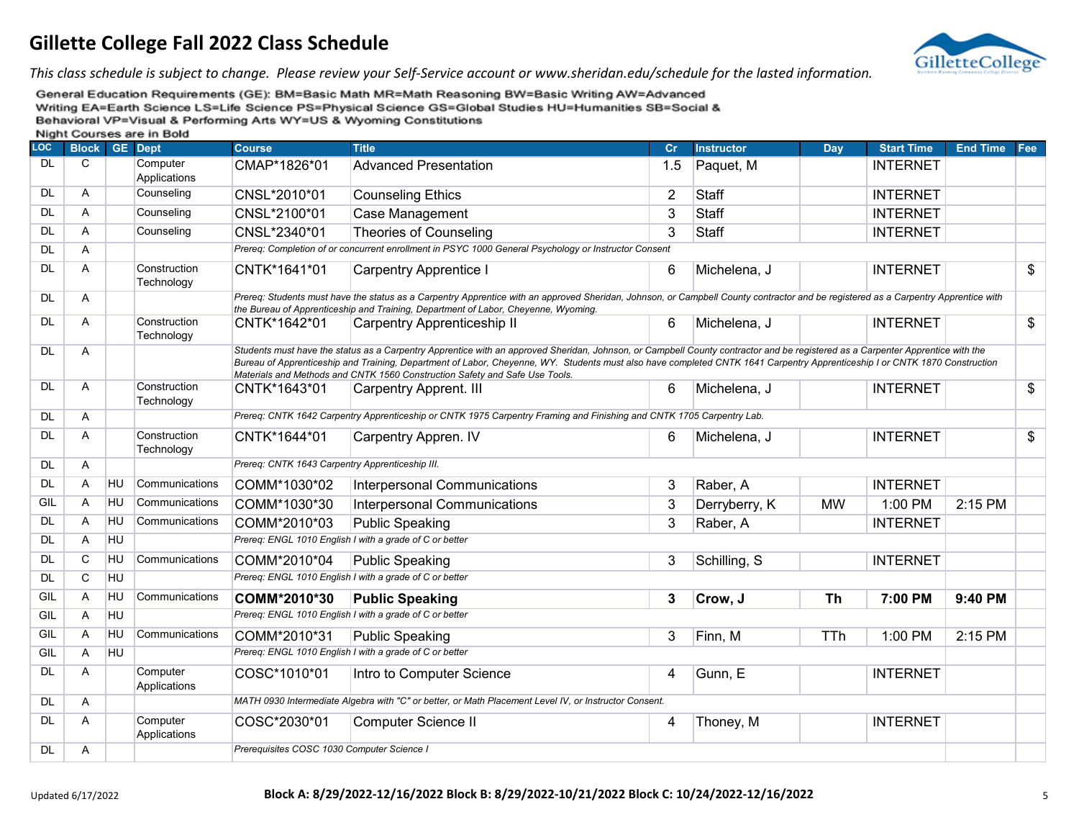

*This class schedule is subject to change. Please review your Self-Service account or www.sheridan.edu/schedule for the lasted information.*

| <b>LOC</b> | <b>Block</b> |           | <b>INIGHT OCCIDES ALC: ILI DOIU</b><br><b>GE</b> Dept | <b>Course</b>                                   | <b>Title</b>                                                                                                                                                                                                                                                                                                                                                                                                                                | Cr             | <b>Instructor</b> | Day        | <b>Start Time</b> | <b>End Time</b> | Fee           |
|------------|--------------|-----------|-------------------------------------------------------|-------------------------------------------------|---------------------------------------------------------------------------------------------------------------------------------------------------------------------------------------------------------------------------------------------------------------------------------------------------------------------------------------------------------------------------------------------------------------------------------------------|----------------|-------------------|------------|-------------------|-----------------|---------------|
| <b>DL</b>  | C            |           | Computer<br>Applications                              | CMAP*1826*01                                    | <b>Advanced Presentation</b>                                                                                                                                                                                                                                                                                                                                                                                                                | 1.5            | Paquet, M         |            | <b>INTERNET</b>   |                 |               |
| <b>DL</b>  | Α            |           | Counseling                                            | CNSL*2010*01                                    | <b>Counseling Ethics</b>                                                                                                                                                                                                                                                                                                                                                                                                                    | $\overline{2}$ | <b>Staff</b>      |            | <b>INTERNET</b>   |                 |               |
| <b>DL</b>  | A            |           | Counseling                                            | CNSL*2100*01                                    | Case Management                                                                                                                                                                                                                                                                                                                                                                                                                             | 3              | <b>Staff</b>      |            | <b>INTERNET</b>   |                 |               |
| <b>DL</b>  | A            |           | Counseling                                            | CNSL*2340*01                                    | <b>Theories of Counseling</b>                                                                                                                                                                                                                                                                                                                                                                                                               | 3              | <b>Staff</b>      |            | <b>INTERNET</b>   |                 |               |
| <b>DL</b>  | Α            |           |                                                       |                                                 | Prereq: Completion of or concurrent enrollment in PSYC 1000 General Psychology or Instructor Consent                                                                                                                                                                                                                                                                                                                                        |                |                   |            |                   |                 |               |
| <b>DL</b>  | A            |           | Construction<br>Technology                            | CNTK*1641*01                                    | <b>Carpentry Apprentice I</b>                                                                                                                                                                                                                                                                                                                                                                                                               | 6              | Michelena, J      |            | <b>INTERNET</b>   |                 | \$            |
| <b>DL</b>  | Α            |           |                                                       |                                                 | Prereq: Students must have the status as a Carpentry Apprentice with an approved Sheridan, Johnson, or Campbell County contractor and be registered as a Carpentry Apprentice with<br>the Bureau of Apprenticeship and Training, Department of Labor, Cheyenne, Wyoming.                                                                                                                                                                    |                |                   |            |                   |                 |               |
| <b>DL</b>  | A            |           | Construction<br>Technology                            | CNTK*1642*01                                    | <b>Carpentry Apprenticeship II</b>                                                                                                                                                                                                                                                                                                                                                                                                          | 6              | Michelena, J      |            | <b>INTERNET</b>   |                 | $\frac{1}{2}$ |
| <b>DL</b>  | A            |           |                                                       |                                                 | Students must have the status as a Carpentry Apprentice with an approved Sheridan, Johnson, or Campbell County contractor and be registered as a Carpenter Apprentice with the<br>Bureau of Apprenticeship and Training, Department of Labor, Cheyenne, WY. Students must also have completed CNTK 1641 Carpentry Apprenticeship I or CNTK 1870 Construction<br>Materials and Methods and CNTK 1560 Construction Safety and Safe Use Tools. |                |                   |            |                   |                 |               |
| <b>DL</b>  | Α            |           | Construction<br>Technology                            | CNTK*1643*01                                    | <b>Carpentry Apprent. III</b>                                                                                                                                                                                                                                                                                                                                                                                                               | 6              | Michelena, J      |            | <b>INTERNET</b>   |                 | \$            |
| <b>DL</b>  | Α            |           |                                                       |                                                 | Prereq: CNTK 1642 Carpentry Apprenticeship or CNTK 1975 Carpentry Framing and Finishing and CNTK 1705 Carpentry Lab.                                                                                                                                                                                                                                                                                                                        |                |                   |            |                   |                 |               |
| <b>DL</b>  | Α            |           | Construction<br>Technology                            | CNTK*1644*01                                    | Carpentry Appren. IV                                                                                                                                                                                                                                                                                                                                                                                                                        | 6              | Michelena, J      |            | <b>INTERNET</b>   |                 | \$            |
| <b>DL</b>  | Α            |           |                                                       | Prereq: CNTK 1643 Carpentry Apprenticeship III. |                                                                                                                                                                                                                                                                                                                                                                                                                                             |                |                   |            |                   |                 |               |
| <b>DL</b>  | A            | HU        | Communications                                        | COMM*1030*02                                    | Interpersonal Communications                                                                                                                                                                                                                                                                                                                                                                                                                | 3              | Raber, A          |            | <b>INTERNET</b>   |                 |               |
| GIL        | Α            | HU        | Communications                                        | COMM*1030*30                                    | Interpersonal Communications                                                                                                                                                                                                                                                                                                                                                                                                                | 3              | Derryberry, K     | <b>MW</b>  | 1:00 PM           | 2:15 PM         |               |
| <b>DL</b>  | A            | HU        | Communications                                        | COMM*2010*03                                    | <b>Public Speaking</b>                                                                                                                                                                                                                                                                                                                                                                                                                      | 3              | Raber, A          |            | <b>INTERNET</b>   |                 |               |
| <b>DL</b>  | A            | HU        |                                                       |                                                 | Prereq: ENGL 1010 English I with a grade of C or better                                                                                                                                                                                                                                                                                                                                                                                     |                |                   |            |                   |                 |               |
| <b>DL</b>  | C            | HU        | Communications                                        | COMM*2010*04                                    | <b>Public Speaking</b>                                                                                                                                                                                                                                                                                                                                                                                                                      | 3              | Schilling, S      |            | <b>INTERNET</b>   |                 |               |
| <b>DL</b>  | $\mathbf C$  | <b>HU</b> |                                                       |                                                 | Prereq: ENGL 1010 English I with a grade of C or better                                                                                                                                                                                                                                                                                                                                                                                     |                |                   |            |                   |                 |               |
| GIL        | Α            | HU        | Communications                                        | COMM*2010*30                                    | <b>Public Speaking</b>                                                                                                                                                                                                                                                                                                                                                                                                                      | 3              | Crow, J           | Th         | 7:00 PM           | 9:40 PM         |               |
| GIL        | A            | <b>HU</b> |                                                       |                                                 | Prereq: ENGL 1010 English I with a grade of C or better                                                                                                                                                                                                                                                                                                                                                                                     |                |                   |            |                   |                 |               |
| GIL        | A            | HU        | Communications                                        | COMM*2010*31                                    | Public Speaking                                                                                                                                                                                                                                                                                                                                                                                                                             | 3              | Finn, M           | <b>TTh</b> | 1:00 PM           | 2:15 PM         |               |
| GIL        | Α            | <b>HU</b> |                                                       |                                                 | Prereq: ENGL 1010 English I with a grade of C or better                                                                                                                                                                                                                                                                                                                                                                                     |                |                   |            |                   |                 |               |
| <b>DL</b>  | Α            |           | Computer<br>Applications                              | COSC*1010*01                                    | Intro to Computer Science                                                                                                                                                                                                                                                                                                                                                                                                                   | 4              | Gunn, E           |            | <b>INTERNET</b>   |                 |               |
| <b>DL</b>  | Α            |           |                                                       |                                                 | MATH 0930 Intermediate Algebra with "C" or better, or Math Placement Level IV, or Instructor Consent.                                                                                                                                                                                                                                                                                                                                       |                |                   |            |                   |                 |               |
| <b>DL</b>  | Α            |           | Computer<br>Applications                              | COSC*2030*01                                    | Computer Science II                                                                                                                                                                                                                                                                                                                                                                                                                         | 4              | Thoney, M         |            | <b>INTERNET</b>   |                 |               |
| <b>DL</b>  | Α            |           |                                                       | Prerequisites COSC 1030 Computer Science I      |                                                                                                                                                                                                                                                                                                                                                                                                                                             |                |                   |            |                   |                 |               |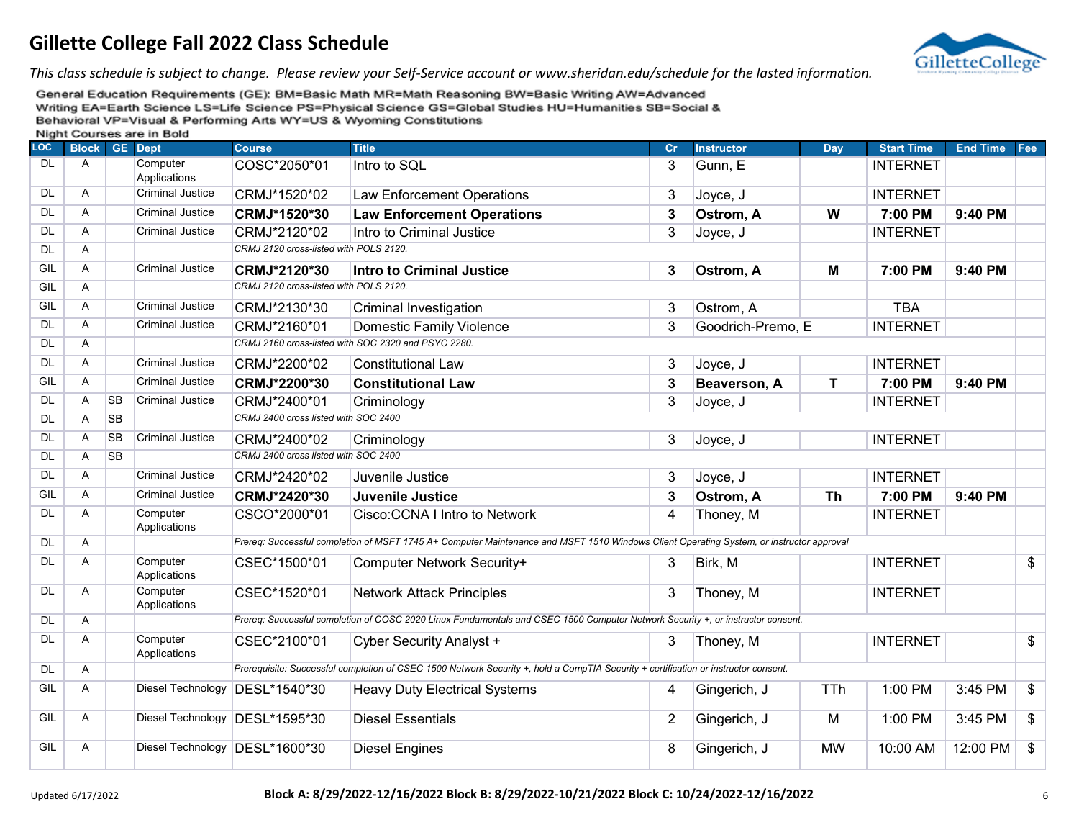

*This class schedule is subject to change. Please review your Self-Service account or www.sheridan.edu/schedule for the lasted information.*

| <br><b>LOC</b> | <b>Block GE Dept</b> |           | ----                     | <b>Course</b>                          | <b>Title</b>                                                                                                                             | Cr             | <b>Instructor</b> | Day        | <b>Start Time</b> | <b>End Time</b> | Fee             |
|----------------|----------------------|-----------|--------------------------|----------------------------------------|------------------------------------------------------------------------------------------------------------------------------------------|----------------|-------------------|------------|-------------------|-----------------|-----------------|
| <b>DL</b>      | A                    |           | Computer<br>Applications | COSC*2050*01                           | Intro to SQL                                                                                                                             | 3              | Gunn, E           |            | <b>INTERNET</b>   |                 |                 |
| <b>DL</b>      | A                    |           | <b>Criminal Justice</b>  | CRMJ*1520*02                           | <b>Law Enforcement Operations</b>                                                                                                        | 3              | Joyce, J          |            | <b>INTERNET</b>   |                 |                 |
| <b>DL</b>      | A                    |           | <b>Criminal Justice</b>  | CRMJ*1520*30                           | <b>Law Enforcement Operations</b>                                                                                                        | 3              | Ostrom, A         | W          | 7:00 PM           | 9:40 PM         |                 |
| <b>DL</b>      | A                    |           | Criminal Justice         | CRMJ*2120*02                           | Intro to Criminal Justice                                                                                                                | 3              | Joyce, J          |            | <b>INTERNET</b>   |                 |                 |
| <b>DL</b>      | A                    |           |                          | CRMJ 2120 cross-listed with POLS 2120. |                                                                                                                                          |                |                   |            |                   |                 |                 |
| GIL            | A                    |           | <b>Criminal Justice</b>  | CRMJ*2120*30                           | <b>Intro to Criminal Justice</b>                                                                                                         | 3              | Ostrom, A         | M          | 7:00 PM           | 9:40 PM         |                 |
| GIL            | A                    |           |                          | CRMJ 2120 cross-listed with POLS 2120. |                                                                                                                                          |                |                   |            |                   |                 |                 |
| GIL            | A                    |           | <b>Criminal Justice</b>  | CRMJ*2130*30                           | <b>Criminal Investigation</b>                                                                                                            | 3              | Ostrom, A         |            | <b>TBA</b>        |                 |                 |
| <b>DL</b>      | A                    |           | Criminal Justice         | CRMJ*2160*01                           | <b>Domestic Family Violence</b>                                                                                                          | 3              | Goodrich-Premo, E |            | <b>INTERNET</b>   |                 |                 |
| <b>DL</b>      | A                    |           |                          |                                        | CRMJ 2160 cross-listed with SOC 2320 and PSYC 2280.                                                                                      |                |                   |            |                   |                 |                 |
| <b>DL</b>      | A                    |           | <b>Criminal Justice</b>  | CRMJ*2200*02                           | <b>Constitutional Law</b>                                                                                                                | 3              | Joyce, J          |            | <b>INTERNET</b>   |                 |                 |
| GIL            | $\overline{A}$       |           | <b>Criminal Justice</b>  | CRMJ*2200*30                           | <b>Constitutional Law</b>                                                                                                                | 3              | Beaverson, A      | Τ          | 7:00 PM           | 9:40 PM         |                 |
| <b>DL</b>      | $\overline{A}$       | <b>SB</b> | <b>Criminal Justice</b>  | CRMJ*2400*01                           | Criminology                                                                                                                              | 3              | Joyce, J          |            | <b>INTERNET</b>   |                 |                 |
| <b>DL</b>      | A                    | <b>SB</b> |                          | CRMJ 2400 cross listed with SOC 2400   |                                                                                                                                          |                |                   |            |                   |                 |                 |
| <b>DL</b>      | $\overline{A}$       | <b>SB</b> | <b>Criminal Justice</b>  | CRMJ*2400*02                           | Criminology                                                                                                                              | 3              | Joyce, J          |            | <b>INTERNET</b>   |                 |                 |
| <b>DL</b>      | A                    | <b>SB</b> |                          | CRMJ 2400 cross listed with SOC 2400   |                                                                                                                                          |                |                   |            |                   |                 |                 |
| <b>DL</b>      | $\overline{A}$       |           | <b>Criminal Justice</b>  | CRMJ*2420*02                           | Juvenile Justice                                                                                                                         | 3              | Joyce, J          |            | <b>INTERNET</b>   |                 |                 |
| GIL            | A                    |           | <b>Criminal Justice</b>  | CRMJ*2420*30                           | <b>Juvenile Justice</b>                                                                                                                  | 3              | Ostrom, A         | <b>Th</b>  | 7:00 PM           | 9:40 PM         |                 |
| <b>DL</b>      | $\overline{A}$       |           | Computer<br>Applications | CSCO*2000*01                           | Cisco: CCNA I Intro to Network                                                                                                           | 4              | Thoney, M         |            | <b>INTERNET</b>   |                 |                 |
| <b>DL</b>      | A                    |           |                          |                                        | Prereq: Successful completion of MSFT 1745 A+ Computer Maintenance and MSFT 1510 Windows Client Operating System, or instructor approval |                |                   |            |                   |                 |                 |
| DL             | A                    |           | Computer<br>Applications | CSEC*1500*01                           | Computer Network Security+                                                                                                               | 3              | Birk, M           |            | <b>INTERNET</b>   |                 | $\mathfrak{S}$  |
| <b>DL</b>      | $\overline{A}$       |           | Computer<br>Applications | CSEC*1520*01                           | <b>Network Attack Principles</b>                                                                                                         | 3              | Thoney, M         |            | <b>INTERNET</b>   |                 |                 |
| <b>DL</b>      | A                    |           |                          |                                        | Prereq: Successful completion of COSC 2020 Linux Fundamentals and CSEC 1500 Computer Network Security +, or instructor consent.          |                |                   |            |                   |                 |                 |
| <b>DL</b>      | $\overline{A}$       |           | Computer<br>Applications | CSEC*2100*01                           | Cyber Security Analyst +                                                                                                                 | 3              | Thoney, M         |            | <b>INTERNET</b>   |                 | $\overline{\$}$ |
| <b>DL</b>      | $\overline{A}$       |           |                          |                                        | Prerequisite: Successful completion of CSEC 1500 Network Security +, hold a CompTIA Security + certification or instructor consent.      |                |                   |            |                   |                 |                 |
| GIL            | $\overline{A}$       |           | <b>Diesel Technology</b> | DESL*1540*30                           | <b>Heavy Duty Electrical Systems</b>                                                                                                     | 4              | Gingerich, J      | <b>TTh</b> | 1:00 PM           | 3:45 PM         | $\frac{1}{2}$   |
| GIL            | $\overline{A}$       |           | <b>Diesel Technology</b> | DESL*1595*30                           | <b>Diesel Essentials</b>                                                                                                                 | $\overline{2}$ | Gingerich, J      | М          | 1:00 PM           | 3:45 PM         | \$              |
| GIL            | Α                    |           |                          | Diesel Technology DESL*1600*30         | <b>Diesel Engines</b>                                                                                                                    | 8              | Gingerich, J      | <b>MW</b>  | 10:00 AM          | 12:00 PM        | $\mathfrak{S}$  |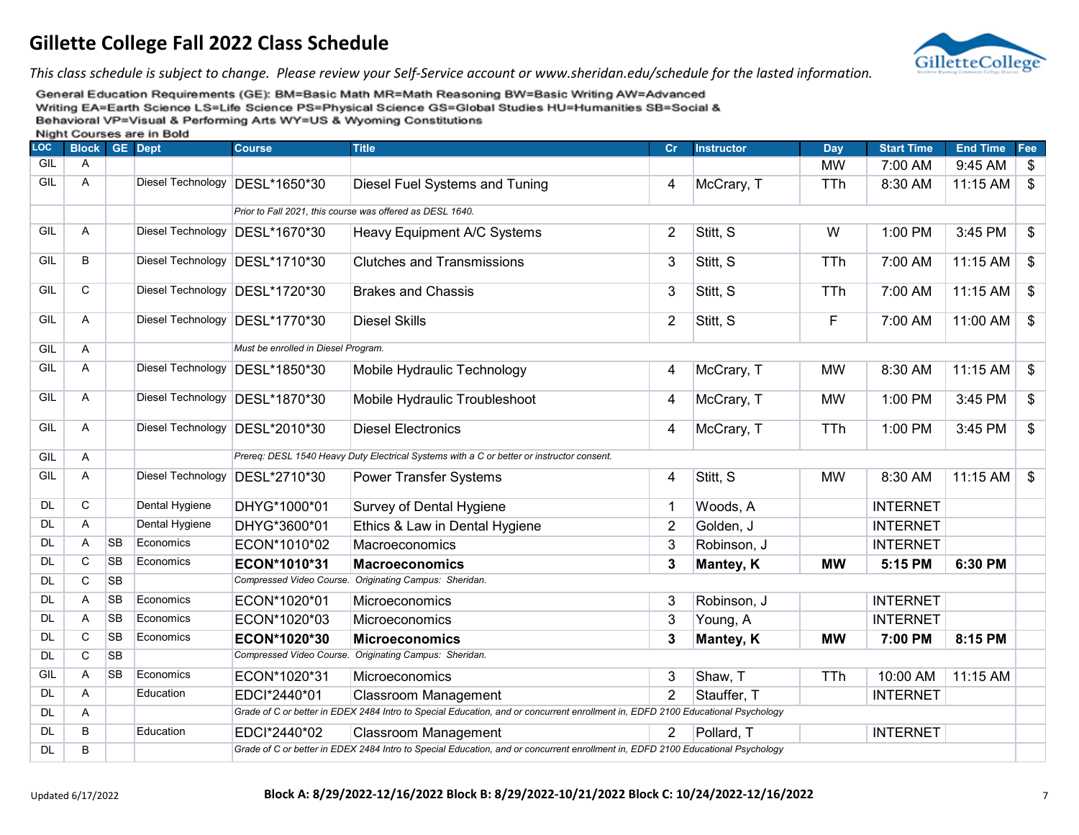

*This class schedule is subject to change. Please review your Self-Service account or www.sheridan.edu/schedule for the lasted information.*

| LOC       | <b>Block</b>   |           | <b>GE</b> Dept           | <b>Course</b>                       | <b>Title</b>                                                                                                                    | Cr             | <b>Instructor</b> | Day        | <b>Start Time</b> | <b>End Time</b> | Fee                       |
|-----------|----------------|-----------|--------------------------|-------------------------------------|---------------------------------------------------------------------------------------------------------------------------------|----------------|-------------------|------------|-------------------|-----------------|---------------------------|
| GIL       | A              |           |                          |                                     |                                                                                                                                 |                |                   | <b>MW</b>  | 7:00 AM           | 9:45 AM         | \$                        |
| GIL       | A              |           |                          | Diesel Technology DESL*1650*30      | Diesel Fuel Systems and Tuning                                                                                                  | 4              | McCrary, T        | <b>TTh</b> | 8:30 AM           | 11:15 AM        | $\$\$                     |
|           |                |           |                          |                                     | Prior to Fall 2021, this course was offered as DESL 1640.                                                                       |                |                   |            |                   |                 |                           |
| GIL       | A              |           |                          | Diesel Technology DESL*1670*30      | Heavy Equipment A/C Systems                                                                                                     | $\overline{2}$ | Stitt, S          | W          | 1:00 PM           | 3:45 PM         | \$                        |
| GIL       | $\overline{B}$ |           | <b>Diesel Technology</b> | DESL*1710*30                        | <b>Clutches and Transmissions</b>                                                                                               | 3              | Stitt, S          | <b>TTh</b> | 7:00 AM           | 11:15 AM        | $\$\$                     |
| GIL       | $\mathbf C$    |           |                          | Diesel Technology DESL*1720*30      | <b>Brakes and Chassis</b>                                                                                                       | 3              | Stitt, S          | <b>TTh</b> | 7:00 AM           | 11:15 AM        | \$                        |
| GIL       | A              |           |                          | Diesel Technology DESL*1770*30      | <b>Diesel Skills</b>                                                                                                            | $\overline{2}$ | Stitt, S          | F          | 7:00 AM           | 11:00 AM        | \$                        |
| GIL       | A              |           |                          | Must be enrolled in Diesel Program. |                                                                                                                                 |                |                   |            |                   |                 |                           |
| GIL       | A              |           |                          | Diesel Technology DESL*1850*30      | Mobile Hydraulic Technology                                                                                                     | 4              | McCrary, T        | <b>MW</b>  | 8:30 AM           | 11:15 AM        | $\boldsymbol{\mathsf{S}}$ |
| GIL       | A              |           |                          | Diesel Technology DESL*1870*30      | Mobile Hydraulic Troubleshoot                                                                                                   | 4              | McCrary, T        | <b>MW</b>  | 1:00 PM           | 3:45 PM         | \$                        |
| GIL       | A              |           |                          | Diesel Technology DESL*2010*30      | <b>Diesel Electronics</b>                                                                                                       | 4              | McCrary, T        | <b>TTh</b> | 1:00 PM           | 3:45 PM         | \$                        |
| GIL       | A              |           |                          |                                     | Prereq: DESL 1540 Heavy Duty Electrical Systems with a C or better or instructor consent.                                       |                |                   |            |                   |                 |                           |
| GIL       | A              |           | <b>Diesel Technology</b> | DESL*2710*30                        | <b>Power Transfer Systems</b>                                                                                                   | 4              | Stitt, S          | <b>MW</b>  | 8:30 AM           | 11:15 AM        | $\mathfrak{F}$            |
| <b>DL</b> | C              |           | Dental Hygiene           | DHYG*1000*01                        | Survey of Dental Hygiene                                                                                                        | $\mathbf{1}$   | Woods, A          |            | <b>INTERNET</b>   |                 |                           |
| <b>DL</b> | $\overline{A}$ |           | Dental Hygiene           | DHYG*3600*01                        | Ethics & Law in Dental Hygiene                                                                                                  | $\overline{2}$ | Golden, J         |            | <b>INTERNET</b>   |                 |                           |
| <b>DL</b> | A              | <b>SB</b> | Economics                | ECON*1010*02                        | Macroeconomics                                                                                                                  | 3              | Robinson, J       |            | <b>INTERNET</b>   |                 |                           |
| <b>DL</b> | C              | <b>SB</b> | Economics                | ECON*1010*31                        | <b>Macroeconomics</b>                                                                                                           | 3              | Mantey, K         | <b>MW</b>  | 5:15 PM           | 6:30 PM         |                           |
| <b>DL</b> | C              | <b>SB</b> |                          |                                     | Compressed Video Course. Originating Campus: Sheridan.                                                                          |                |                   |            |                   |                 |                           |
| <b>DL</b> | A              | <b>SB</b> | Economics                | ECON*1020*01                        | Microeconomics                                                                                                                  | 3              | Robinson, J       |            | <b>INTERNET</b>   |                 |                           |
| <b>DL</b> | Α              | <b>SB</b> | Economics                | ECON*1020*03                        | Microeconomics                                                                                                                  | 3              | Young, A          |            | <b>INTERNET</b>   |                 |                           |
| <b>DL</b> | $\mathsf{C}$   | <b>SB</b> | Economics                | ECON*1020*30                        | <b>Microeconomics</b>                                                                                                           | 3              | Mantey, K         | <b>MW</b>  | 7:00 PM           | 8:15 PM         |                           |
| <b>DL</b> | $\mathsf{C}$   | <b>SB</b> |                          |                                     | Compressed Video Course. Originating Campus: Sheridan.                                                                          |                |                   |            |                   |                 |                           |
| GIL       | A              | <b>SB</b> | Economics                | ECON*1020*31                        | Microeconomics                                                                                                                  | 3              | Shaw, T           | <b>TTh</b> | 10:00 AM          | 11:15 AM        |                           |
| <b>DL</b> | A              |           | Education                | EDCI*2440*01                        | <b>Classroom Management</b>                                                                                                     | $\overline{2}$ | Stauffer, T       |            | <b>INTERNET</b>   |                 |                           |
| <b>DL</b> | A              |           |                          |                                     | Grade of C or better in EDEX 2484 Intro to Special Education, and or concurrent enrollment in, EDFD 2100 Educational Psychology |                |                   |            |                   |                 |                           |
| DL        | B              |           | Education                | EDCI*2440*02                        | <b>Classroom Management</b>                                                                                                     | $\overline{2}$ | Pollard, T        |            | <b>INTERNET</b>   |                 |                           |
| <b>DL</b> | B              |           |                          |                                     | Grade of C or better in EDEX 2484 Intro to Special Education, and or concurrent enrollment in, EDFD 2100 Educational Psychology |                |                   |            |                   |                 |                           |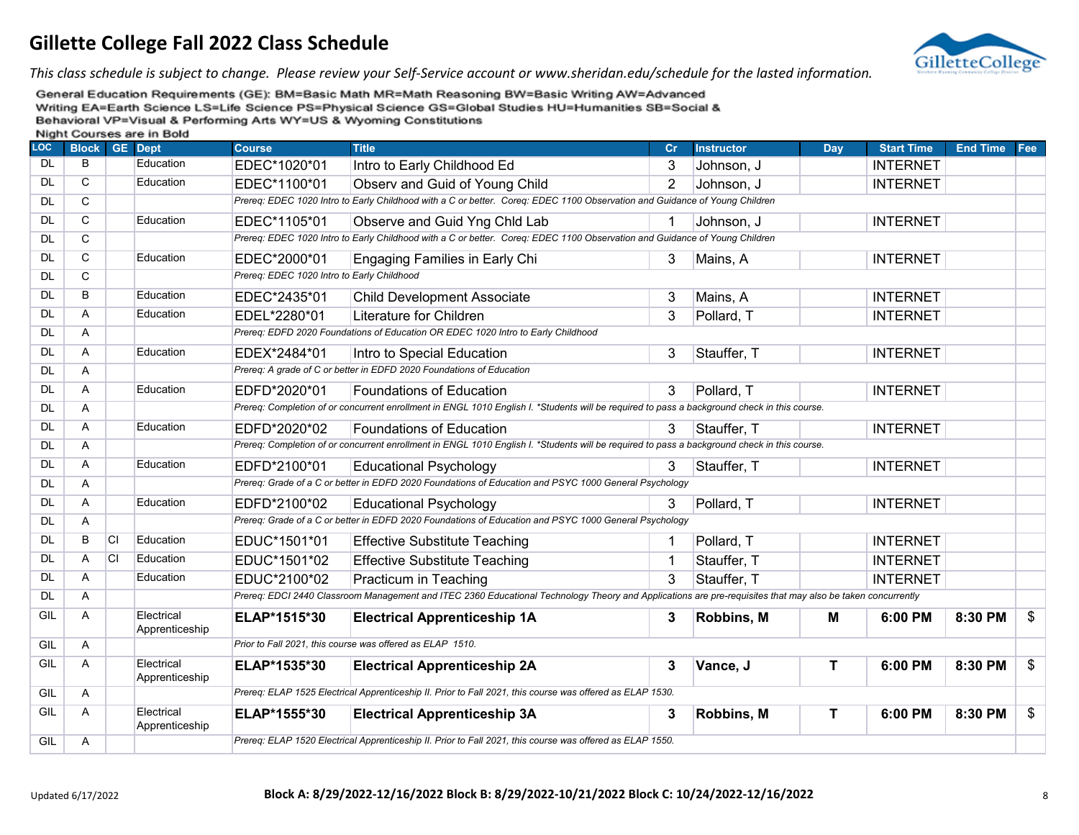

*This class schedule is subject to change. Please review your Self-Service account or www.sheridan.edu/schedule for the lasted information.*

| .<br><b>LOC</b> | ------<br><b>Block</b> |           | <b>GE</b> Dept               | <b>Course</b>                              | <b>Title</b>                                                                                                                                               | Cr             | <b>Instructor</b> | Day         | <b>Start Time</b> | <b>End Time</b> | Fee |
|-----------------|------------------------|-----------|------------------------------|--------------------------------------------|------------------------------------------------------------------------------------------------------------------------------------------------------------|----------------|-------------------|-------------|-------------------|-----------------|-----|
| <b>DL</b>       | B                      |           | Education                    | EDEC*1020*01                               | Intro to Early Childhood Ed                                                                                                                                | 3              | Johnson, J        |             | <b>INTERNET</b>   |                 |     |
| <b>DL</b>       | $\mathsf{C}$           |           | Education                    | EDEC*1100*01                               | Observ and Guid of Young Child                                                                                                                             | $\overline{2}$ | Johnson, J        |             | <b>INTERNET</b>   |                 |     |
| <b>DL</b>       | $\overline{C}$         |           |                              |                                            | Prereq: EDEC 1020 Intro to Early Childhood with a C or better. Coreq: EDEC 1100 Observation and Guidance of Young Children                                 |                |                   |             |                   |                 |     |
| <b>DL</b>       | $\mathbf C$            |           | Education                    | EDEC*1105*01                               | Observe and Guid Yng Chld Lab                                                                                                                              |                | Johnson, J        |             | <b>INTERNET</b>   |                 |     |
| <b>DL</b>       | C                      |           |                              |                                            | Prereq: EDEC 1020 Intro to Early Childhood with a C or better. Coreq: EDEC 1100 Observation and Guidance of Young Children                                 |                |                   |             |                   |                 |     |
| <b>DL</b>       | C                      |           | Education                    | EDEC*2000*01                               | Engaging Families in Early Chi                                                                                                                             | 3              | Mains, A          |             | <b>INTERNET</b>   |                 |     |
| <b>DL</b>       | $\mathsf{C}$           |           |                              | Prereq: EDEC 1020 Intro to Early Childhood |                                                                                                                                                            |                |                   |             |                   |                 |     |
| <b>DL</b>       | $\overline{B}$         |           | Education                    | EDEC*2435*01                               | <b>Child Development Associate</b>                                                                                                                         | 3              | Mains, A          |             | <b>INTERNET</b>   |                 |     |
| <b>DL</b>       | A                      |           | Education                    | EDEL*2280*01                               | Literature for Children                                                                                                                                    | 3              | Pollard, T        |             | <b>INTERNET</b>   |                 |     |
| <b>DL</b>       | Α                      |           |                              |                                            | Prereq: EDFD 2020 Foundations of Education OR EDEC 1020 Intro to Early Childhood                                                                           |                |                   |             |                   |                 |     |
| <b>DL</b>       | Α                      |           | Education                    | EDEX*2484*01                               | Intro to Special Education                                                                                                                                 | 3              | Stauffer, T       |             | <b>INTERNET</b>   |                 |     |
| <b>DL</b>       | A                      |           |                              |                                            | Prereq: A grade of C or better in EDFD 2020 Foundations of Education                                                                                       |                |                   |             |                   |                 |     |
| <b>DL</b>       | A                      |           | Education                    | EDFD*2020*01                               | <b>Foundations of Education</b>                                                                                                                            | 3              | Pollard, T        |             | <b>INTERNET</b>   |                 |     |
| <b>DL</b>       | Α                      |           |                              |                                            | Prereq: Completion of or concurrent enrollment in ENGL 1010 English I. *Students will be required to pass a background check in this course.               |                |                   |             |                   |                 |     |
| <b>DL</b>       | A                      |           | Education                    | EDFD*2020*02                               | <b>Foundations of Education</b>                                                                                                                            | 3              | Stauffer, T       |             | <b>INTERNET</b>   |                 |     |
| <b>DL</b>       | A                      |           |                              |                                            | Prereq: Completion of or concurrent enrollment in ENGL 1010 English I. *Students will be required to pass a background check in this course.               |                |                   |             |                   |                 |     |
| <b>DL</b>       | A                      |           | Education                    | EDFD*2100*01                               | <b>Educational Psychology</b>                                                                                                                              | 3              | Stauffer, T       |             | <b>INTERNET</b>   |                 |     |
| <b>DL</b>       | A                      |           |                              |                                            | Prereq: Grade of a C or better in EDFD 2020 Foundations of Education and PSYC 1000 General Psychology                                                      |                |                   |             |                   |                 |     |
| <b>DL</b>       | Α                      |           | Education                    | EDFD*2100*02                               | <b>Educational Psychology</b>                                                                                                                              | 3              | Pollard, T        |             | <b>INTERNET</b>   |                 |     |
| <b>DL</b>       | A                      |           |                              |                                            | Prereq: Grade of a C or better in EDFD 2020 Foundations of Education and PSYC 1000 General Psychology                                                      |                |                   |             |                   |                 |     |
| <b>DL</b>       | B                      | <b>CI</b> | Education                    | EDUC*1501*01                               | <b>Effective Substitute Teaching</b>                                                                                                                       | 1              | Pollard, T        |             | <b>INTERNET</b>   |                 |     |
| <b>DL</b>       | A                      | <b>CI</b> | Education                    | EDUC*1501*02                               | <b>Effective Substitute Teaching</b>                                                                                                                       | 1              | Stauffer, T       |             | <b>INTERNET</b>   |                 |     |
| <b>DL</b>       | A                      |           | Education                    | EDUC*2100*02                               | Practicum in Teaching                                                                                                                                      | 3              | Stauffer, T       |             | <b>INTERNET</b>   |                 |     |
| <b>DL</b>       | Α                      |           |                              |                                            | Prereq: EDCI 2440 Classroom Management and ITEC 2360 Educational Technology Theory and Applications are pre-requisites that may also be taken concurrently |                |                   |             |                   |                 |     |
| GIL             | A                      |           | Electrical<br>Apprenticeship | ELAP*1515*30                               | <b>Electrical Apprenticeship 1A</b>                                                                                                                        | 3              | Robbins, M        | Μ           | 6:00 PM           | 8:30 PM         | \$  |
| GIL             | A                      |           |                              |                                            | Prior to Fall 2021, this course was offered as ELAP 1510.                                                                                                  |                |                   |             |                   |                 |     |
| GIL             | Α                      |           | Electrical<br>Apprenticeship | ELAP*1535*30                               | <b>Electrical Apprenticeship 2A</b>                                                                                                                        | 3              | Vance, J          | $\mathsf T$ | 6:00 PM           | 8:30 PM         | \$  |
| GIL             | Α                      |           |                              |                                            | Prereq: ELAP 1525 Electrical Apprenticeship II. Prior to Fall 2021, this course was offered as ELAP 1530.                                                  |                |                   |             |                   |                 |     |
| GIL             | A                      |           | Electrical<br>Apprenticeship | ELAP*1555*30                               | <b>Electrical Apprenticeship 3A</b>                                                                                                                        | 3              | Robbins, M        | $\mathbf T$ | 6:00 PM           | 8:30 PM         | \$  |
| GIL             | A                      |           |                              |                                            | Prereq: ELAP 1520 Electrical Apprenticeship II. Prior to Fall 2021, this course was offered as ELAP 1550.                                                  |                |                   |             |                   |                 |     |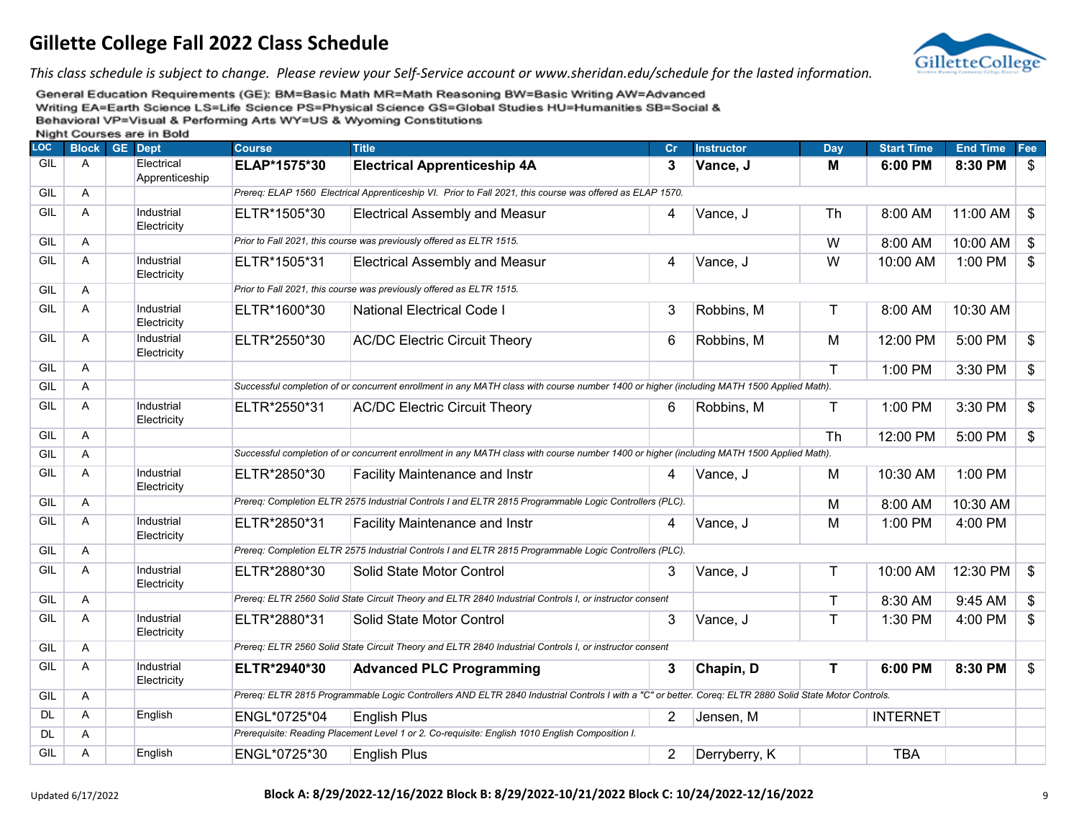

*This class schedule is subject to change. Please review your Self-Service account or www.sheridan.edu/schedule for the lasted information.*

| LOC       | <b>Block</b> | <b>GE</b> Dept               | <b>Course</b> | <b>Title</b>                                                                                                                                            | Cr             | <b>Instructor</b> | Day | <b>Start Time</b> | <b>End Time</b> | Fee            |
|-----------|--------------|------------------------------|---------------|---------------------------------------------------------------------------------------------------------------------------------------------------------|----------------|-------------------|-----|-------------------|-----------------|----------------|
| GIL       | A            | Electrical<br>Apprenticeship | ELAP*1575*30  | <b>Electrical Apprenticeship 4A</b>                                                                                                                     | 3              | Vance, J          | Μ   | 6:00 PM           | 8:30 PM         | $\frac{1}{2}$  |
| GIL       | Α            |                              |               | Prereg: ELAP 1560 Electrical Apprenticeship VI. Prior to Fall 2021, this course was offered as ELAP 1570.                                               |                |                   |     |                   |                 |                |
| GIL       | Α            | Industrial<br>Electricity    | ELTR*1505*30  | <b>Electrical Assembly and Measur</b>                                                                                                                   | 4              | Vance, J          | Th  | 8:00 AM           | 11:00 AM        | $\frac{1}{2}$  |
| GIL       | A            |                              |               | Prior to Fall 2021, this course was previously offered as ELTR 1515.                                                                                    |                |                   | W   | 8:00 AM           | 10:00 AM        | $\frac{1}{2}$  |
| GIL       | A            | Industrial<br>Electricity    | ELTR*1505*31  | <b>Electrical Assembly and Measur</b>                                                                                                                   | 4              | Vance, J          | W   | 10:00 AM          | 1:00 PM         | $\mathfrak{S}$ |
| GIL       | A            |                              |               | Prior to Fall 2021, this course was previously offered as ELTR 1515.                                                                                    |                |                   |     |                   |                 |                |
| GIL       | A            | Industrial<br>Electricity    | ELTR*1600*30  | National Electrical Code I                                                                                                                              | 3              | Robbins, M        | T   | 8:00 AM           | 10:30 AM        |                |
| GIL       | Α            | Industrial<br>Electricity    | ELTR*2550*30  | <b>AC/DC Electric Circuit Theory</b>                                                                                                                    | 6              | Robbins, M        | M   | 12:00 PM          | 5:00 PM         | \$             |
| GIL       | Α            |                              |               |                                                                                                                                                         |                |                   | T   | 1:00 PM           | 3:30 PM         | \$             |
| GIL       | Α            |                              |               | Successful completion of or concurrent enrollment in any MATH class with course number 1400 or higher (including MATH 1500 Applied Math).               |                |                   |     |                   |                 |                |
| GIL       | A            | Industrial<br>Electricity    | ELTR*2550*31  | <b>AC/DC Electric Circuit Theory</b>                                                                                                                    | 6              | Robbins, M        | Τ   | 1:00 PM           | 3:30 PM         | \$             |
| GIL       | Α            |                              |               |                                                                                                                                                         |                |                   | Th  | 12:00 PM          | 5:00 PM         | $\frac{1}{2}$  |
| GIL       | Α            |                              |               | Successful completion of or concurrent enrollment in any MATH class with course number 1400 or higher (including MATH 1500 Applied Math).               |                |                   |     |                   |                 |                |
| GIL       | Α            | Industrial<br>Electricity    | ELTR*2850*30  | <b>Facility Maintenance and Instr</b>                                                                                                                   | 4              | Vance, J          | M   | 10:30 AM          | 1:00 PM         |                |
| GIL       | A            |                              |               | Prereg: Completion ELTR 2575 Industrial Controls I and ELTR 2815 Programmable Logic Controllers (PLC).                                                  |                |                   | M   | 8:00 AM           | 10:30 AM        |                |
| GIL       | Α            | Industrial<br>Electricity    | ELTR*2850*31  | <b>Facility Maintenance and Instr</b>                                                                                                                   | 4              | Vance, J          | M   | 1:00 PM           | 4:00 PM         |                |
| GIL       | A            |                              |               | Prereq: Completion ELTR 2575 Industrial Controls I and ELTR 2815 Programmable Logic Controllers (PLC).                                                  |                |                   |     |                   |                 |                |
| GIL       | A            | Industrial<br>Electricity    | ELTR*2880*30  | Solid State Motor Control                                                                                                                               | 3              | Vance, J          | Τ   | 10:00 AM          | 12:30 PM        | \$             |
| GIL       | A            |                              |               | Prereq: ELTR 2560 Solid State Circuit Theory and ELTR 2840 Industrial Controls I, or instructor consent                                                 |                |                   | Τ   | 8:30 AM           | 9:45 AM         | \$             |
| GIL       | A            | Industrial<br>Electricity    | ELTR*2880*31  | Solid State Motor Control                                                                                                                               | 3              | Vance, J          | T   | 1:30 PM           | 4:00 PM         | \$             |
| GIL       | A            |                              |               | Prereq: ELTR 2560 Solid State Circuit Theory and ELTR 2840 Industrial Controls I, or instructor consent                                                 |                |                   |     |                   |                 |                |
| GIL       | Α            | Industrial<br>Electricity    | ELTR*2940*30  | <b>Advanced PLC Programming</b>                                                                                                                         | 3              | Chapin, D         | т   | 6:00 PM           | 8:30 PM         | \$             |
| GIL       | Α            |                              |               | Prereq: ELTR 2815 Programmable Logic Controllers AND ELTR 2840 Industrial Controls I with a "C" or better. Coreq: ELTR 2880 Solid State Motor Controls. |                |                   |     |                   |                 |                |
| <b>DL</b> | Α            | English                      | ENGL*0725*04  | <b>English Plus</b>                                                                                                                                     | $\overline{2}$ | Jensen, M         |     | <b>INTERNET</b>   |                 |                |
| <b>DL</b> | A            |                              |               | Prerequisite: Reading Placement Level 1 or 2. Co-requisite: English 1010 English Composition I.                                                         |                |                   |     |                   |                 |                |
| GIL       | A            | English                      | ENGL*0725*30  | <b>English Plus</b>                                                                                                                                     | $\overline{2}$ | Derryberry, K     |     | <b>TBA</b>        |                 |                |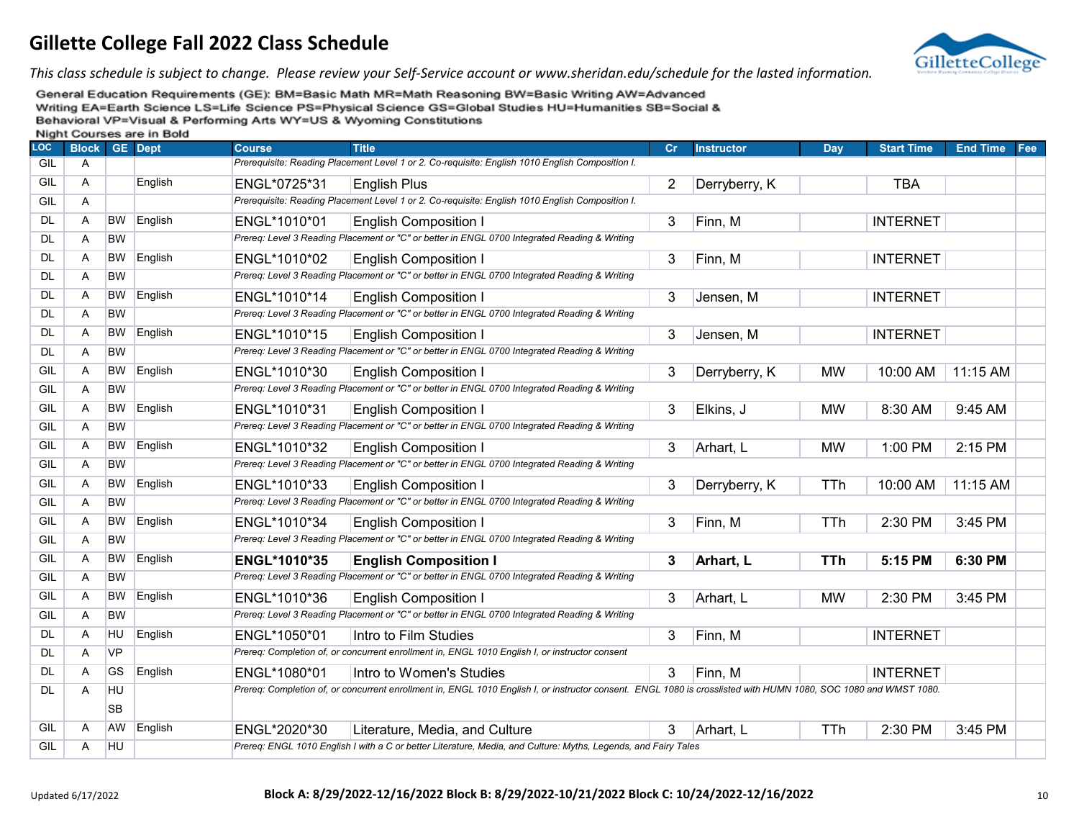

*This class schedule is subject to change. Please review your Self-Service account or www.sheridan.edu/schedule for the lasted information.*

| <b>LOC</b> | ------<br><b>Block</b> |           | ----<br><b>GE</b> Dept | <b>Course</b> | <b>Title</b>                                                                                                                                                     | Cr             | <b>Instructor</b> | Day        | <b>Start Time</b> | <b>End Time</b> | Fee |
|------------|------------------------|-----------|------------------------|---------------|------------------------------------------------------------------------------------------------------------------------------------------------------------------|----------------|-------------------|------------|-------------------|-----------------|-----|
| GIL        | Α                      |           |                        |               | Prerequisite: Reading Placement Level 1 or 2. Co-requisite: English 1010 English Composition I.                                                                  |                |                   |            |                   |                 |     |
| GIL        | A                      |           | English                | ENGL*0725*31  | <b>English Plus</b>                                                                                                                                              | $\overline{2}$ | Derryberry, K     |            | <b>TBA</b>        |                 |     |
| GIL        | A                      |           |                        |               | Prerequisite: Reading Placement Level 1 or 2. Co-requisite: English 1010 English Composition I.                                                                  |                |                   |            |                   |                 |     |
| <b>DL</b>  | A                      | <b>BW</b> | English                | ENGL*1010*01  | <b>English Composition I</b>                                                                                                                                     | 3              | Finn, M           |            | <b>INTERNET</b>   |                 |     |
| DL         | Α                      | <b>BW</b> |                        |               | Prereq: Level 3 Reading Placement or "C" or better in ENGL 0700 Integrated Reading & Writing                                                                     |                |                   |            |                   |                 |     |
| <b>DL</b>  | Α                      | <b>BW</b> | English                | ENGL*1010*02  | <b>English Composition I</b>                                                                                                                                     | 3              | Finn, M           |            | <b>INTERNET</b>   |                 |     |
| DL         | Α                      | <b>BW</b> |                        |               | Prereq: Level 3 Reading Placement or "C" or better in ENGL 0700 Integrated Reading & Writing                                                                     |                |                   |            |                   |                 |     |
| DL.        | Α                      | <b>BW</b> | English                | ENGL*1010*14  | <b>English Composition I</b>                                                                                                                                     | 3              | Jensen, M         |            | <b>INTERNET</b>   |                 |     |
| DL         | Α                      | <b>BW</b> |                        |               | Prereq: Level 3 Reading Placement or "C" or better in ENGL 0700 Integrated Reading & Writing                                                                     |                |                   |            |                   |                 |     |
| <b>DL</b>  | Α                      | <b>BW</b> | English                | ENGL*1010*15  | <b>English Composition I</b>                                                                                                                                     | 3              | Jensen, M         |            | <b>INTERNET</b>   |                 |     |
| DL         | Α                      | <b>BW</b> |                        |               | Prereq: Level 3 Reading Placement or "C" or better in ENGL 0700 Integrated Reading & Writing                                                                     |                |                   |            |                   |                 |     |
| GIL        | Α                      | <b>BW</b> | English                | ENGL*1010*30  | <b>English Composition I</b>                                                                                                                                     | 3              | Derryberry, K     | <b>MW</b>  | 10:00 AM          | 11:15 AM        |     |
| GIL        | Α                      | <b>BW</b> |                        |               | Prereq: Level 3 Reading Placement or "C" or better in ENGL 0700 Integrated Reading & Writing                                                                     |                |                   |            |                   |                 |     |
| GIL        | Α                      | BW        | English                | ENGL*1010*31  | <b>English Composition I</b>                                                                                                                                     | 3              | Elkins, J         | <b>MW</b>  | 8:30 AM           | 9:45 AM         |     |
| GIL        | A                      | <b>BW</b> |                        |               | Prereq: Level 3 Reading Placement or "C" or better in ENGL 0700 Integrated Reading & Writing                                                                     |                |                   |            |                   |                 |     |
| GIL        | Α                      | <b>BW</b> | English                | ENGL*1010*32  | <b>English Composition I</b>                                                                                                                                     | 3              | Arhart, L         | <b>MW</b>  | 1:00 PM           | 2:15 PM         |     |
| GIL        | Α                      | <b>BW</b> |                        |               | Prereq: Level 3 Reading Placement or "C" or better in ENGL 0700 Integrated Reading & Writing                                                                     |                |                   |            |                   |                 |     |
| GIL        | Α                      | <b>BW</b> | English                | ENGL*1010*33  | <b>English Composition I</b>                                                                                                                                     | 3              | Derryberry, K     | TTh        | 10:00 AM          | 11:15 AM        |     |
| GIL        | Α                      | <b>BW</b> |                        |               | Prereq: Level 3 Reading Placement or "C" or better in ENGL 0700 Integrated Reading & Writing                                                                     |                |                   |            |                   |                 |     |
| GIL        | Α                      | <b>BW</b> | English                | ENGL*1010*34  | <b>English Composition I</b>                                                                                                                                     | 3              | Finn, M           | <b>TTh</b> | 2:30 PM           | 3:45 PM         |     |
| GIL        | Α                      | <b>BW</b> |                        |               | Prereq: Level 3 Reading Placement or "C" or better in ENGL 0700 Integrated Reading & Writing                                                                     |                |                   |            |                   |                 |     |
| GIL        | A                      | <b>BW</b> | English                | ENGL*1010*35  | <b>English Composition I</b>                                                                                                                                     | 3              | Arhart, L         | <b>TTh</b> | 5:15 PM           | 6:30 PM         |     |
| GIL        | A                      | <b>BW</b> |                        |               | Prereq: Level 3 Reading Placement or "C" or better in ENGL 0700 Integrated Reading & Writing                                                                     |                |                   |            |                   |                 |     |
| GIL        | Α                      | <b>BW</b> | English                | ENGL*1010*36  | <b>English Composition I</b>                                                                                                                                     | 3              | Arhart, L         | <b>MW</b>  | 2:30 PM           | 3:45 PM         |     |
| GIL        | Α                      | <b>BW</b> |                        |               | Prereq: Level 3 Reading Placement or "C" or better in ENGL 0700 Integrated Reading & Writing                                                                     |                |                   |            |                   |                 |     |
| <b>DL</b>  | Α                      | <b>HU</b> | English                | ENGL*1050*01  | Intro to Film Studies                                                                                                                                            | 3              | Finn, M           |            | <b>INTERNET</b>   |                 |     |
| <b>DL</b>  | A                      | <b>VP</b> |                        |               | Prereq: Completion of, or concurrent enrollment in, ENGL 1010 English I, or instructor consent                                                                   |                |                   |            |                   |                 |     |
| DL         | Α                      | GS        | English                | ENGL*1080*01  | Intro to Women's Studies                                                                                                                                         | 3              | Finn, M           |            | <b>INTERNET</b>   |                 |     |
| <b>DL</b>  | A                      | <b>HU</b> |                        |               | Prereq: Completion of, or concurrent enrollment in, ENGL 1010 English I, or instructor consent. ENGL 1080 is crosslisted with HUMN 1080, SOC 1080 and WMST 1080. |                |                   |            |                   |                 |     |
|            |                        | <b>SB</b> |                        |               |                                                                                                                                                                  |                |                   |            |                   |                 |     |
| GIL        | A                      | <b>AW</b> | English                | ENGL*2020*30  | Literature, Media, and Culture                                                                                                                                   | 3              | Arhart, L         | <b>TTh</b> | 2:30 PM           | 3:45 PM         |     |
| GIL        | Α                      | <b>HU</b> |                        |               | Prereq: ENGL 1010 English I with a C or better Literature, Media, and Culture: Myths, Legends, and Fairy Tales                                                   |                |                   |            |                   |                 |     |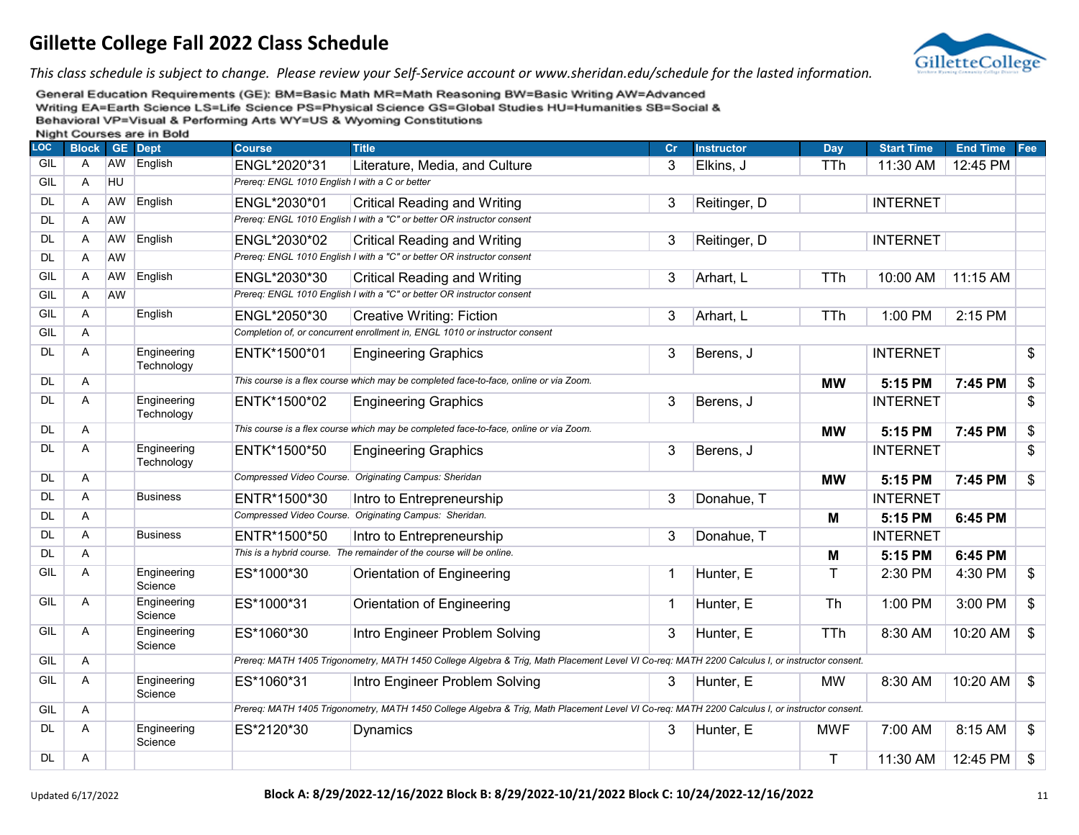

*This class schedule is subject to change. Please review your Self-Service account or www.sheridan.edu/schedule for the lasted information.*

| <b>LOC</b> | <b>Block</b> |           | <b>GE</b> Dept            | <b>Course</b>                                  | <b>Title</b>                                                                                                                                   | cr          | <b>Instructor</b> | <b>Day</b> | <b>Start Time</b> | End Time Fee |                |
|------------|--------------|-----------|---------------------------|------------------------------------------------|------------------------------------------------------------------------------------------------------------------------------------------------|-------------|-------------------|------------|-------------------|--------------|----------------|
| GIL        | Α            | AW        | English                   | ENGL*2020*31                                   | Literature, Media, and Culture                                                                                                                 | 3           | Elkins, J         | TTh        | 11:30 AM          | 12:45 PM     |                |
| GIL        | Α            | HU        |                           | Prereq: ENGL 1010 English I with a C or better |                                                                                                                                                |             |                   |            |                   |              |                |
| <b>DL</b>  | Α            | AW        | English                   | ENGL*2030*01                                   | <b>Critical Reading and Writing</b>                                                                                                            | 3           | Reitinger, D      |            | <b>INTERNET</b>   |              |                |
| <b>DL</b>  | A            | AW        |                           |                                                | Prereq: ENGL 1010 English I with a "C" or better OR instructor consent                                                                         |             |                   |            |                   |              |                |
| <b>DL</b>  | A            | AW        | English                   | ENGL*2030*02                                   | <b>Critical Reading and Writing</b>                                                                                                            | 3           | Reitinger, D      |            | <b>INTERNET</b>   |              |                |
| <b>DL</b>  | A            | <b>AW</b> |                           |                                                | Prereq: ENGL 1010 English I with a "C" or better OR instructor consent                                                                         |             |                   |            |                   |              |                |
| GIL        | Α            | AW        | English                   | ENGL*2030*30                                   | <b>Critical Reading and Writing</b>                                                                                                            | 3           | Arhart, L         | <b>TTh</b> | 10:00 AM          | 11:15 AM     |                |
| GIL        | A            | <b>AW</b> |                           |                                                | Prereq: ENGL 1010 English I with a "C" or better OR instructor consent                                                                         |             |                   |            |                   |              |                |
| GIL        | A            |           | English                   | ENGL*2050*30                                   | <b>Creative Writing: Fiction</b>                                                                                                               | 3           | Arhart, L         | <b>TTh</b> | 1:00 PM           | 2:15 PM      |                |
| GIL        | A            |           |                           |                                                | Completion of, or concurrent enrollment in, ENGL 1010 or instructor consent                                                                    |             |                   |            |                   |              |                |
| <b>DL</b>  | A            |           | Engineering<br>Technology | ENTK*1500*01                                   | <b>Engineering Graphics</b>                                                                                                                    | 3           | Berens, J         |            | <b>INTERNET</b>   |              | \$             |
| <b>DL</b>  | A            |           |                           |                                                | This course is a flex course which may be completed face-to-face, online or via Zoom.                                                          |             |                   | <b>MW</b>  | 5:15 PM           | 7:45 PM      | \$             |
| <b>DL</b>  | A            |           | Engineering<br>Technology | ENTK*1500*02                                   | <b>Engineering Graphics</b>                                                                                                                    | 3           | Berens, J         |            | <b>INTERNET</b>   |              | \$             |
| <b>DL</b>  | A            |           |                           |                                                | This course is a flex course which may be completed face-to-face, online or via Zoom.                                                          |             |                   | <b>MW</b>  | 5:15 PM           | 7:45 PM      | \$             |
| <b>DL</b>  | A            |           | Engineering<br>Technology | ENTK*1500*50                                   | <b>Engineering Graphics</b>                                                                                                                    | 3           | Berens, J         |            | <b>INTERNET</b>   |              | \$             |
| <b>DL</b>  | A            |           |                           |                                                | Compressed Video Course. Originating Campus: Sheridan                                                                                          |             |                   | <b>MW</b>  | 5:15 PM           | 7:45 PM      | \$             |
| DL         | Α            |           | <b>Business</b>           | ENTR*1500*30                                   | Intro to Entrepreneurship                                                                                                                      | 3           | Donahue, T        |            | <b>INTERNET</b>   |              |                |
| <b>DL</b>  | A            |           |                           |                                                | Compressed Video Course. Originating Campus: Sheridan.                                                                                         |             |                   | M          | 5:15 PM           | 6:45 PM      |                |
| <b>DL</b>  | A            |           | <b>Business</b>           | ENTR*1500*50                                   | Intro to Entrepreneurship                                                                                                                      | 3           | Donahue, T        |            | <b>INTERNET</b>   |              |                |
| <b>DL</b>  | A            |           |                           |                                                | This is a hybrid course. The remainder of the course will be online.                                                                           |             |                   | М          | 5:15 PM           | 6:45 PM      |                |
| GIL        | A            |           | Engineering<br>Science    | ES*1000*30                                     | Orientation of Engineering                                                                                                                     | $\mathbf 1$ | Hunter, E         | T.         | 2:30 PM           | 4:30 PM      | \$             |
| GIL        | A            |           | Engineering<br>Science    | ES*1000*31                                     | Orientation of Engineering                                                                                                                     | $\mathbf 1$ | Hunter, E         | <b>Th</b>  | 1:00 PM           | 3:00 PM      | \$             |
| GIL        | A            |           | Engineering<br>Science    | ES*1060*30                                     | Intro Engineer Problem Solving                                                                                                                 | 3           | Hunter, E         | <b>TTh</b> | 8:30 AM           | 10:20 AM     | $\mathfrak{S}$ |
| GIL        | A            |           |                           |                                                | Prereq: MATH 1405 Trigonometry, MATH 1450 College Algebra & Trig, Math Placement Level VI Co-req: MATH 2200 Calculus I, or instructor consent. |             |                   |            |                   |              |                |
| GIL        | Α            |           | Engineering<br>Science    | ES*1060*31                                     | Intro Engineer Problem Solving                                                                                                                 | 3           | Hunter, E         | <b>MW</b>  | 8:30 AM           | 10:20 AM     | $\mathfrak{F}$ |
| GIL        | Α            |           |                           |                                                | Prereq: MATH 1405 Trigonometry, MATH 1450 College Algebra & Trig, Math Placement Level VI Co-req: MATH 2200 Calculus I, or instructor consent. |             |                   |            |                   |              |                |
| <b>DL</b>  | A            |           | Engineering<br>Science    | ES*2120*30                                     | <b>Dynamics</b>                                                                                                                                | 3           | Hunter, E         | MWF        | 7:00 AM           | 8:15 AM      | $\mathfrak{S}$ |
| <b>DL</b>  | Α            |           |                           |                                                |                                                                                                                                                |             |                   | T.         | 11:30 AM          | 12:45 PM     | $\$\$          |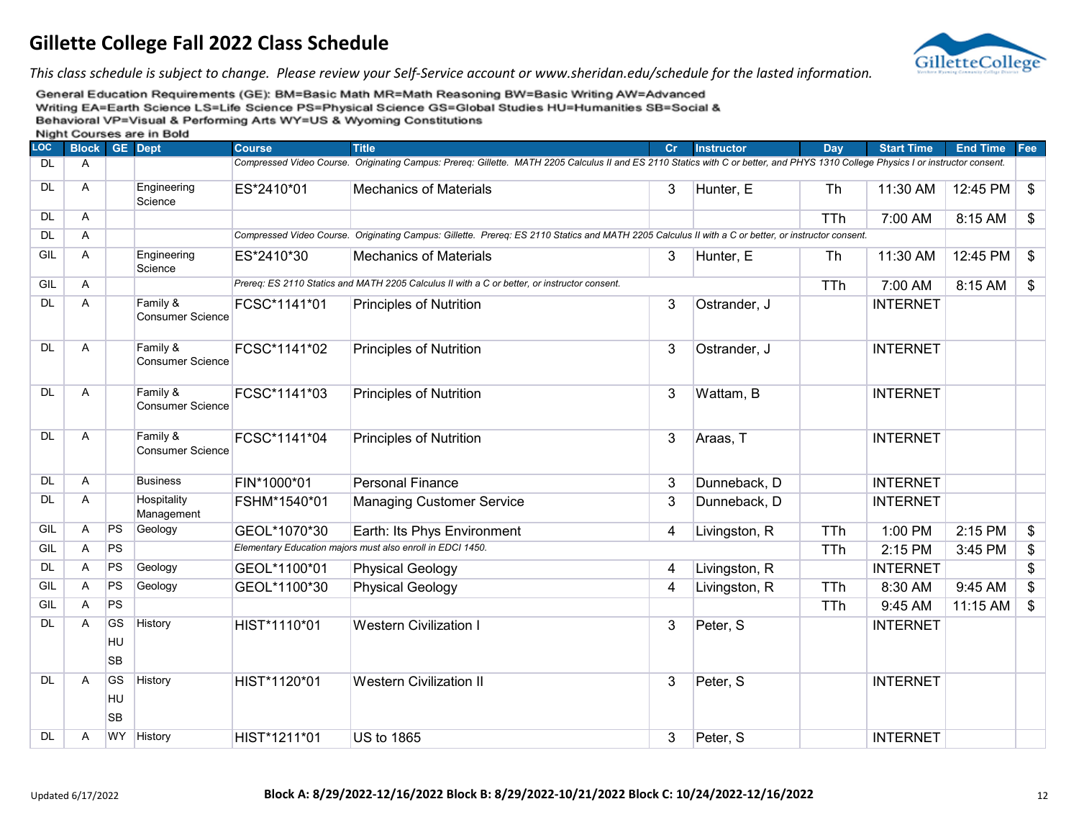

*This class schedule is subject to change. Please review your Self-Service account or www.sheridan.edu/schedule for the lasted information.*

| .<br><b>LOC</b> | <b>Block GE Dept</b> |                              |                                     | <b>Course</b> | <b>Title</b>                                                                                                                                                                      | Cr.          | <b>Instructor</b> | Dav        | <b>Start Time</b> | <b>End Time Fee</b> |                         |
|-----------------|----------------------|------------------------------|-------------------------------------|---------------|-----------------------------------------------------------------------------------------------------------------------------------------------------------------------------------|--------------|-------------------|------------|-------------------|---------------------|-------------------------|
| <b>DL</b>       | A                    |                              |                                     |               | Compressed Video Course. Originating Campus: Prereg: Gillette. MATH 2205 Calculus II and ES 2110 Statics with C or better, and PHYS 1310 College Physics I or instructor consent. |              |                   |            |                   |                     |                         |
| <b>DL</b>       | Α                    |                              | Engineering<br>Science              | ES*2410*01    | <b>Mechanics of Materials</b>                                                                                                                                                     | 3            | Hunter, E         | <b>Th</b>  | 11:30 AM          | 12:45 PM            | $\mathfrak{S}$          |
| <b>DL</b>       | Α                    |                              |                                     |               |                                                                                                                                                                                   |              |                   | <b>TTh</b> | 7:00 AM           | 8:15 AM             | \$                      |
| <b>DL</b>       | Α                    |                              |                                     |               | Compressed Video Course. Originating Campus: Gillette. Prereq: ES 2110 Statics and MATH 2205 Calculus II with a C or better, or instructor consent.                               |              |                   |            |                   |                     |                         |
| GIL             | Α                    |                              | Engineering<br>Science              | ES*2410*30    | <b>Mechanics of Materials</b>                                                                                                                                                     | 3            | Hunter, E         | Th         | 11:30 AM          | 12:45 PM            | $\mathfrak{F}$          |
| GIL             | Α                    |                              |                                     |               | Prereq: ES 2110 Statics and MATH 2205 Calculus II with a C or better, or instructor consent.                                                                                      |              |                   | <b>TTh</b> | 7:00 AM           | 8:15 AM             | \$                      |
| <b>DL</b>       | Α                    |                              | Family &<br><b>Consumer Science</b> | FCSC*1141*01  | <b>Principles of Nutrition</b>                                                                                                                                                    | 3            | Ostrander, J      |            | <b>INTERNET</b>   |                     |                         |
| <b>DL</b>       | A                    |                              | Family &<br><b>Consumer Science</b> | FCSC*1141*02  | <b>Principles of Nutrition</b>                                                                                                                                                    | 3            | Ostrander, J      |            | <b>INTERNET</b>   |                     |                         |
| <b>DL</b>       | Α                    |                              | Family &<br><b>Consumer Science</b> | FCSC*1141*03  | <b>Principles of Nutrition</b>                                                                                                                                                    | 3            | Wattam, B         |            | <b>INTERNET</b>   |                     |                         |
| <b>DL</b>       | Α                    |                              | Family &<br><b>Consumer Science</b> | FCSC*1141*04  | <b>Principles of Nutrition</b>                                                                                                                                                    | 3            | Araas, T          |            | <b>INTERNET</b>   |                     |                         |
| <b>DL</b>       | Α                    |                              | <b>Business</b>                     | FIN*1000*01   | <b>Personal Finance</b>                                                                                                                                                           | 3            | Dunneback, D      |            | <b>INTERNET</b>   |                     |                         |
| <b>DL</b>       | Α                    |                              | Hospitality<br>Management           | FSHM*1540*01  | <b>Managing Customer Service</b>                                                                                                                                                  | 3            | Dunneback, D      |            | <b>INTERNET</b>   |                     |                         |
| GIL             | A                    | <b>PS</b>                    | Geology                             | GEOL*1070*30  | Earth: Its Phys Environment                                                                                                                                                       | 4            | Livingston, R     | TTh        | 1:00 PM           | 2:15 PM             | \$                      |
| GIL             | A                    | PS                           |                                     |               | Elementary Education majors must also enroll in EDCI 1450.                                                                                                                        |              |                   | TTh        | 2:15 PM           | 3:45 PM             | \$                      |
| <b>DL</b>       | A                    | PS                           | Geology                             | GEOL*1100*01  | <b>Physical Geology</b>                                                                                                                                                           | 4            | Livingston, R     |            | <b>INTERNET</b>   |                     | \$                      |
| GIL             | A                    | PS                           | Geology                             | GEOL*1100*30  | <b>Physical Geology</b>                                                                                                                                                           | 4            | Livingston, R     | <b>TTh</b> | 8:30 AM           | 9:45 AM             | \$                      |
| GIL             | Α                    | PS                           |                                     |               |                                                                                                                                                                                   |              |                   | <b>TTh</b> | 9:45 AM           | 11:15 AM            | $\sqrt[6]{\frac{1}{2}}$ |
| DL              | A                    | <b>GS</b><br>HU<br><b>SB</b> | History                             | HIST*1110*01  | <b>Western Civilization I</b>                                                                                                                                                     | $\mathbf{3}$ | Peter, S          |            | <b>INTERNET</b>   |                     |                         |
| <b>DL</b>       | A                    | <b>GS</b><br>HU<br><b>SB</b> | History                             | HIST*1120*01  | <b>Western Civilization II</b>                                                                                                                                                    | 3            | Peter, S          |            | <b>INTERNET</b>   |                     |                         |
| <b>DL</b>       | A                    | <b>WY</b>                    | History                             | HIST*1211*01  | <b>US to 1865</b>                                                                                                                                                                 | 3            | Peter, S          |            | <b>INTERNET</b>   |                     |                         |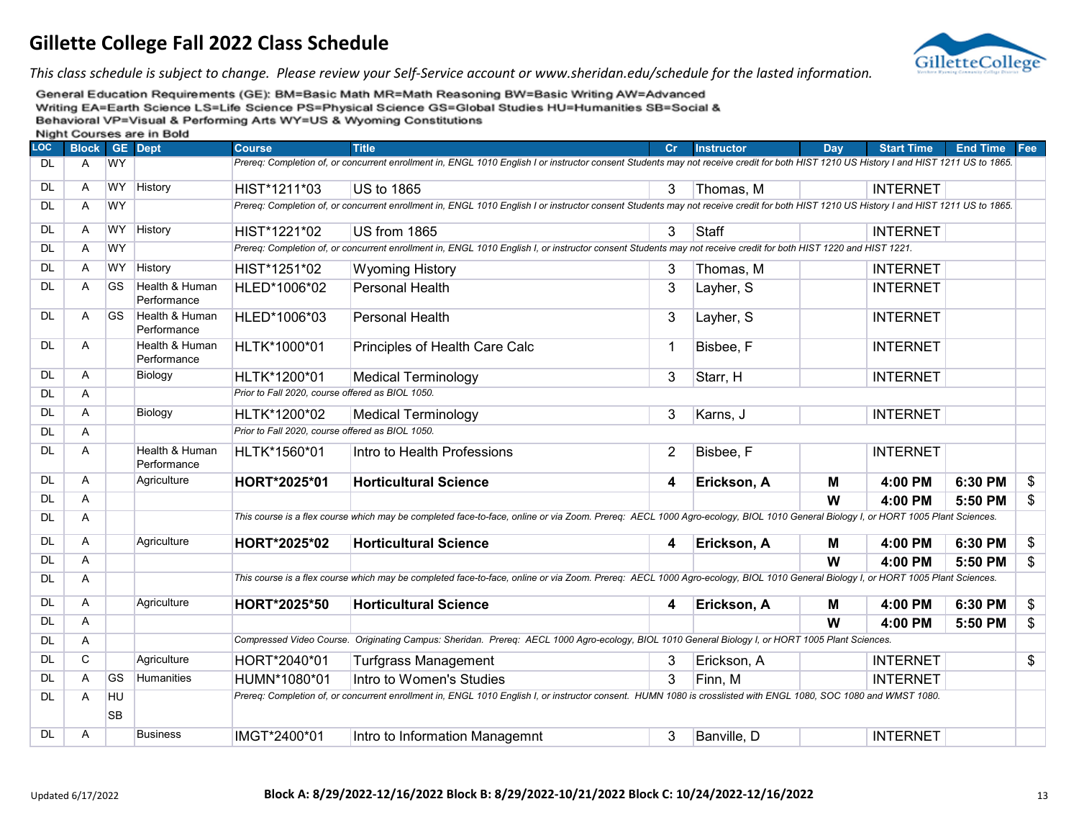

*This class schedule is subject to change. Please review your Self-Service account or www.sheridan.edu/schedule for the lasted information.*

|            |                |                 | <b>INIGHT COULSES ALE III DUIU</b> |                                                  |                                                                                                                                                                                         |                |                   |     |                   |                 |     |
|------------|----------------|-----------------|------------------------------------|--------------------------------------------------|-----------------------------------------------------------------------------------------------------------------------------------------------------------------------------------------|----------------|-------------------|-----|-------------------|-----------------|-----|
| <b>LOC</b> | <b>Block</b>   |                 | <b>GE</b> Dept                     | <b>Course</b>                                    | <b>Title</b>                                                                                                                                                                            | Cr             | <b>Instructor</b> | Dav | <b>Start Time</b> | <b>End Time</b> | Fee |
| <b>DL</b>  | $\overline{A}$ | <b>WY</b>       |                                    |                                                  | Prereq: Completion of, or concurrent enrollment in, ENGL 1010 English I or instructor consent Students may not receive credit for both HIST 1210 US History I and HIST 1211 US to 1865. |                |                   |     |                   |                 |     |
| <b>DL</b>  | $\mathsf{A}$   | <b>WY</b>       | History                            | HIST*1211*03                                     | <b>US to 1865</b>                                                                                                                                                                       | 3              | Thomas, M         |     | <b>INTERNET</b>   |                 |     |
| DL         | $\overline{A}$ | <b>WY</b>       |                                    |                                                  | Prereg: Completion of, or concurrent enrollment in, ENGL 1010 English I or instructor consent Students may not receive credit for both HIST 1210 US History I and HIST 1211 US to 1865. |                |                   |     |                   |                 |     |
| DL         | $\overline{A}$ | <b>WY</b>       | History                            | HIST*1221*02                                     | US from 1865                                                                                                                                                                            | 3              | <b>Staff</b>      |     | <b>INTERNET</b>   |                 |     |
| DL         | $\overline{A}$ | <b>WY</b>       |                                    |                                                  | Prereg: Completion of, or concurrent enrollment in, ENGL 1010 English I, or instructor consent Students may not receive credit for both HIST 1220 and HIST 1221.                        |                |                   |     |                   |                 |     |
| <b>DL</b>  | A              | <b>WY</b>       | History                            | HIST*1251*02                                     | <b>Wyoming History</b>                                                                                                                                                                  | 3              | Thomas, M         |     | <b>INTERNET</b>   |                 |     |
| DL         | A              | <b>GS</b>       | Health & Human<br>Performance      | HLED*1006*02                                     | Personal Health                                                                                                                                                                         | 3              | Layher, S         |     | <b>INTERNET</b>   |                 |     |
| <b>DL</b>  | A              | <b>GS</b>       | Health & Human<br>Performance      | HLED*1006*03                                     | Personal Health                                                                                                                                                                         | 3              | Layher, S         |     | <b>INTERNET</b>   |                 |     |
| <b>DL</b>  | A              |                 | Health & Human<br>Performance      | HLTK*1000*01                                     | Principles of Health Care Calc                                                                                                                                                          | $\mathbf{1}$   | Bisbee, F         |     | <b>INTERNET</b>   |                 |     |
| DL         | $\mathsf{A}$   |                 | Biology                            | HLTK*1200*01                                     | <b>Medical Terminology</b>                                                                                                                                                              | 3              | Starr, H          |     | <b>INTERNET</b>   |                 |     |
| DL         | A              |                 |                                    | Prior to Fall 2020, course offered as BIOL 1050. |                                                                                                                                                                                         |                |                   |     |                   |                 |     |
| DL         | A              |                 | Biology                            | HLTK*1200*02                                     | <b>Medical Terminology</b>                                                                                                                                                              | 3              | Karns, J          |     | <b>INTERNET</b>   |                 |     |
| <b>DL</b>  | Α              |                 |                                    | Prior to Fall 2020, course offered as BIOL 1050. |                                                                                                                                                                                         |                |                   |     |                   |                 |     |
| DL         | $\overline{A}$ |                 | Health & Human<br>Performance      | HLTK*1560*01                                     | Intro to Health Professions                                                                                                                                                             | $\overline{2}$ | Bisbee, F         |     | <b>INTERNET</b>   |                 |     |
| <b>DL</b>  | Α              |                 | Agriculture                        | HORT*2025*01                                     | <b>Horticultural Science</b>                                                                                                                                                            | 4              | Erickson, A       | M   | 4:00 PM           | 6:30 PM         | \$  |
| DL         | A              |                 |                                    |                                                  |                                                                                                                                                                                         |                |                   | W   | 4:00 PM           | 5:50 PM         | \$  |
| DL         | A              |                 |                                    |                                                  | This course is a flex course which may be completed face-to-face, online or via Zoom. Prereq: AECL 1000 Agro-ecology, BIOL 1010 General Biology I, or HORT 1005 Plant Sciences.         |                |                   |     |                   |                 |     |
| DL         | A              |                 | Agriculture                        | HORT*2025*02                                     | <b>Horticultural Science</b>                                                                                                                                                            | 4              | Erickson, A       | M   | 4:00 PM           | 6:30 PM         | \$  |
| DL         | Α              |                 |                                    |                                                  |                                                                                                                                                                                         |                |                   | W   | 4:00 PM           | 5:50 PM         | \$  |
| <b>DL</b>  | Α              |                 |                                    |                                                  | This course is a flex course which may be completed face-to-face, online or via Zoom. Prereq: AECL 1000 Agro-ecology, BIOL 1010 General Biology I, or HORT 1005 Plant Sciences.         |                |                   |     |                   |                 |     |
| DL.        | A              |                 | Agriculture                        | HORT*2025*50                                     | <b>Horticultural Science</b>                                                                                                                                                            | 4              | Erickson, A       | M   | 4:00 PM           | 6:30 PM         | \$  |
| DL         | A              |                 |                                    |                                                  |                                                                                                                                                                                         |                |                   | W   | 4:00 PM           | 5:50 PM         | \$  |
| DL         | A              |                 |                                    |                                                  | Compressed Video Course. Originating Campus: Sheridan. Prereq: AECL 1000 Agro-ecology, BIOL 1010 General Biology I, or HORT 1005 Plant Sciences.                                        |                |                   |     |                   |                 |     |
| DL         | C              |                 | Agriculture                        | HORT*2040*01                                     | Turfgrass Management                                                                                                                                                                    | 3              | Erickson, A       |     | <b>INTERNET</b>   |                 | \$  |
| DL         | Α              | <b>GS</b>       | Humanities                         | HUMN*1080*01                                     | Intro to Women's Studies                                                                                                                                                                | 3              | Finn, M           |     | <b>INTERNET</b>   |                 |     |
| DL         | Α              | HU<br><b>SB</b> |                                    |                                                  | Prereq: Completion of, or concurrent enrollment in, ENGL 1010 English I, or instructor consent. HUMN 1080 is crosslisted with ENGL 1080, SOC 1080 and WMST 1080.                        |                |                   |     |                   |                 |     |
| DL         | A              |                 | <b>Business</b>                    | IMGT*2400*01                                     | Intro to Information Managemnt                                                                                                                                                          | 3              | Banville, D       |     | <b>INTERNET</b>   |                 |     |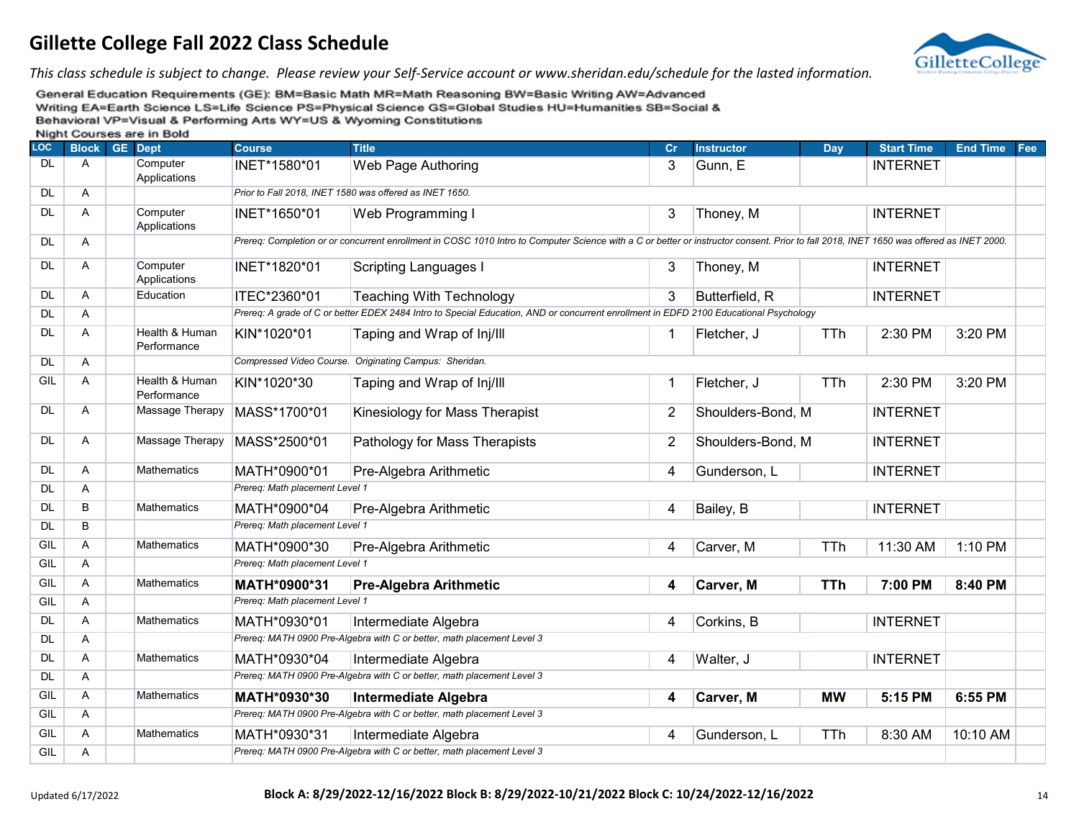

*This class schedule is subject to change. Please review your Self-Service account or www.sheridan.edu/schedule for the lasted information.*

| <b>LOC</b> | <b>Block</b> | <b>GE</b> Dept                | <b>Course</b>                  | <b>Title</b>                                                                                                                                                                            | Cr             | <b>Instructor</b> | <b>Day</b> | <b>Start Time</b> | <b>End Time</b> | Fee |
|------------|--------------|-------------------------------|--------------------------------|-----------------------------------------------------------------------------------------------------------------------------------------------------------------------------------------|----------------|-------------------|------------|-------------------|-----------------|-----|
| <b>DL</b>  | A            | Computer<br>Applications      | INET*1580*01                   | Web Page Authoring                                                                                                                                                                      | 3              | Gunn, E           |            | <b>INTERNET</b>   |                 |     |
| <b>DL</b>  | A            |                               |                                | Prior to Fall 2018, INET 1580 was offered as INET 1650.                                                                                                                                 |                |                   |            |                   |                 |     |
| DL.        | A            | Computer<br>Applications      | INET*1650*01                   | Web Programming I                                                                                                                                                                       | 3              | Thoney, M         |            | <b>INTERNET</b>   |                 |     |
| <b>DL</b>  | A            |                               |                                | Prereq: Completion or or concurrent enrollment in COSC 1010 Intro to Computer Science with a C or better or instructor consent. Prior to fall 2018, INET 1650 was offered as INET 2000. |                |                   |            |                   |                 |     |
| <b>DL</b>  | A            | Computer<br>Applications      | INET*1820*01                   | Scripting Languages I                                                                                                                                                                   | 3              | Thoney, M         |            | <b>INTERNET</b>   |                 |     |
| <b>DL</b>  | A            | Education                     | ITEC*2360*01                   | <b>Teaching With Technology</b>                                                                                                                                                         | 3              | Butterfield, R    |            | <b>INTERNET</b>   |                 |     |
| <b>DL</b>  | A            |                               |                                | Prereq: A grade of C or better EDEX 2484 Intro to Special Education, AND or concurrent enrollment in EDFD 2100 Educational Psychology                                                   |                |                   |            |                   |                 |     |
| <b>DL</b>  | A            | Health & Human<br>Performance | KIN*1020*01                    | Taping and Wrap of Inj/III                                                                                                                                                              | 1              | Fletcher, J       | <b>TTh</b> | 2:30 PM           | 3:20 PM         |     |
| <b>DL</b>  | A            |                               |                                | Compressed Video Course. Originating Campus: Sheridan.                                                                                                                                  |                |                   |            |                   |                 |     |
| GIL        | A            | Health & Human<br>Performance | KIN*1020*30                    | Taping and Wrap of Inj/III                                                                                                                                                              | 1              | Fletcher, J       | <b>TTh</b> | 2:30 PM           | 3:20 PM         |     |
| <b>DL</b>  | A            | Massage Therapy               | MASS*1700*01                   | Kinesiology for Mass Therapist                                                                                                                                                          | $\overline{2}$ | Shoulders-Bond, M |            | <b>INTERNET</b>   |                 |     |
| DL         | Α            | Massage Therapy               | MASS*2500*01                   | Pathology for Mass Therapists                                                                                                                                                           | $\overline{2}$ | Shoulders-Bond, M |            | <b>INTERNET</b>   |                 |     |
| <b>DL</b>  | A            | <b>Mathematics</b>            | MATH*0900*01                   | Pre-Algebra Arithmetic                                                                                                                                                                  | 4              | Gunderson, L      |            | <b>INTERNET</b>   |                 |     |
| <b>DL</b>  | A            |                               | Prereq: Math placement Level 1 |                                                                                                                                                                                         |                |                   |            |                   |                 |     |
| <b>DL</b>  | B            | <b>Mathematics</b>            | MATH*0900*04                   | Pre-Algebra Arithmetic                                                                                                                                                                  | 4              | Bailey, B         |            | <b>INTERNET</b>   |                 |     |
| <b>DL</b>  | B            |                               | Prereg: Math placement Level 1 |                                                                                                                                                                                         |                |                   |            |                   |                 |     |
| GIL        | Α            | <b>Mathematics</b>            | MATH*0900*30                   | Pre-Algebra Arithmetic                                                                                                                                                                  | 4              | Carver, M         | <b>TTh</b> | 11:30 AM          | 1:10 PM         |     |
| GIL        | A            |                               | Prereg: Math placement Level 1 |                                                                                                                                                                                         |                |                   |            |                   |                 |     |
| GIL        | A            | Mathematics                   | MATH*0900*31                   | <b>Pre-Algebra Arithmetic</b>                                                                                                                                                           | 4              | Carver, M         | <b>TTh</b> | 7:00 PM           | 8:40 PM         |     |
| GIL        | A            |                               | Prereq: Math placement Level 1 |                                                                                                                                                                                         |                |                   |            |                   |                 |     |
| <b>DL</b>  | A            | <b>Mathematics</b>            | MATH*0930*01                   | Intermediate Algebra                                                                                                                                                                    | 4              | Corkins, B        |            | <b>INTERNET</b>   |                 |     |
| <b>DL</b>  | A            |                               |                                | Prereq: MATH 0900 Pre-Algebra with C or better, math placement Level 3                                                                                                                  |                |                   |            |                   |                 |     |
| <b>DL</b>  | A            | <b>Mathematics</b>            | MATH*0930*04                   | Intermediate Algebra                                                                                                                                                                    | 4              | Walter, J         |            | <b>INTERNET</b>   |                 |     |
| <b>DL</b>  | Α            |                               |                                | Prereq: MATH 0900 Pre-Algebra with C or better, math placement Level 3                                                                                                                  |                |                   |            |                   |                 |     |
| GIL        | A            | <b>Mathematics</b>            | MATH*0930*30                   | <b>Intermediate Algebra</b>                                                                                                                                                             | 4              | Carver, M         | <b>MW</b>  | 5:15 PM           | 6:55 PM         |     |
| GIL        | A            |                               |                                | Prereq: MATH 0900 Pre-Algebra with C or better, math placement Level 3                                                                                                                  |                |                   |            |                   |                 |     |
| GIL        | A            | <b>Mathematics</b>            | MATH*0930*31                   | Intermediate Algebra                                                                                                                                                                    | 4              | Gunderson, L      | <b>TTh</b> | 8:30 AM           | 10:10 AM        |     |
| GIL        | Α            |                               |                                | Prereq: MATH 0900 Pre-Algebra with C or better, math placement Level 3                                                                                                                  |                |                   |            |                   |                 |     |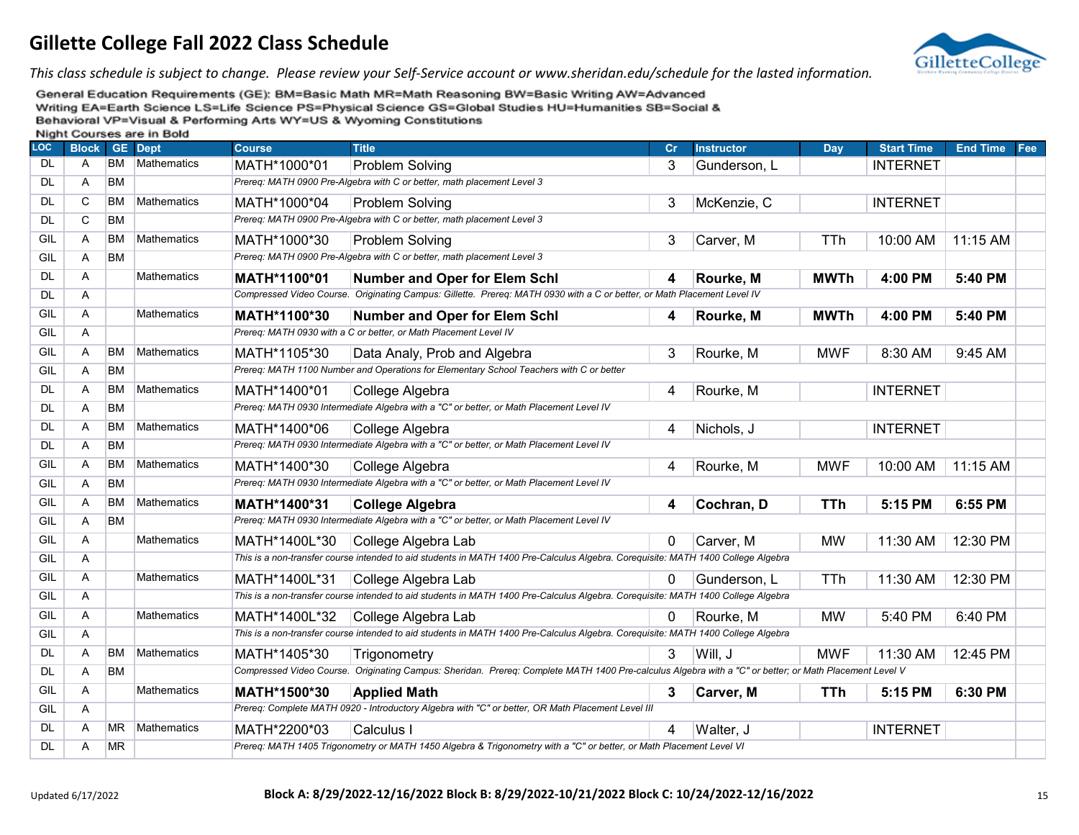

*This class schedule is subject to change. Please review your Self-Service account or www.sheridan.edu/schedule for the lasted information.*

| LOC       | <b>Block</b> |           | <b>THAIR OCCIDED BIC III DOIG</b><br><b>GE</b> Dept | <b>Course</b> | <b>Title</b>                                                                                                                                           | Cr | <b>Instructor</b> | Day         | <b>Start Time</b> | <b>End Time</b> | Fee |
|-----------|--------------|-----------|-----------------------------------------------------|---------------|--------------------------------------------------------------------------------------------------------------------------------------------------------|----|-------------------|-------------|-------------------|-----------------|-----|
| <b>DL</b> | A            | <b>BM</b> | Mathematics                                         | MATH*1000*01  | Problem Solving                                                                                                                                        | 3  | Gunderson, L      |             | <b>INTERNET</b>   |                 |     |
| <b>DL</b> | Α            | <b>BM</b> |                                                     |               | Prereq: MATH 0900 Pre-Algebra with C or better, math placement Level 3                                                                                 |    |                   |             |                   |                 |     |
| <b>DL</b> | C            | <b>BM</b> | <b>Mathematics</b>                                  | MATH*1000*04  | <b>Problem Solving</b>                                                                                                                                 | 3  | McKenzie, C       |             | <b>INTERNET</b>   |                 |     |
| <b>DL</b> | C            | <b>BM</b> |                                                     |               | Prereq: MATH 0900 Pre-Algebra with C or better, math placement Level 3                                                                                 |    |                   |             |                   |                 |     |
| GIL       | A            | <b>BM</b> | Mathematics                                         | MATH*1000*30  | Problem Solving                                                                                                                                        | 3  | Carver, M         | <b>TTh</b>  | 10:00 AM          | 11:15 AM        |     |
| GIL       | Α            | <b>BM</b> |                                                     |               | Prereq: MATH 0900 Pre-Algebra with C or better, math placement Level 3                                                                                 |    |                   |             |                   |                 |     |
| <b>DL</b> | A            |           | Mathematics                                         | MATH*1100*01  | <b>Number and Oper for Elem Schl</b>                                                                                                                   | 4  | Rourke, M         | <b>MWTh</b> | 4:00 PM           | 5:40 PM         |     |
| <b>DL</b> | Α            |           |                                                     |               | Compressed Video Course. Originating Campus: Gillette. Prereq: MATH 0930 with a C or better, or Math Placement Level IV                                |    |                   |             |                   |                 |     |
| GIL       | Α            |           | Mathematics                                         | MATH*1100*30  | Number and Oper for Elem Schl                                                                                                                          | 4  | Rourke, M         | <b>MWTh</b> | 4:00 PM           | 5:40 PM         |     |
| GIL       | Α            |           |                                                     |               | Prereq: MATH 0930 with a C or better, or Math Placement Level IV                                                                                       |    |                   |             |                   |                 |     |
| GIL       | Α            | <b>BM</b> | <b>Mathematics</b>                                  | MATH*1105*30  | Data Analy, Prob and Algebra                                                                                                                           | 3  | Rourke, M         | <b>MWF</b>  | 8:30 AM           | 9:45 AM         |     |
| GIL       | Α            | <b>BM</b> |                                                     |               | Prereq: MATH 1100 Number and Operations for Elementary School Teachers with C or better                                                                |    |                   |             |                   |                 |     |
| <b>DL</b> | A            | <b>BM</b> | <b>Mathematics</b>                                  | MATH*1400*01  | College Algebra                                                                                                                                        | 4  | Rourke, M         |             | <b>INTERNET</b>   |                 |     |
| <b>DL</b> | A            | <b>BM</b> |                                                     |               | Prereq: MATH 0930 Intermediate Algebra with a "C" or better, or Math Placement Level IV                                                                |    |                   |             |                   |                 |     |
| DL        | Α            | <b>BM</b> | Mathematics                                         | MATH*1400*06  | College Algebra                                                                                                                                        | 4  | Nichols, J        |             | <b>INTERNET</b>   |                 |     |
| <b>DL</b> | Α            | <b>BM</b> |                                                     |               | Prereq: MATH 0930 Intermediate Algebra with a "C" or better, or Math Placement Level IV                                                                |    |                   |             |                   |                 |     |
| GIL       | Α            | <b>BM</b> | <b>Mathematics</b>                                  | MATH*1400*30  | College Algebra                                                                                                                                        | 4  | Rourke, M         | <b>MWF</b>  | 10:00 AM          | 11:15 AM        |     |
| GIL       | Α            | <b>BM</b> |                                                     |               | Prereq: MATH 0930 Intermediate Algebra with a "C" or better, or Math Placement Level IV                                                                |    |                   |             |                   |                 |     |
| GIL       | Α            | <b>BM</b> | <b>Mathematics</b>                                  | MATH*1400*31  | <b>College Algebra</b>                                                                                                                                 | 4  | Cochran, D        | <b>TTh</b>  | 5:15 PM           | 6:55 PM         |     |
| GIL       | Α            | <b>BM</b> |                                                     |               | Prereq: MATH 0930 Intermediate Algebra with a "C" or better, or Math Placement Level IV                                                                |    |                   |             |                   |                 |     |
| GIL       | A            |           | Mathematics                                         | MATH*1400L*30 | College Algebra Lab                                                                                                                                    | 0  | Carver, M         | <b>MW</b>   | 11:30 AM          | 12:30 PM        |     |
| GIL       | A            |           |                                                     |               | This is a non-transfer course intended to aid students in MATH 1400 Pre-Calculus Algebra. Corequisite: MATH 1400 College Algebra                       |    |                   |             |                   |                 |     |
| GIL       | A            |           | Mathematics                                         | MATH*1400L*31 | College Algebra Lab                                                                                                                                    | 0  | Gunderson, L      | <b>TTh</b>  | 11:30 AM          | 12:30 PM        |     |
| GIL       | Α            |           |                                                     |               | This is a non-transfer course intended to aid students in MATH 1400 Pre-Calculus Algebra. Corequisite: MATH 1400 College Algebra                       |    |                   |             |                   |                 |     |
| GIL       | A            |           | Mathematics                                         | MATH*1400L*32 | College Algebra Lab                                                                                                                                    | 0  | Rourke, M         | <b>MW</b>   | 5:40 PM           | 6:40 PM         |     |
| GIL       | Α            |           |                                                     |               | This is a non-transfer course intended to aid students in MATH 1400 Pre-Calculus Algebra. Corequisite: MATH 1400 College Algebra                       |    |                   |             |                   |                 |     |
| <b>DL</b> | Α            | <b>BM</b> | <b>Mathematics</b>                                  | MATH*1405*30  | Trigonometry                                                                                                                                           | 3  | Will, J           | <b>MWF</b>  | 11:30 AM          | 12:45 PM        |     |
| <b>DL</b> | Α            | <b>BM</b> |                                                     |               | Compressed Video Course. Originating Campus: Sheridan. Prereq: Complete MATH 1400 Pre-calculus Algebra with a "C" or better; or Math Placement Level V |    |                   |             |                   |                 |     |
| GIL       | A            |           | Mathematics                                         | MATH*1500*30  | <b>Applied Math</b>                                                                                                                                    | 3  | Carver, M         | <b>TTh</b>  | 5:15 PM           | 6:30 PM         |     |
| GIL       | Α            |           |                                                     |               | Prereq: Complete MATH 0920 - Introductory Algebra with "C" or better, OR Math Placement Level III                                                      |    |                   |             |                   |                 |     |
| <b>DL</b> | Α            | <b>MR</b> | Mathematics                                         | MATH*2200*03  | Calculus I                                                                                                                                             | 4  | Walter, J         |             | <b>INTERNET</b>   |                 |     |
| <b>DL</b> | Α            | <b>MR</b> |                                                     |               | Prereq: MATH 1405 Trigonometry or MATH 1450 Algebra & Trigonometry with a "C" or better, or Math Placement Level VI                                    |    |                   |             |                   |                 |     |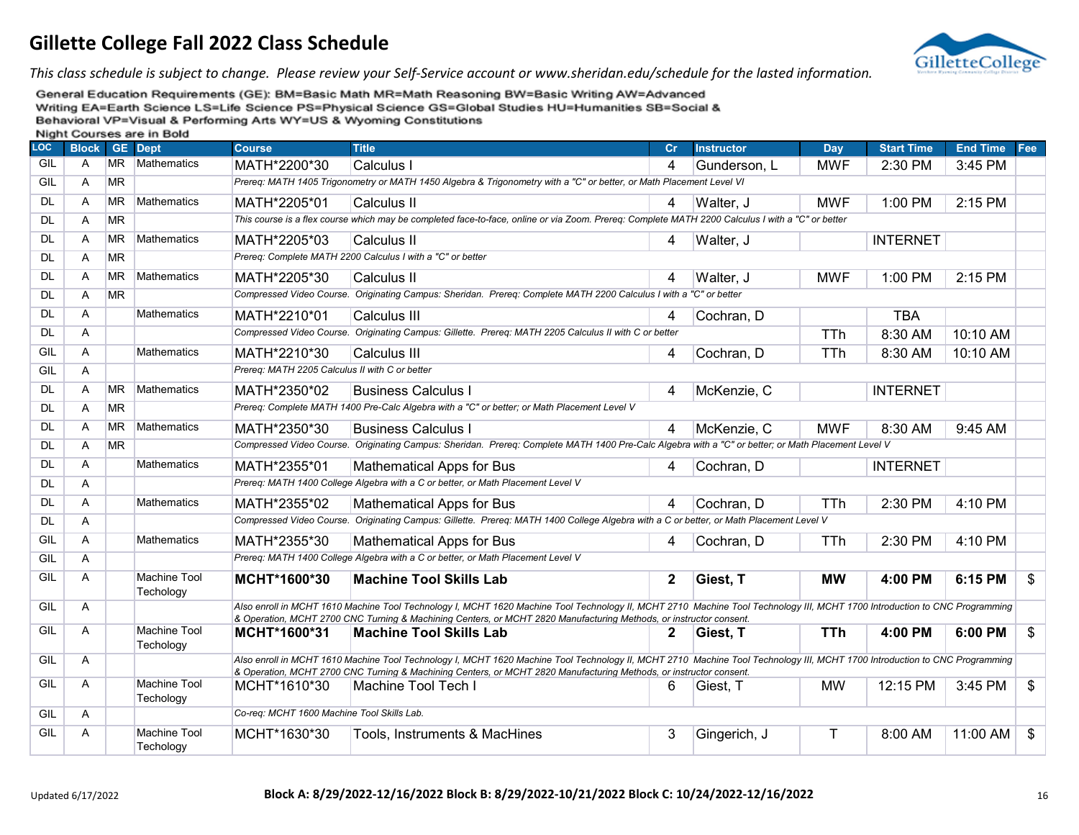

*This class schedule is subject to change. Please review your Self-Service account or www.sheridan.edu/schedule for the lasted information.*

| LOC       | <b>Block</b>   |           | $\sim$ we we<br><b>GE</b> Dept   | <b>Course</b>                                  | <b>Title</b>                                                                                                                                                                                                                                                                                     | cr           | <b>Instructor</b> | Day        | <b>Start Time</b> | <b>End Time</b> | Fee            |
|-----------|----------------|-----------|----------------------------------|------------------------------------------------|--------------------------------------------------------------------------------------------------------------------------------------------------------------------------------------------------------------------------------------------------------------------------------------------------|--------------|-------------------|------------|-------------------|-----------------|----------------|
| GIL       | A              | MR.       | <b>Mathematics</b>               | MATH*2200*30                                   | Calculus I                                                                                                                                                                                                                                                                                       | 4            | Gunderson, L      | MWF        | $2:30$ PM         | 3:45 PM         |                |
| GIL       | A              | <b>MR</b> |                                  |                                                | Prereq: MATH 1405 Trigonometry or MATH 1450 Algebra & Trigonometry with a "C" or better, or Math Placement Level VI                                                                                                                                                                              |              |                   |            |                   |                 |                |
| <b>DL</b> | $\mathsf{A}$   | <b>MR</b> | Mathematics                      | MATH*2205*01                                   | Calculus II                                                                                                                                                                                                                                                                                      | 4            | Walter, J         | MWF        | $1:00$ PM         | 2:15 PM         |                |
| <b>DL</b> | A              | <b>MR</b> |                                  |                                                | This course is a flex course which may be completed face-to-face, online or via Zoom. Prereq: Complete MATH 2200 Calculus I with a "C" or better                                                                                                                                                 |              |                   |            |                   |                 |                |
| <b>DL</b> | A              | <b>MR</b> | Mathematics                      | MATH*2205*03                                   | Calculus II                                                                                                                                                                                                                                                                                      | 4            | Walter, J         |            | <b>INTERNET</b>   |                 |                |
| <b>DL</b> | A              | <b>MR</b> |                                  |                                                | Prereg: Complete MATH 2200 Calculus I with a "C" or better                                                                                                                                                                                                                                       |              |                   |            |                   |                 |                |
| <b>DL</b> | A              | <b>MR</b> | Mathematics                      | MATH*2205*30                                   | <b>Calculus II</b>                                                                                                                                                                                                                                                                               | 4            | Walter, J         | <b>MWF</b> | 1:00 PM           | 2:15 PM         |                |
| DL.       | Α              | <b>MR</b> |                                  |                                                | Compressed Video Course. Originating Campus: Sheridan. Prereq: Complete MATH 2200 Calculus I with a "C" or better                                                                                                                                                                                |              |                   |            |                   |                 |                |
| <b>DL</b> | $\overline{A}$ |           | <b>Mathematics</b>               | MATH*2210*01                                   | Calculus III                                                                                                                                                                                                                                                                                     | 4            | Cochran, D        |            | <b>TBA</b>        |                 |                |
| <b>DL</b> | A              |           |                                  |                                                | Compressed Video Course. Originating Campus: Gillette. Prereq: MATH 2205 Calculus II with C or better                                                                                                                                                                                            |              |                   | <b>TTh</b> | 8:30 AM           | 10:10 AM        |                |
| GIL       | $\overline{A}$ |           | <b>Mathematics</b>               | MATH*2210*30                                   | Calculus III                                                                                                                                                                                                                                                                                     | 4            | Cochran, D        | <b>TTh</b> | 8:30 AM           | 10:10 AM        |                |
| GIL       | A              |           |                                  | Prereg: MATH 2205 Calculus II with C or better |                                                                                                                                                                                                                                                                                                  |              |                   |            |                   |                 |                |
| <b>DL</b> | $\overline{A}$ | <b>MR</b> | Mathematics                      | MATH*2350*02                                   | <b>Business Calculus I</b>                                                                                                                                                                                                                                                                       | 4            | McKenzie, C       |            | <b>INTERNET</b>   |                 |                |
| <b>DL</b> | A              | <b>MR</b> |                                  |                                                | Prereg: Complete MATH 1400 Pre-Calc Algebra with a "C" or better; or Math Placement Level V                                                                                                                                                                                                      |              |                   |            |                   |                 |                |
| DL.       | A              | <b>MR</b> | Mathematics                      | MATH*2350*30                                   | <b>Business Calculus I</b>                                                                                                                                                                                                                                                                       | 4            | McKenzie, C       | MWF        | 8:30 AM           | 9:45 AM         |                |
| <b>DL</b> | $\mathsf{A}$   | <b>MR</b> |                                  |                                                | Compressed Video Course. Originating Campus: Sheridan. Prereq: Complete MATH 1400 Pre-Calc Algebra with a "C" or better; or Math Placement Level V                                                                                                                                               |              |                   |            |                   |                 |                |
| <b>DL</b> | $\overline{A}$ |           | <b>Mathematics</b>               | MATH*2355*01                                   | <b>Mathematical Apps for Bus</b>                                                                                                                                                                                                                                                                 | 4            | Cochran, D        |            | <b>INTERNET</b>   |                 |                |
| <b>DL</b> | Α              |           |                                  |                                                | Prereq: MATH 1400 College Algebra with a C or better, or Math Placement Level V                                                                                                                                                                                                                  |              |                   |            |                   |                 |                |
| <b>DL</b> | A              |           | <b>Mathematics</b>               | MATH*2355*02                                   | <b>Mathematical Apps for Bus</b>                                                                                                                                                                                                                                                                 | 4            | Cochran, D        | <b>TTh</b> | 2:30 PM           | 4:10 PM         |                |
| <b>DL</b> | A              |           |                                  |                                                | Compressed Video Course. Originating Campus: Gillette. Prereq: MATH 1400 College Algebra with a C or better, or Math Placement Level V                                                                                                                                                           |              |                   |            |                   |                 |                |
| GIL       | $\mathsf{A}$   |           | <b>Mathematics</b>               | MATH*2355*30                                   | <b>Mathematical Apps for Bus</b>                                                                                                                                                                                                                                                                 | 4            | Cochran, D        | TTh        | 2:30 PM           | 4:10 PM         |                |
| GIL       | $\overline{A}$ |           |                                  |                                                | Prereg: MATH 1400 College Algebra with a C or better, or Math Placement Level V                                                                                                                                                                                                                  |              |                   |            |                   |                 |                |
| GIL       | $\mathsf{A}$   |           | <b>Machine Tool</b><br>Techology | MCHT*1600*30                                   | <b>Machine Tool Skills Lab</b>                                                                                                                                                                                                                                                                   | $\mathbf{2}$ | Giest, T          | <b>MW</b>  | 4:00 PM           | 6:15 PM         | \$             |
| GIL       | $\overline{A}$ |           |                                  |                                                | Also enroll in MCHT 1610 Machine Tool Technology I, MCHT 1620 Machine Tool Technology II, MCHT 2710 Machine Tool Technology III, MCHT 1700 Introduction to CNC Programming                                                                                                                       |              |                   |            |                   |                 |                |
| GIL       | $\mathsf{A}$   |           | <b>Machine Tool</b>              | MCHT*1600*31                                   | & Operation, MCHT 2700 CNC Turning & Machining Centers, or MCHT 2820 Manufacturing Methods, or instructor consent.<br><b>Machine Tool Skills Lab</b>                                                                                                                                             | 2            | Giest, T          | <b>TTh</b> | 4:00 PM           | 6:00 PM         | \$             |
|           |                |           | Techology                        |                                                |                                                                                                                                                                                                                                                                                                  |              |                   |            |                   |                 |                |
| GIL       | A              |           |                                  |                                                | Also enroll in MCHT 1610 Machine Tool Technology I, MCHT 1620 Machine Tool Technology II, MCHT 2710 Machine Tool Technology III, MCHT 1700 Introduction to CNC Programming<br>& Operation, MCHT 2700 CNC Turning & Machining Centers, or MCHT 2820 Manufacturing Methods, or instructor consent. |              |                   |            |                   |                 |                |
| GIL       | $\overline{A}$ |           | <b>Machine Tool</b><br>Techology | MCHT*1610*30                                   | Machine Tool Tech I                                                                                                                                                                                                                                                                              | 6            | Giest. T          | <b>MW</b>  | 12:15 PM          | 3:45 PM         | $\mathfrak{S}$ |
| GIL       | $\mathsf{A}$   |           |                                  | Co-req: MCHT 1600 Machine Tool Skills Lab.     |                                                                                                                                                                                                                                                                                                  |              |                   |            |                   |                 |                |
| GIL       | A              |           | <b>Machine Tool</b><br>Techology | MCHT*1630*30                                   | Tools, Instruments & MacHines                                                                                                                                                                                                                                                                    | 3            | Gingerich, J      | Т          | 8:00 AM           | 11:00 AM        | \$             |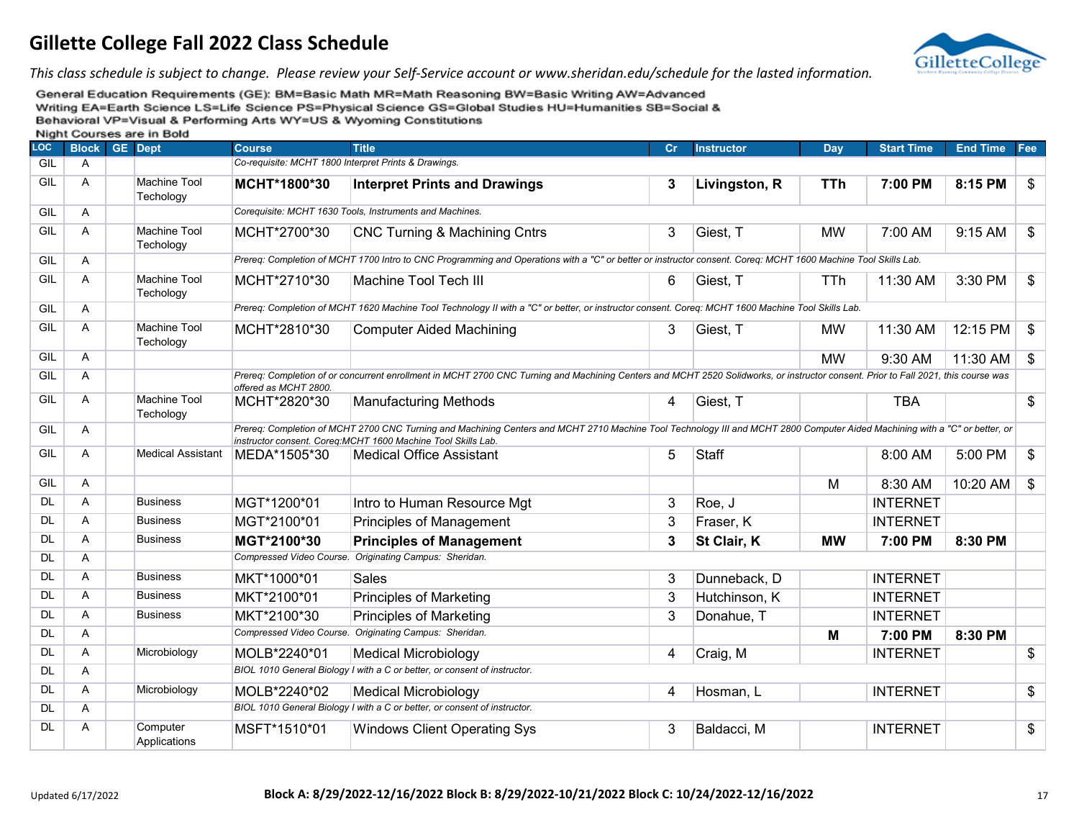

*This class schedule is subject to change. Please review your Self-Service account or www.sheridan.edu/schedule for the lasted information.*

| LOC       | <b>Block</b> | <b>GE</b> Dept                   | <b>Course</b>         | <b>Title</b>                                                                                                                                                                                                                                | cr | <b>Instructor</b> | <b>Day</b> | <b>Start Time</b> | <b>End Time</b> | Fee            |
|-----------|--------------|----------------------------------|-----------------------|---------------------------------------------------------------------------------------------------------------------------------------------------------------------------------------------------------------------------------------------|----|-------------------|------------|-------------------|-----------------|----------------|
| GIL       | A            |                                  |                       | Co-requisite: MCHT 1800 Interpret Prints & Drawings.                                                                                                                                                                                        |    |                   |            |                   |                 |                |
| GIL       | A            | <b>Machine Tool</b><br>Techology | MCHT*1800*30          | <b>Interpret Prints and Drawings</b>                                                                                                                                                                                                        | 3  | Livingston, R     | <b>TTh</b> | 7:00 PM           | 8:15 PM         | \$             |
| GIL       | A            |                                  |                       | Corequisite: MCHT 1630 Tools, Instruments and Machines.                                                                                                                                                                                     |    |                   |            |                   |                 |                |
| GIL       | A            | Machine Tool<br>Techology        | MCHT*2700*30          | <b>CNC Turning &amp; Machining Cntrs</b>                                                                                                                                                                                                    | 3  | Giest, T          | MW         | 7:00 AM           | 9:15 AM         | \$             |
| GIL       | A            |                                  |                       | Prereq: Completion of MCHT 1700 Intro to CNC Programming and Operations with a "C" or better or instructor consent. Coreq: MCHT 1600 Machine Tool Skills Lab.                                                                               |    |                   |            |                   |                 |                |
| GIL       | Α            | <b>Machine Tool</b><br>Techology | MCHT*2710*30          | <b>Machine Tool Tech III</b>                                                                                                                                                                                                                | 6  | Giest, T          | TTh        | 11:30 AM          | 3:30 PM         | \$             |
| GIL       | A            |                                  |                       | Prereq: Completion of MCHT 1620 Machine Tool Technology II with a "C" or better, or instructor consent. Coreq: MCHT 1600 Machine Tool Skills Lab.                                                                                           |    |                   |            |                   |                 |                |
| GIL       | A            | <b>Machine Tool</b><br>Techology | MCHT*2810*30          | <b>Computer Aided Machining</b>                                                                                                                                                                                                             | 3  | Giest, T          | <b>MW</b>  | 11:30 AM          | 12:15 PM        | \$             |
| GIL       | A            |                                  |                       |                                                                                                                                                                                                                                             |    |                   | <b>MW</b>  | 9:30 AM           | 11:30 AM        | $\mathfrak{P}$ |
| GIL       | A            |                                  | offered as MCHT 2800. | Prereq: Completion of or concurrent enrollment in MCHT 2700 CNC Turning and Machining Centers and MCHT 2520 Solidworks, or instructor consent. Prior to Fall 2021, this course was                                                          |    |                   |            |                   |                 |                |
| GIL       | A            | Machine Tool<br>Techology        | MCHT*2820*30          | <b>Manufacturing Methods</b>                                                                                                                                                                                                                | 4  | Giest, T          |            | <b>TBA</b>        |                 | $\mathfrak{S}$ |
| GIL       | A            |                                  |                       | Prereq: Completion of MCHT 2700 CNC Turning and Machining Centers and MCHT 2710 Machine Tool Technology III and MCHT 2800 Computer Aided Machining with a "C" or better, or<br>instructor consent. Coreg:MCHT 1600 Machine Tool Skills Lab. |    |                   |            |                   |                 |                |
| GIL       | A            | <b>Medical Assistant</b>         | MEDA*1505*30          | <b>Medical Office Assistant</b>                                                                                                                                                                                                             | 5  | Staff             |            | 8:00 AM           | 5:00 PM         | \$             |
| GIL       | A            |                                  |                       |                                                                                                                                                                                                                                             |    |                   | M          | 8:30 AM           | 10:20 AM        | \$             |
| <b>DL</b> | A            | <b>Business</b>                  | MGT*1200*01           | Intro to Human Resource Mgt                                                                                                                                                                                                                 | 3  | Roe, J            |            | <b>INTERNET</b>   |                 |                |
| <b>DL</b> | A            | <b>Business</b>                  | MGT*2100*01           | Principles of Management                                                                                                                                                                                                                    | 3  | Fraser, K         |            | <b>INTERNET</b>   |                 |                |
| <b>DL</b> | A            | <b>Business</b>                  | MGT*2100*30           | <b>Principles of Management</b>                                                                                                                                                                                                             | 3  | St Clair, K       | <b>MW</b>  | 7:00 PM           | 8:30 PM         |                |
| <b>DL</b> | A            |                                  |                       | Compressed Video Course. Originating Campus: Sheridan.                                                                                                                                                                                      |    |                   |            |                   |                 |                |
| <b>DL</b> | A            | <b>Business</b>                  | MKT*1000*01           | <b>Sales</b>                                                                                                                                                                                                                                | 3  | Dunneback, D      |            | <b>INTERNET</b>   |                 |                |
| <b>DL</b> | A            | <b>Business</b>                  | MKT*2100*01           | <b>Principles of Marketing</b>                                                                                                                                                                                                              | 3  | Hutchinson, K     |            | <b>INTERNET</b>   |                 |                |
| <b>DL</b> | A            | <b>Business</b>                  | MKT*2100*30           | <b>Principles of Marketing</b>                                                                                                                                                                                                              | 3  | Donahue, T        |            | <b>INTERNET</b>   |                 |                |
| <b>DL</b> | A            |                                  |                       | Compressed Video Course. Originating Campus: Sheridan.                                                                                                                                                                                      |    |                   | M          | 7:00 PM           | 8:30 PM         |                |
| <b>DL</b> | A            | Microbiology                     | MOLB*2240*01          | <b>Medical Microbiology</b>                                                                                                                                                                                                                 | 4  | Craig, M          |            | <b>INTERNET</b>   |                 | \$             |
| <b>DL</b> | A            |                                  |                       | BIOL 1010 General Biology I with a C or better, or consent of instructor.                                                                                                                                                                   |    |                   |            |                   |                 |                |
| <b>DL</b> | A            | Microbiology                     | MOLB*2240*02          | <b>Medical Microbiology</b>                                                                                                                                                                                                                 | 4  | Hosman, L         |            | <b>INTERNET</b>   |                 | \$             |
| <b>DL</b> | A            |                                  |                       | BIOL 1010 General Biology I with a C or better, or consent of instructor.                                                                                                                                                                   |    |                   |            |                   |                 |                |
| <b>DL</b> | A            | Computer<br>Applications         | MSFT*1510*01          | <b>Windows Client Operating Sys</b>                                                                                                                                                                                                         | 3  | Baldacci, M       |            | <b>INTERNET</b>   |                 | \$             |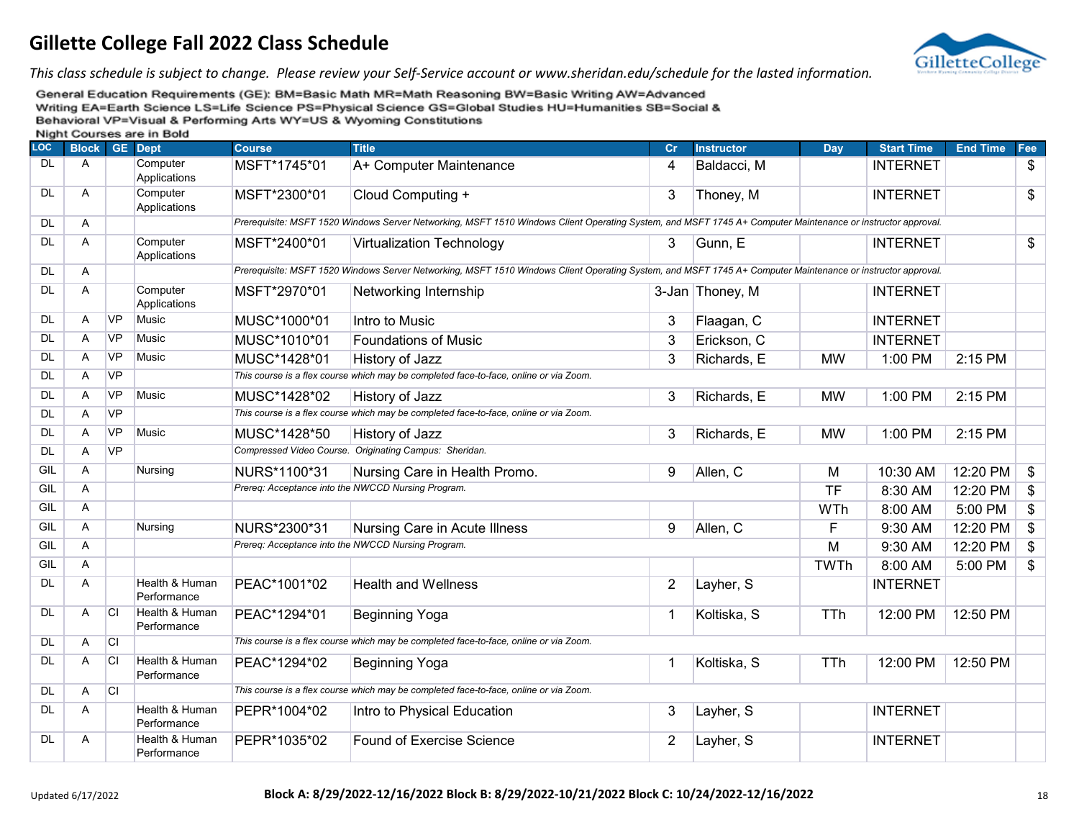

*This class schedule is subject to change. Please review your Self-Service account or www.sheridan.edu/schedule for the lasted information.*

| <b>LOC</b> | <b>Block</b> |           | GE Dept                       | <b>Course</b> | <b>Title</b>                                                                                                                                                | <b>Cr</b>      | <b>Instructor</b> | Day         | <b>Start Time</b> | <b>End Time</b> | Fee   |
|------------|--------------|-----------|-------------------------------|---------------|-------------------------------------------------------------------------------------------------------------------------------------------------------------|----------------|-------------------|-------------|-------------------|-----------------|-------|
| <b>DL</b>  | Α            |           | Computer<br>Applications      | MSFT*1745*01  | A+ Computer Maintenance                                                                                                                                     | 4              | Baldacci, M       |             | <b>INTERNET</b>   |                 | \$    |
| <b>DL</b>  | A            |           | Computer<br>Applications      | MSFT*2300*01  | Cloud Computing +                                                                                                                                           | 3              | Thoney, M         |             | <b>INTERNET</b>   |                 | \$    |
| <b>DL</b>  | A            |           |                               |               | Prerequisite: MSFT 1520 Windows Server Networking, MSFT 1510 Windows Client Operating System, and MSFT 1745 A+ Computer Maintenance or instructor approval. |                |                   |             |                   |                 |       |
| DL         | A            |           | Computer<br>Applications      | MSFT*2400*01  | <b>Virtualization Technology</b>                                                                                                                            | 3              | Gunn, E           |             | <b>INTERNET</b>   |                 | \$    |
| <b>DL</b>  | A            |           |                               |               | Prerequisite: MSFT 1520 Windows Server Networking, MSFT 1510 Windows Client Operating System, and MSFT 1745 A+ Computer Maintenance or instructor approval. |                |                   |             |                   |                 |       |
| <b>DL</b>  | A            |           | Computer<br>Applications      | MSFT*2970*01  | Networking Internship                                                                                                                                       |                | 3-Jan Thoney, M   |             | <b>INTERNET</b>   |                 |       |
| <b>DL</b>  | A            | <b>VP</b> | Music                         | MUSC*1000*01  | Intro to Music                                                                                                                                              | 3              | Flaagan, C        |             | <b>INTERNET</b>   |                 |       |
| <b>DL</b>  | A            | <b>VP</b> | <b>Music</b>                  | MUSC*1010*01  | <b>Foundations of Music</b>                                                                                                                                 | 3              | Erickson, C       |             | <b>INTERNET</b>   |                 |       |
| <b>DL</b>  | A            | <b>VP</b> | <b>Music</b>                  | MUSC*1428*01  | History of Jazz                                                                                                                                             | 3              | Richards, E       | <b>MW</b>   | 1:00 PM           | 2:15 PM         |       |
| <b>DL</b>  | A            | <b>VP</b> |                               |               | This course is a flex course which may be completed face-to-face, online or via Zoom.                                                                       |                |                   |             |                   |                 |       |
| <b>DL</b>  | Α            | <b>VP</b> | <b>Music</b>                  | MUSC*1428*02  | History of Jazz                                                                                                                                             | 3              | Richards, E       | <b>MW</b>   | 1:00 PM           | 2:15 PM         |       |
| DL         | Α            | <b>VP</b> |                               |               | This course is a flex course which may be completed face-to-face, online or via Zoom.                                                                       |                |                   |             |                   |                 |       |
| <b>DL</b>  | A            | <b>VP</b> | Music                         | MUSC*1428*50  | History of Jazz                                                                                                                                             | 3              | Richards, E       | <b>MW</b>   | 1:00 PM           | 2:15 PM         |       |
| <b>DL</b>  | A            | <b>VP</b> |                               |               | Compressed Video Course. Originating Campus: Sheridan.                                                                                                      |                |                   |             |                   |                 |       |
| GIL        | A            |           | Nursing                       | NURS*1100*31  | Nursing Care in Health Promo.                                                                                                                               | 9              | Allen, C          | M           | 10:30 AM          | 12:20 PM        | \$    |
| GIL        | A            |           |                               |               | Prereq: Acceptance into the NWCCD Nursing Program.                                                                                                          |                |                   | <b>TF</b>   | 8:30 AM           | 12:20 PM        | \$    |
| GIL        | A            |           |                               |               |                                                                                                                                                             |                |                   | WTh         | 8:00 AM           | 5:00 PM         | $\$\$ |
| GIL        | A            |           | Nursing                       | NURS*2300*31  | Nursing Care in Acute Illness                                                                                                                               | 9              | Allen, C          | F           | 9:30 AM           | 12:20 PM        | \$    |
| GIL        | A            |           |                               |               | Prereq: Acceptance into the NWCCD Nursing Program.                                                                                                          |                |                   | M           | 9:30 AM           | 12:20 PM        | \$    |
| GIL        | A            |           |                               |               |                                                                                                                                                             |                |                   | <b>TWTh</b> | 8:00 AM           | 5:00 PM         | \$    |
| <b>DL</b>  | A            |           | Health & Human<br>Performance | PEAC*1001*02  | <b>Health and Wellness</b>                                                                                                                                  | $\overline{2}$ | Layher, S         |             | <b>INTERNET</b>   |                 |       |
| DL         | A            | <b>CI</b> | Health & Human<br>Performance | PEAC*1294*01  | Beginning Yoga                                                                                                                                              | 1              | Koltiska, S       | TTh         | 12:00 PM          | 12:50 PM        |       |
| <b>DL</b>  | Α            | <b>CI</b> |                               |               | This course is a flex course which may be completed face-to-face, online or via Zoom.                                                                       |                |                   |             |                   |                 |       |
| <b>DL</b>  | A            | <b>CI</b> | Health & Human<br>Performance | PEAC*1294*02  | Beginning Yoga                                                                                                                                              | 1              | Koltiska, S       | TTh         | 12:00 PM          | 12:50 PM        |       |
| <b>DL</b>  | A            | <b>CI</b> |                               |               | This course is a flex course which may be completed face-to-face, online or via Zoom.                                                                       |                |                   |             |                   |                 |       |
| <b>DL</b>  | A            |           | Health & Human<br>Performance | PEPR*1004*02  | Intro to Physical Education                                                                                                                                 | 3              | Layher, S         |             | <b>INTERNET</b>   |                 |       |
| DL         | A            |           | Health & Human<br>Performance | PEPR*1035*02  | <b>Found of Exercise Science</b>                                                                                                                            | $\overline{2}$ | Layher, S         |             | <b>INTERNET</b>   |                 |       |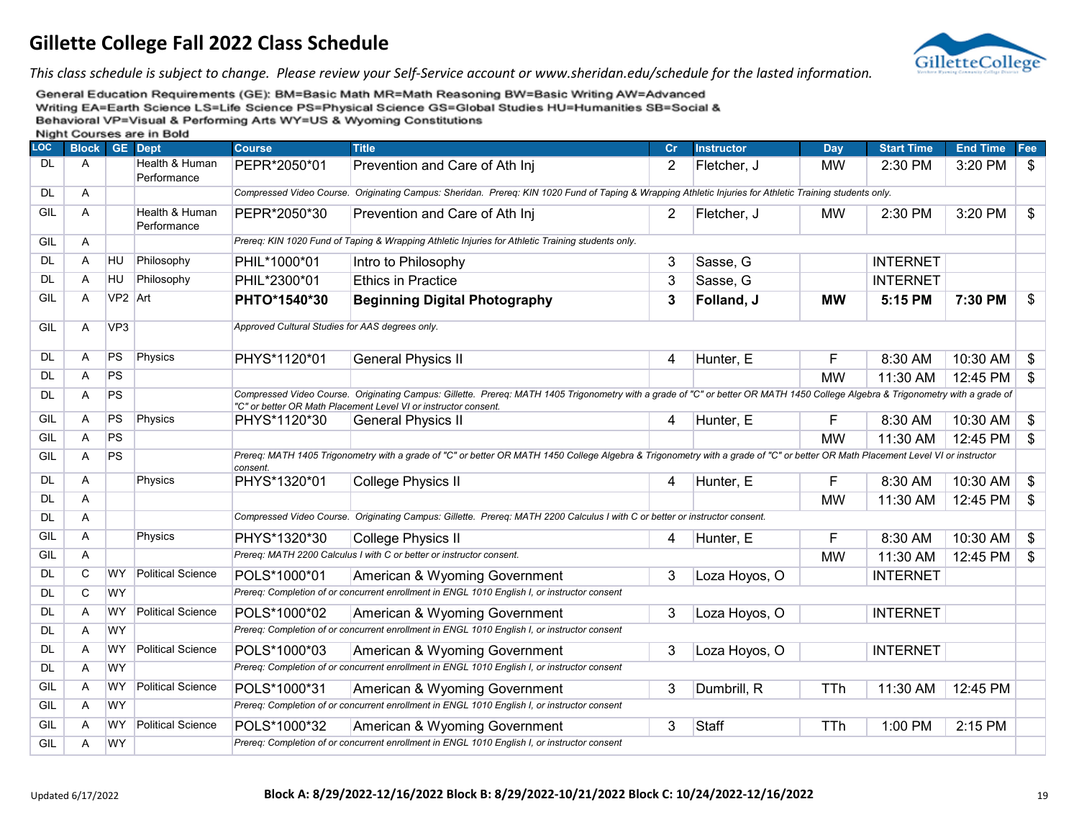

*This class schedule is subject to change. Please review your Self-Service account or www.sheridan.edu/schedule for the lasted information.*

| <b>LOC</b> | <b>Block</b> |                 | <b>GE</b> Dept                | <b>Course</b>                                   | <b>Title</b>                                                                                                                                                                                                                                       | Cr             | <b>Instructor</b> | Day        | <b>Start Time</b> | <b>End Time</b> | Fee            |
|------------|--------------|-----------------|-------------------------------|-------------------------------------------------|----------------------------------------------------------------------------------------------------------------------------------------------------------------------------------------------------------------------------------------------------|----------------|-------------------|------------|-------------------|-----------------|----------------|
| <b>DL</b>  | A            |                 | Health & Human<br>Performance | PEPR*2050*01                                    | Prevention and Care of Ath Inj                                                                                                                                                                                                                     | $\overline{2}$ | Fletcher, J       | <b>MW</b>  | 2:30 PM           | 3:20 PM         | \$             |
| <b>DL</b>  | Α            |                 |                               |                                                 | Compressed Video Course. Originating Campus: Sheridan. Prereq: KIN 1020 Fund of Taping & Wrapping Athletic Injuries for Athletic Training students only.                                                                                           |                |                   |            |                   |                 |                |
| GIL        | A            |                 | Health & Human<br>Performance | PEPR*2050*30                                    | Prevention and Care of Ath Inj                                                                                                                                                                                                                     | 2              | Fletcher, J       | <b>MW</b>  | 2:30 PM           | 3:20 PM         | \$             |
| GIL        | A            |                 |                               |                                                 | Prereq: KIN 1020 Fund of Taping & Wrapping Athletic Injuries for Athletic Training students only.                                                                                                                                                  |                |                   |            |                   |                 |                |
| <b>DL</b>  | A            | <b>HU</b>       | Philosophy                    | PHIL*1000*01                                    | Intro to Philosophy                                                                                                                                                                                                                                | 3              | Sasse, G          |            | <b>INTERNET</b>   |                 |                |
| <b>DL</b>  | A            | HU              | Philosophy                    | PHIL*2300*01                                    | <b>Ethics in Practice</b>                                                                                                                                                                                                                          | 3              | Sasse, G          |            | <b>INTERNET</b>   |                 |                |
| GIL        | A            | VP2 Art         |                               | PHTO*1540*30                                    | <b>Beginning Digital Photography</b>                                                                                                                                                                                                               | 3              | Folland, J        | <b>MW</b>  | 5:15 PM           | 7:30 PM         | \$             |
| GIL        | A            | VP <sub>3</sub> |                               | Approved Cultural Studies for AAS degrees only. |                                                                                                                                                                                                                                                    |                |                   |            |                   |                 |                |
| DL.        | A            | <b>PS</b>       | Physics                       | PHYS*1120*01                                    | <b>General Physics II</b>                                                                                                                                                                                                                          | 4              | Hunter, E         | F          | 8:30 AM           | 10:30 AM        | $\mathfrak{F}$ |
| <b>DL</b>  | A            | <b>PS</b>       |                               |                                                 |                                                                                                                                                                                                                                                    |                |                   | <b>MW</b>  | 11:30 AM          | 12:45 PM        | \$             |
| <b>DL</b>  | Α            | <b>PS</b>       |                               |                                                 | Compressed Video Course. Originating Campus: Gillette. Prereq: MATH 1405 Trigonometry with a grade of "C" or better OR MATH 1450 College Algebra & Trigonometry with a grade of<br>"C" or better OR Math Placement Level VI or instructor consent. |                |                   |            |                   |                 |                |
| GIL        | A            | PS              | Physics                       | PHYS*1120*30                                    | <b>General Physics II</b>                                                                                                                                                                                                                          | 4              | Hunter, E         | F          | 8:30 AM           | 10:30 AM        | \$             |
| GIL        | A            | <b>PS</b>       |                               |                                                 |                                                                                                                                                                                                                                                    |                |                   | <b>MW</b>  | 11:30 AM          | 12:45 PM        | \$             |
| GIL        | A            | <b>PS</b>       |                               | consent.                                        | Prereq: MATH 1405 Trigonometry with a grade of "C" or better OR MATH 1450 College Algebra & Trigonometry with a grade of "C" or better OR Math Placement Level VI or instructor                                                                    |                |                   |            |                   |                 |                |
| <b>DL</b>  | Α            |                 | Physics                       | PHYS*1320*01                                    | College Physics II                                                                                                                                                                                                                                 | 4              | Hunter, E         | F          | 8:30 AM           | 10:30 AM        | $\frac{1}{2}$  |
| <b>DL</b>  | Α            |                 |                               |                                                 |                                                                                                                                                                                                                                                    |                |                   | <b>MW</b>  | 11:30 AM          | 12:45 PM        | \$             |
| <b>DL</b>  | Α            |                 |                               |                                                 | Compressed Video Course. Originating Campus: Gillette. Prereq: MATH 2200 Calculus I with C or better or instructor consent.                                                                                                                        |                |                   |            |                   |                 |                |
| GIL        | A            |                 | Physics                       | PHYS*1320*30                                    | <b>College Physics II</b>                                                                                                                                                                                                                          | 4              | Hunter, E         | F          | 8:30 AM           | 10:30 AM        | $\frac{1}{2}$  |
| GIL        | A            |                 |                               |                                                 | Prereg: MATH 2200 Calculus I with C or better or instructor consent.                                                                                                                                                                               |                |                   | <b>MW</b>  | 11:30 AM          | 12:45 PM        | \$             |
| <b>DL</b>  | C            | <b>WY</b>       | <b>Political Science</b>      | POLS*1000*01                                    | American & Wyoming Government                                                                                                                                                                                                                      | 3              | Loza Hoyos, O     |            | <b>INTERNET</b>   |                 |                |
| <b>DL</b>  | C            | <b>WY</b>       |                               |                                                 | Prereq: Completion of or concurrent enrollment in ENGL 1010 English I, or instructor consent                                                                                                                                                       |                |                   |            |                   |                 |                |
| <b>DL</b>  | A            | <b>WY</b>       | <b>Political Science</b>      | POLS*1000*02                                    | American & Wyoming Government                                                                                                                                                                                                                      | 3              | Loza Hoyos, O     |            | <b>INTERNET</b>   |                 |                |
| <b>DL</b>  | A            | <b>WY</b>       |                               |                                                 | Prereq: Completion of or concurrent enrollment in ENGL 1010 English I, or instructor consent                                                                                                                                                       |                |                   |            |                   |                 |                |
| <b>DL</b>  | Α            | WY              | <b>Political Science</b>      | POLS*1000*03                                    | American & Wyoming Government                                                                                                                                                                                                                      | 3              | Loza Hoyos, O     |            | <b>INTERNET</b>   |                 |                |
| <b>DL</b>  | Α            | WY              |                               |                                                 | Prereq: Completion of or concurrent enrollment in ENGL 1010 English I, or instructor consent                                                                                                                                                       |                |                   |            |                   |                 |                |
| GIL        | A            | <b>WY</b>       | <b>Political Science</b>      | POLS*1000*31                                    | American & Wyoming Government                                                                                                                                                                                                                      | 3              | Dumbrill, R       | TTh        | 11:30 AM          | 12:45 PM        |                |
| GIL        | Α            | <b>WY</b>       |                               |                                                 | Prereq: Completion of or concurrent enrollment in ENGL 1010 English I, or instructor consent                                                                                                                                                       |                |                   |            |                   |                 |                |
| GIL        | A            | <b>WY</b>       | Political Science             | POLS*1000*32                                    | American & Wyoming Government                                                                                                                                                                                                                      | 3              | <b>Staff</b>      | <b>TTh</b> | 1:00 PM           | 2:15 PM         |                |
| GIL        | A            | <b>WY</b>       |                               |                                                 | Prereq: Completion of or concurrent enrollment in ENGL 1010 English I, or instructor consent                                                                                                                                                       |                |                   |            |                   |                 |                |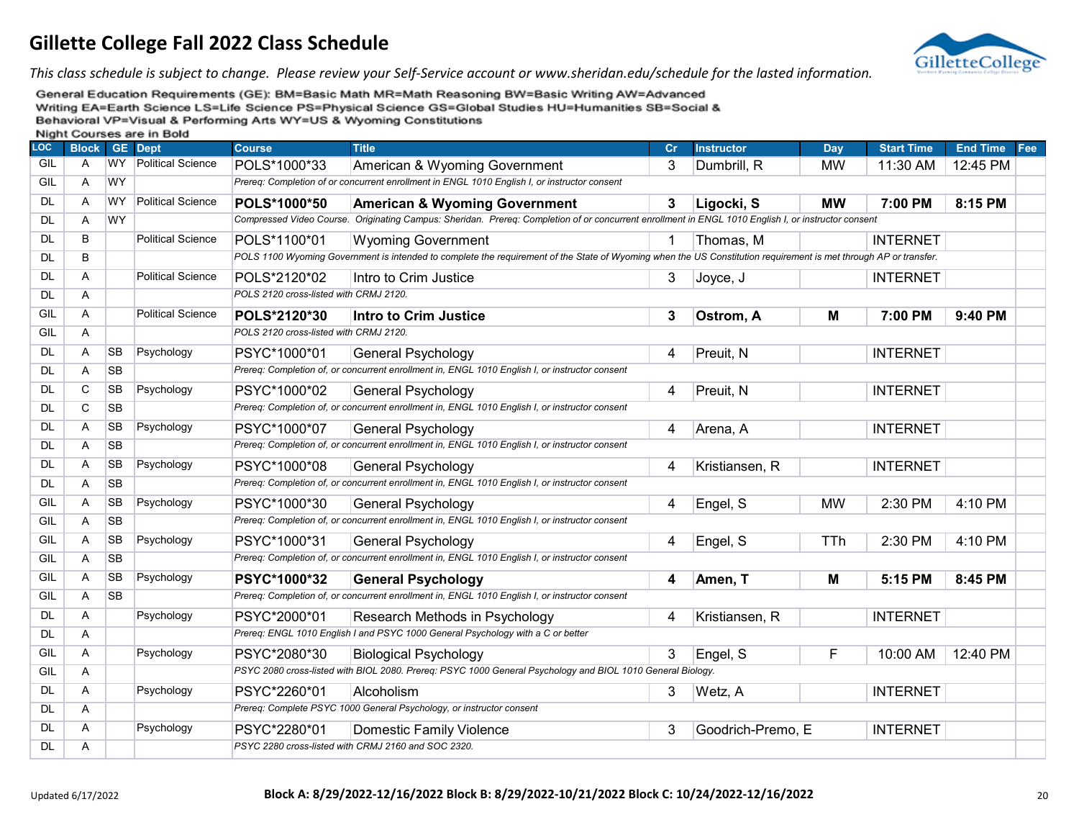

*This class schedule is subject to change. Please review your Self-Service account or www.sheridan.edu/schedule for the lasted information.*

| <b>LOC</b> | <b>Block</b> |           | <b>GE</b> Dept           | <b>Course</b>                          | <b>Title</b>                                                                                                                                                     | Cr          | <b>Instructor</b> | Day        | <b>Start Time</b> | End Time Fee |  |
|------------|--------------|-----------|--------------------------|----------------------------------------|------------------------------------------------------------------------------------------------------------------------------------------------------------------|-------------|-------------------|------------|-------------------|--------------|--|
| GIL        | A            | WY.       | <b>Political Science</b> | POLS*1000*33                           | American & Wyoming Government                                                                                                                                    | 3           | Dumbrill, R       | <b>MW</b>  | 11:30 AM          | 12:45 PM     |  |
| GIL        | A            | <b>WY</b> |                          |                                        | Prereq: Completion of or concurrent enrollment in ENGL 1010 English I, or instructor consent                                                                     |             |                   |            |                   |              |  |
| <b>DL</b>  | A            | <b>WY</b> | <b>Political Science</b> | POLS*1000*50                           | <b>American &amp; Wyoming Government</b>                                                                                                                         | 3           | Ligocki, S        | <b>MW</b>  | 7:00 PM           | 8:15 PM      |  |
| <b>DL</b>  | Α            | <b>WY</b> |                          |                                        | Compressed Video Course. Originating Campus: Sheridan. Prereq: Completion of or concurrent enrollment in ENGL 1010 English I, or instructor consent              |             |                   |            |                   |              |  |
| <b>DL</b>  | B            |           | <b>Political Science</b> | POLS*1100*01                           | <b>Wyoming Government</b>                                                                                                                                        | $\mathbf 1$ | Thomas, M         |            | <b>INTERNET</b>   |              |  |
| <b>DL</b>  | B            |           |                          |                                        | POLS 1100 Wyoming Government is intended to complete the requirement of the State of Wyoming when the US Constitution requirement is met through AP or transfer. |             |                   |            |                   |              |  |
| <b>DL</b>  | Α            |           | <b>Political Science</b> | POLS*2120*02                           | Intro to Crim Justice                                                                                                                                            | 3           | Joyce, J          |            | <b>INTERNET</b>   |              |  |
| <b>DL</b>  | Α            |           |                          | POLS 2120 cross-listed with CRMJ 2120. |                                                                                                                                                                  |             |                   |            |                   |              |  |
| GIL        | Α            |           | <b>Political Science</b> | POLS*2120*30                           | <b>Intro to Crim Justice</b>                                                                                                                                     | 3           | Ostrom, A         | м          | 7:00 PM           | 9:40 PM      |  |
| GIL        | A            |           |                          | POLS 2120 cross-listed with CRMJ 2120. |                                                                                                                                                                  |             |                   |            |                   |              |  |
| <b>DL</b>  | A            | <b>SB</b> | Psychology               | PSYC*1000*01                           | <b>General Psychology</b>                                                                                                                                        | 4           | Preuit, N         |            | <b>INTERNET</b>   |              |  |
| <b>DL</b>  | Α            | <b>SB</b> |                          |                                        | Prereq: Completion of, or concurrent enrollment in, ENGL 1010 English I, or instructor consent                                                                   |             |                   |            |                   |              |  |
| <b>DL</b>  | C            | <b>SB</b> | Psychology               | PSYC*1000*02                           | <b>General Psychology</b>                                                                                                                                        | 4           | Preuit, N         |            | <b>INTERNET</b>   |              |  |
| <b>DL</b>  | C            | <b>SB</b> |                          |                                        | Prereq: Completion of, or concurrent enrollment in, ENGL 1010 English I, or instructor consent                                                                   |             |                   |            |                   |              |  |
| DL         | Α            | <b>SB</b> | Psychology               | PSYC*1000*07                           | General Psychology                                                                                                                                               | 4           | Arena, A          |            | <b>INTERNET</b>   |              |  |
| <b>DL</b>  | A            | <b>SB</b> |                          |                                        | Prereq: Completion of, or concurrent enrollment in, ENGL 1010 English I, or instructor consent                                                                   |             |                   |            |                   |              |  |
| <b>DL</b>  | Α            | <b>SB</b> | Psychology               | PSYC*1000*08                           | <b>General Psychology</b>                                                                                                                                        | 4           | Kristiansen, R    |            | <b>INTERNET</b>   |              |  |
| <b>DL</b>  | A            | <b>SB</b> |                          |                                        | Prereq: Completion of, or concurrent enrollment in, ENGL 1010 English I, or instructor consent                                                                   |             |                   |            |                   |              |  |
| GIL        | Α            | <b>SB</b> | Psychology               | PSYC*1000*30                           | <b>General Psychology</b>                                                                                                                                        | 4           | Engel, S          | <b>MW</b>  | 2:30 PM           | 4:10 PM      |  |
| GIL        | A            | <b>SB</b> |                          |                                        | Prereq: Completion of, or concurrent enrollment in, ENGL 1010 English I, or instructor consent                                                                   |             |                   |            |                   |              |  |
| GIL        | Α            | <b>SB</b> | Psychology               | PSYC*1000*31                           | <b>General Psychology</b>                                                                                                                                        | 4           | Engel, S          | <b>TTh</b> | 2:30 PM           | 4:10 PM      |  |
| GIL        | Α            | <b>SB</b> |                          |                                        | Prereq: Completion of, or concurrent enrollment in, ENGL 1010 English I, or instructor consent                                                                   |             |                   |            |                   |              |  |
| GIL        | A            | <b>SB</b> | Psychology               | PSYC*1000*32                           | <b>General Psychology</b>                                                                                                                                        | 4           | Amen, T           | м          | 5:15 PM           | 8:45 PM      |  |
| GIL        | Α            | <b>SB</b> |                          |                                        | Prereq: Completion of, or concurrent enrollment in, ENGL 1010 English I, or instructor consent                                                                   |             |                   |            |                   |              |  |
| <b>DL</b>  | Α            |           | Psychology               | PSYC*2000*01                           | Research Methods in Psychology                                                                                                                                   | 4           | Kristiansen, R    |            | <b>INTERNET</b>   |              |  |
| <b>DL</b>  | Α            |           |                          |                                        | Prereq: ENGL 1010 English I and PSYC 1000 General Psychology with a C or better                                                                                  |             |                   |            |                   |              |  |
| GIL        | A            |           | Psychology               | PSYC*2080*30                           | <b>Biological Psychology</b>                                                                                                                                     | 3           | Engel, S          | F          | 10:00 AM          | 12:40 PM     |  |
| GIL        | Α            |           |                          |                                        | PSYC 2080 cross-listed with BIOL 2080. Prereq: PSYC 1000 General Psychology and BIOL 1010 General Biology.                                                       |             |                   |            |                   |              |  |
| DL         | A            |           | Psychology               | PSYC*2260*01                           | Alcoholism                                                                                                                                                       | 3           | Wetz, A           |            | <b>INTERNET</b>   |              |  |
| <b>DL</b>  | Α            |           |                          |                                        | Prereq: Complete PSYC 1000 General Psychology, or instructor consent                                                                                             |             |                   |            |                   |              |  |
| DL         | Α            |           | Psychology               | PSYC*2280*01                           | <b>Domestic Family Violence</b>                                                                                                                                  | 3           | Goodrich-Premo, E |            | <b>INTERNET</b>   |              |  |
| <b>DL</b>  | A            |           |                          |                                        | PSYC 2280 cross-listed with CRMJ 2160 and SOC 2320.                                                                                                              |             |                   |            |                   |              |  |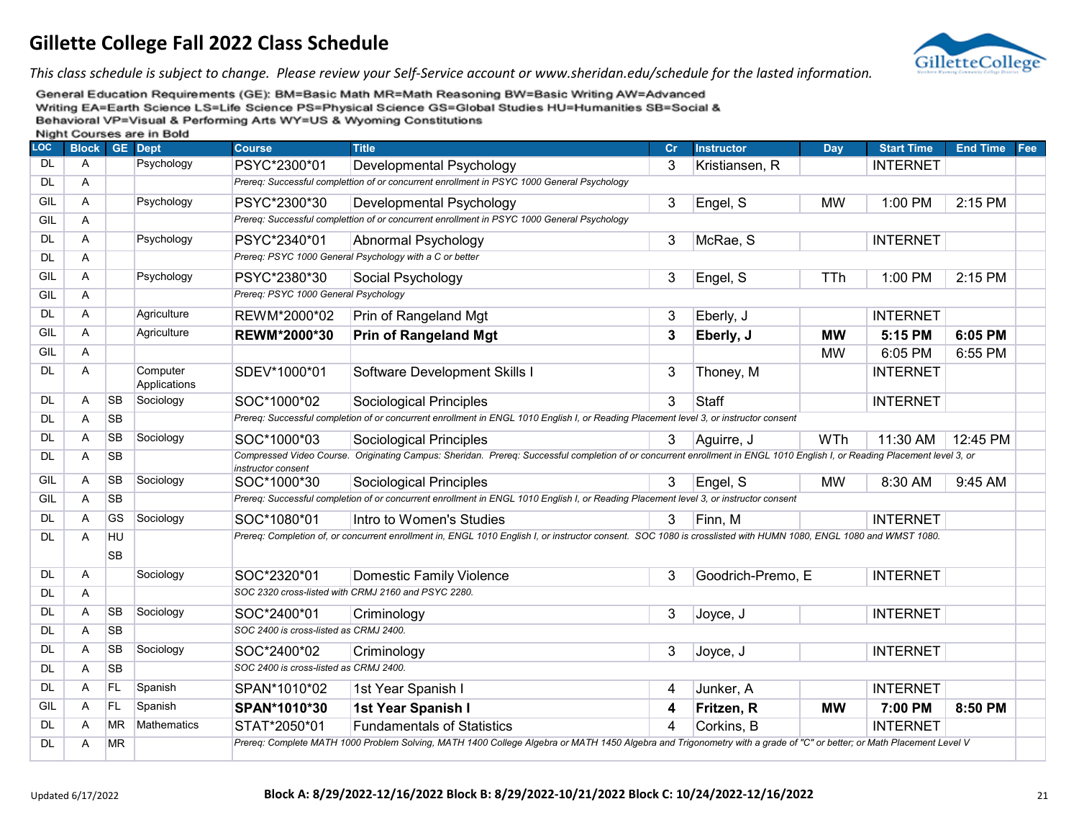

*This class schedule is subject to change. Please review your Self-Service account or www.sheridan.edu/schedule for the lasted information.*

| LOC       | <b>Block GE Dept</b> |                 | <b>THISHIII</b> OCCIDED ON CHILDONG | <b>Course</b>                          | <b>Title</b>                                                                                                                                                              | Cr | <b>Instructor</b> | Day        | <b>Start Time</b> | <b>End Time</b> | Fee |
|-----------|----------------------|-----------------|-------------------------------------|----------------------------------------|---------------------------------------------------------------------------------------------------------------------------------------------------------------------------|----|-------------------|------------|-------------------|-----------------|-----|
| <b>DL</b> | $\mathsf{A}$         |                 | Psychology                          | PSYC*2300*01                           | Developmental Psychology                                                                                                                                                  | 3  | Kristiansen, R    |            | <b>INTERNET</b>   |                 |     |
| <b>DL</b> | Α                    |                 |                                     |                                        | Prereq: Successful complettion of or concurrent enrollment in PSYC 1000 General Psychology                                                                                |    |                   |            |                   |                 |     |
| GIL       | Α                    |                 | Psychology                          | PSYC*2300*30                           | Developmental Psychology                                                                                                                                                  | 3  | Engel, S          | <b>MW</b>  | 1:00 PM           | 2:15 PM         |     |
| GIL       | A                    |                 |                                     |                                        | Prereq: Successful complettion of or concurrent enrollment in PSYC 1000 General Psychology                                                                                |    |                   |            |                   |                 |     |
| <b>DL</b> | $\mathsf{A}$         |                 | Psychology                          | PSYC*2340*01                           | Abnormal Psychology                                                                                                                                                       | 3  | McRae, S          |            | <b>INTERNET</b>   |                 |     |
| <b>DL</b> | Α                    |                 |                                     |                                        | Prereq: PSYC 1000 General Psychology with a C or better                                                                                                                   |    |                   |            |                   |                 |     |
| GIL       | A                    |                 | Psychology                          | PSYC*2380*30                           | Social Psychology                                                                                                                                                         | 3  | Engel, S          | TTh        | 1:00 PM           | 2:15 PM         |     |
| GIL       | Α                    |                 |                                     | Prereq: PSYC 1000 General Psychology   |                                                                                                                                                                           |    |                   |            |                   |                 |     |
| <b>DL</b> | $\mathsf{A}$         |                 | Agriculture                         | REWM*2000*02                           | Prin of Rangeland Mgt                                                                                                                                                     | 3  | Eberly, J         |            | <b>INTERNET</b>   |                 |     |
| GIL       | Α                    |                 | Agriculture                         | REWM*2000*30                           | <b>Prin of Rangeland Mgt</b>                                                                                                                                              | 3  | Eberly, J         | <b>MW</b>  | 5:15 PM           | 6:05 PM         |     |
| GIL       | Α                    |                 |                                     |                                        |                                                                                                                                                                           |    |                   | <b>MW</b>  | 6:05 PM           | 6:55 PM         |     |
| <b>DL</b> | $\overline{A}$       |                 | Computer<br>Applications            | SDEV*1000*01                           | Software Development Skills I                                                                                                                                             | 3  | Thoney, M         |            | <b>INTERNET</b>   |                 |     |
| <b>DL</b> | $\overline{A}$       | <b>SB</b>       | Sociology                           | SOC*1000*02                            | <b>Sociological Principles</b>                                                                                                                                            | 3  | Staff             |            | <b>INTERNET</b>   |                 |     |
| DL        | Α                    | <b>SB</b>       |                                     |                                        | Prereq: Successful completion of or concurrent enrollment in ENGL 1010 English I, or Reading Placement level 3, or instructor consent                                     |    |                   |            |                   |                 |     |
| <b>DL</b> | A                    | <b>SB</b>       | Sociology                           | SOC*1000*03                            | <b>Sociological Principles</b>                                                                                                                                            | 3  | Aguirre, J        | <b>WTh</b> | 11:30 AM          | 12:45 PM        |     |
| DL.       | $\overline{A}$       | <b>SB</b>       |                                     | instructor consent                     | Compressed Video Course. Originating Campus: Sheridan. Prereq: Successful completion of or concurrent enrollment in ENGL 1010 English I, or Reading Placement level 3, or |    |                   |            |                   |                 |     |
| GIL       | Α                    | <b>SB</b>       | Sociology                           | SOC*1000*30                            | <b>Sociological Principles</b>                                                                                                                                            | 3  | Engel, S          | <b>MW</b>  | 8:30 AM           | 9:45 AM         |     |
| GIL       | Α                    | <b>SB</b>       |                                     |                                        | Prereq: Successful completion of or concurrent enrollment in ENGL 1010 English I, or Reading Placement level 3, or instructor consent                                     |    |                   |            |                   |                 |     |
| <b>DL</b> | A                    | <b>GS</b>       | Sociology                           | SOC*1080*01                            | Intro to Women's Studies                                                                                                                                                  | 3  | Finn, M           |            | <b>INTERNET</b>   |                 |     |
| DL        | Α                    | HU<br><b>SB</b> |                                     |                                        | Prereq: Completion of, or concurrent enrollment in, ENGL 1010 English I, or instructor consent. SOC 1080 is crosslisted with HUMN 1080, ENGL 1080 and WMST 1080.          |    |                   |            |                   |                 |     |
| <b>DL</b> | Α                    |                 | Sociology                           | SOC*2320*01                            | <b>Domestic Family Violence</b>                                                                                                                                           | 3  | Goodrich-Premo, E |            | <b>INTERNET</b>   |                 |     |
| <b>DL</b> | A                    |                 |                                     |                                        | SOC 2320 cross-listed with CRMJ 2160 and PSYC 2280.                                                                                                                       |    |                   |            |                   |                 |     |
| <b>DL</b> | Α                    | <b>SB</b>       | Sociology                           | SOC*2400*01                            | Criminology                                                                                                                                                               | 3  | Joyce, J          |            | <b>INTERNET</b>   |                 |     |
| DL        | A                    | <b>SB</b>       |                                     | SOC 2400 is cross-listed as CRMJ 2400. |                                                                                                                                                                           |    |                   |            |                   |                 |     |
| <b>DL</b> | Α                    | <b>SB</b>       | Sociology                           | SOC*2400*02                            | Criminology                                                                                                                                                               | 3  | Joyce, J          |            | <b>INTERNET</b>   |                 |     |
| DL        | A                    | <b>SB</b>       |                                     | SOC 2400 is cross-listed as CRMJ 2400. |                                                                                                                                                                           |    |                   |            |                   |                 |     |
| <b>DL</b> | A                    | <b>FL</b>       | Spanish                             | SPAN*1010*02                           | 1st Year Spanish I                                                                                                                                                        | 4  | Junker, A         |            | <b>INTERNET</b>   |                 |     |
| GIL       | Α                    | FL              | Spanish                             | SPAN*1010*30                           | 1st Year Spanish I                                                                                                                                                        | 4  | Fritzen, R        | <b>MW</b>  | 7:00 PM           | 8:50 PM         |     |
| DL        | A                    | <b>MR</b>       | Mathematics                         | STAT*2050*01                           | <b>Fundamentals of Statistics</b>                                                                                                                                         | 4  | Corkins, B        |            | <b>INTERNET</b>   |                 |     |
| DL.       | A                    | <b>MR</b>       |                                     |                                        | Prereq: Complete MATH 1000 Problem Solving, MATH 1400 College Algebra or MATH 1450 Algebra and Trigonometry with a grade of "C" or better; or Math Placement Level V      |    |                   |            |                   |                 |     |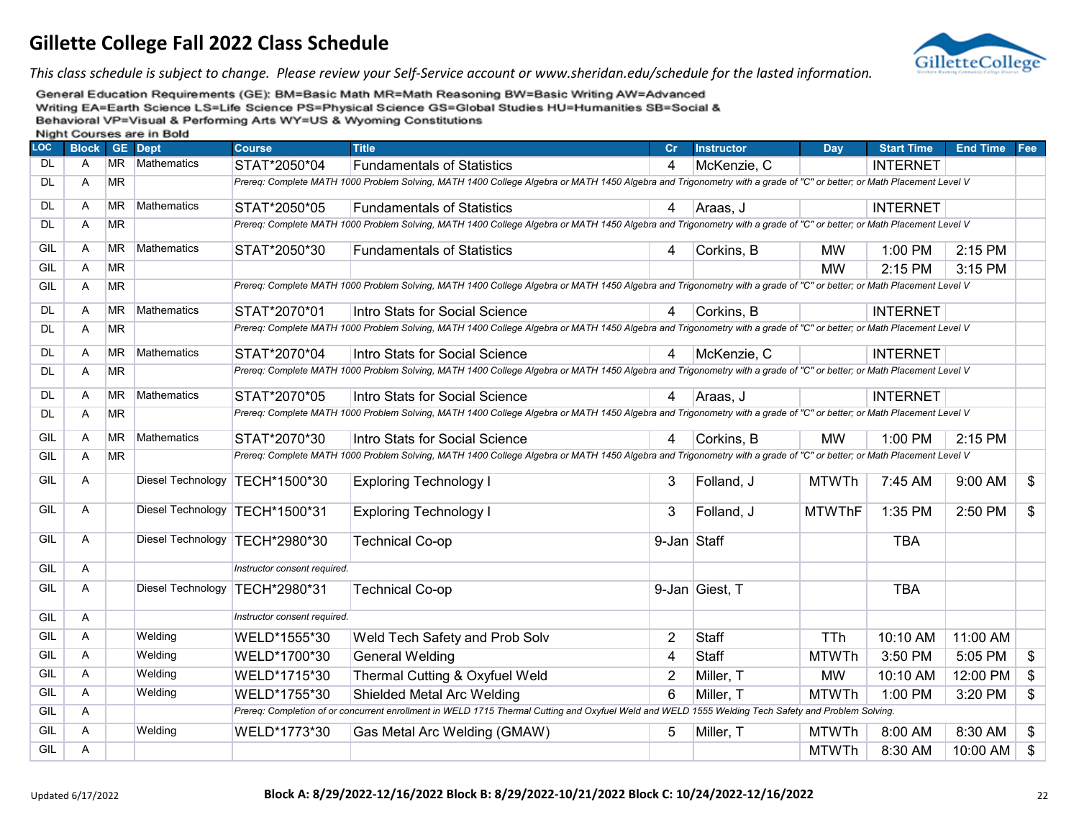

*This class schedule is subject to change. Please review your Self-Service account or www.sheridan.edu/schedule for the lasted information.*

| <b>LOC</b> | <b>Block</b>   |           | <b>GE</b> Dept           | <b>Course</b>                    | <b>Title</b>                                                                                                                                                         | Cr             | <b>Instructor</b> | Day           | <b>Start Time</b> | <b>End Time</b> | Fee                       |
|------------|----------------|-----------|--------------------------|----------------------------------|----------------------------------------------------------------------------------------------------------------------------------------------------------------------|----------------|-------------------|---------------|-------------------|-----------------|---------------------------|
| <b>DL</b>  | $\mathsf{A}$   | <b>MR</b> | Mathematics              | STAT*2050*04                     | <b>Fundamentals of Statistics</b>                                                                                                                                    | 4              | McKenzie, C       |               | <b>INTERNET</b>   |                 |                           |
| DL         | Α              | <b>MR</b> |                          |                                  | Prereq: Complete MATH 1000 Problem Solving, MATH 1400 College Algebra or MATH 1450 Algebra and Trigonometry with a grade of "C" or better; or Math Placement Level V |                |                   |               |                   |                 |                           |
| <b>DL</b>  | A              | <b>MR</b> | Mathematics              | STAT*2050*05                     | <b>Fundamentals of Statistics</b>                                                                                                                                    | 4              | Araas, J          |               | <b>INTERNET</b>   |                 |                           |
| <b>DL</b>  | $\overline{A}$ | <b>MR</b> |                          |                                  | Prereg: Complete MATH 1000 Problem Solving, MATH 1400 College Algebra or MATH 1450 Algebra and Trigonometry with a grade of "C" or better; or Math Placement Level V |                |                   |               |                   |                 |                           |
| GIL        | $\mathsf{A}$   | <b>MR</b> | Mathematics              | STAT*2050*30                     | <b>Fundamentals of Statistics</b>                                                                                                                                    | 4              | Corkins, B        | <b>MW</b>     | 1:00 PM           | 2:15 PM         |                           |
| GIL        | $\overline{A}$ | <b>MR</b> |                          |                                  |                                                                                                                                                                      |                |                   | <b>MW</b>     | 2:15 PM           | 3:15 PM         |                           |
| <b>GIL</b> | $\overline{A}$ | <b>MR</b> |                          |                                  | Prereg: Complete MATH 1000 Problem Solving, MATH 1400 College Algebra or MATH 1450 Algebra and Trigonometry with a grade of "C" or better; or Math Placement Level V |                |                   |               |                   |                 |                           |
| <b>DL</b>  | Α              | <b>MR</b> | Mathematics              | STAT*2070*01                     | Intro Stats for Social Science                                                                                                                                       | 4              | Corkins, B        |               | <b>INTERNET</b>   |                 |                           |
| DL.        | A              | <b>MR</b> |                          |                                  | Prereq: Complete MATH 1000 Problem Solving, MATH 1400 College Algebra or MATH 1450 Algebra and Trigonometry with a grade of "C" or better; or Math Placement Level V |                |                   |               |                   |                 |                           |
| DL         | Α              | <b>MR</b> | Mathematics              | STAT*2070*04                     | Intro Stats for Social Science                                                                                                                                       | 4              | McKenzie, C       |               | <b>INTERNET</b>   |                 |                           |
| DL         | A              | <b>MR</b> |                          |                                  | Prereq: Complete MATH 1000 Problem Solving, MATH 1400 College Algebra or MATH 1450 Algebra and Trigonometry with a grade of "C" or better; or Math Placement Level V |                |                   |               |                   |                 |                           |
| DL         | $\mathsf{A}$   | <b>MR</b> | Mathematics              | STAT*2070*05                     | Intro Stats for Social Science                                                                                                                                       | 4              | ل ,Araas          |               | <b>INTERNET</b>   |                 |                           |
| DL         | Α              | <b>MR</b> |                          |                                  | Prereg: Complete MATH 1000 Problem Solving, MATH 1400 College Algebra or MATH 1450 Algebra and Trigonometry with a grade of "C" or better; or Math Placement Level V |                |                   |               |                   |                 |                           |
| GIL        | A              | <b>MR</b> | <b>Mathematics</b>       | STAT*2070*30                     | Intro Stats for Social Science                                                                                                                                       | 4              | Corkins, B        | <b>MW</b>     | 1:00 PM           | 2:15 PM         |                           |
| GIL        | A              | <b>MR</b> |                          |                                  | Prereq: Complete MATH 1000 Problem Solving, MATH 1400 College Algebra or MATH 1450 Algebra and Trigonometry with a grade of "C" or better; or Math Placement Level V |                |                   |               |                   |                 |                           |
| GIL        | Α              |           |                          | Diesel Technology   TECH*1500*30 | <b>Exploring Technology I</b>                                                                                                                                        | 3              | Folland, J        | <b>MTWTh</b>  | 7:45 AM           | 9:00 AM         | $\$\$                     |
| GIL        | Α              |           |                          | Diesel Technology   TECH*1500*31 | <b>Exploring Technology I</b>                                                                                                                                        | 3              | Folland, J        | <b>MTWThF</b> | 1:35 PM           | 2:50 PM         | \$                        |
| GIL        | Α              |           | Diesel Technology        | TECH*2980*30                     | <b>Technical Co-op</b>                                                                                                                                               | 9-Jan Staff    |                   |               | <b>TBA</b>        |                 |                           |
| GIL        | A              |           |                          | Instructor consent required.     |                                                                                                                                                                      |                |                   |               |                   |                 |                           |
| GIL        | A              |           | <b>Diesel Technology</b> | TECH*2980*31                     | <b>Technical Co-op</b>                                                                                                                                               |                | 9-Jan Giest, T    |               | <b>TBA</b>        |                 |                           |
| GIL        | A              |           |                          | Instructor consent required.     |                                                                                                                                                                      |                |                   |               |                   |                 |                           |
| GIL        | Α              |           | Welding                  | WELD*1555*30                     | Weld Tech Safety and Prob Solv                                                                                                                                       | $\overline{2}$ | Staff             | <b>TTh</b>    | 10:10 AM          | 11:00 AM        |                           |
| GIL        | A              |           | Welding                  | WELD*1700*30                     | <b>General Welding</b>                                                                                                                                               | $\overline{4}$ | Staff             | MTWTh         | 3:50 PM           | 5:05 PM         | \$                        |
| GIL        | A              |           | Welding                  | WELD*1715*30                     | Thermal Cutting & Oxyfuel Weld                                                                                                                                       | $\overline{2}$ | Miller, T         | <b>MW</b>     | 10:10 AM          | 12:00 PM        | \$                        |
| GIL        | Α              |           | Welding                  | WELD*1755*30                     | Shielded Metal Arc Welding                                                                                                                                           | 6              | Miller, T         | <b>MTWTh</b>  | 1:00 PM           | 3:20 PM         | \$                        |
| GIL        | Α              |           |                          |                                  | Prereq: Completion of or concurrent enrollment in WELD 1715 Thermal Cutting and Oxyfuel Weld and WELD 1555 Welding Tech Safety and Problem Solving.                  |                |                   |               |                   |                 |                           |
| GIL        | Α              |           | Welding                  | WELD*1773*30                     | Gas Metal Arc Welding (GMAW)                                                                                                                                         | 5              | Miller, T         | <b>MTWTh</b>  | 8:00 AM           | 8:30 AM         | \$                        |
| GIL        | Α              |           |                          |                                  |                                                                                                                                                                      |                |                   | <b>MTWTh</b>  | 8:30 AM           | 10:00 AM        | $\boldsymbol{\mathsf{s}}$ |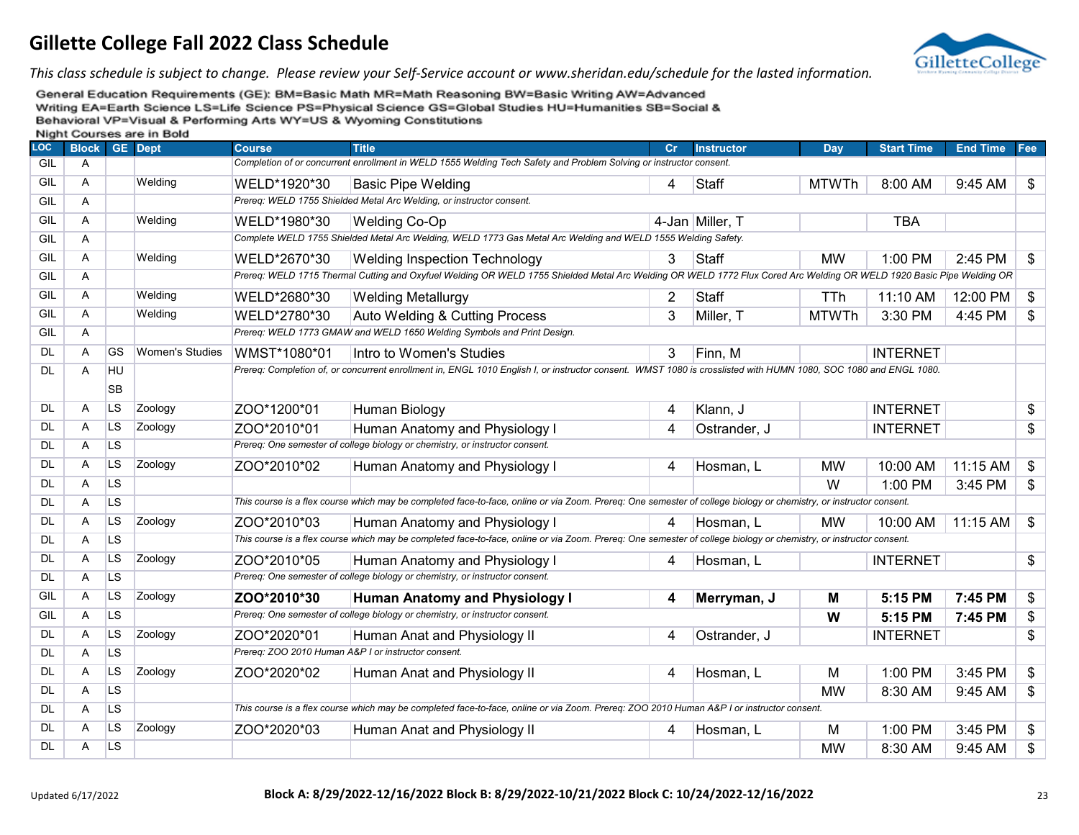

*This class schedule is subject to change. Please review your Self-Service account or www.sheridan.edu/schedule for the lasted information.*

| <b>LOC</b> | <b>Block</b> |                | <b>GE</b> Dept         | <b>Course</b> | <b>Title</b>                                                                                                                                                         | Cr | <b>Instructor</b> | Dav          | <b>Start Time</b> | <b>End Time</b> | Fee |
|------------|--------------|----------------|------------------------|---------------|----------------------------------------------------------------------------------------------------------------------------------------------------------------------|----|-------------------|--------------|-------------------|-----------------|-----|
| GIL        | Α            |                |                        |               | Completion of or concurrent enrollment in WELD 1555 Welding Tech Safety and Problem Solving or instructor consent.                                                   |    |                   |              |                   |                 |     |
| GIL        | Α            |                | Welding                | WELD*1920*30  | <b>Basic Pipe Welding</b>                                                                                                                                            | 4  | Staff             | <b>MTWTh</b> | 8:00 AM           | 9:45 AM         | \$  |
| GIL        | Α            |                |                        |               | Prereq: WELD 1755 Shielded Metal Arc Welding, or instructor consent.                                                                                                 |    |                   |              |                   |                 |     |
| GIL        | A            |                | Welding                | WELD*1980*30  | <b>Welding Co-Op</b>                                                                                                                                                 |    | 4-Jan Miller, T   |              | <b>TBA</b>        |                 |     |
| GIL        | Α            |                |                        |               | Complete WELD 1755 Shielded Metal Arc Welding, WELD 1773 Gas Metal Arc Welding and WELD 1555 Welding Safety.                                                         |    |                   |              |                   |                 |     |
| GIL        | Α            |                | Welding                | WELD*2670*30  | <b>Welding Inspection Technology</b>                                                                                                                                 | 3  | Staff             | <b>MW</b>    | 1:00 PM           | 2:45 PM         | \$  |
| GIL        | Α            |                |                        |               | Prereq: WELD 1715 Thermal Cutting and Oxyfuel Welding OR WELD 1755 Shielded Metal Arc Welding OR WELD 1772 Flux Cored Arc Welding OR WELD 1920 Basic Pipe Welding OR |    |                   |              |                   |                 |     |
| GIL        | A            |                | Welding                | WELD*2680*30  | <b>Welding Metallurgy</b>                                                                                                                                            | 2  | Staff             | <b>TTh</b>   | 11:10 AM          | 12:00 PM        | \$  |
| GIL        | A            |                | Welding                | WELD*2780*30  | Auto Welding & Cutting Process                                                                                                                                       | 3  | Miller, T         | <b>MTWTh</b> | 3:30 PM           | 4:45 PM         | \$  |
| GIL        | Α            |                |                        |               | Prereq: WELD 1773 GMAW and WELD 1650 Welding Symbols and Print Design.                                                                                               |    |                   |              |                   |                 |     |
| <b>DL</b>  | Α            | GS             | <b>Women's Studies</b> | WMST*1080*01  | Intro to Women's Studies                                                                                                                                             | 3  | Finn, M           |              | <b>INTERNET</b>   |                 |     |
| <b>DL</b>  | A            | HU             |                        |               | Prereq: Completion of, or concurrent enrollment in, ENGL 1010 English I, or instructor consent. WMST 1080 is crosslisted with HUMN 1080, SOC 1080 and ENGL 1080.     |    |                   |              |                   |                 |     |
|            |              | <b>SB</b>      |                        |               |                                                                                                                                                                      |    |                   |              |                   |                 |     |
| <b>DL</b>  | Α            | <b>LS</b>      | Zoology                | ZOO*1200*01   | Human Biology                                                                                                                                                        | 4  | Klann, J          |              | <b>INTERNET</b>   |                 | \$  |
| <b>DL</b>  | Α            | LS             | Zoology                | ZOO*2010*01   | Human Anatomy and Physiology I                                                                                                                                       | 4  | Ostrander, J      |              | <b>INTERNET</b>   |                 | \$  |
| <b>DL</b>  | Α            | L <sub>S</sub> |                        |               | Prereq: One semester of college biology or chemistry, or instructor consent.                                                                                         |    |                   |              |                   |                 |     |
| DL         | Α            | LS             | Zoology                | ZOO*2010*02   | Human Anatomy and Physiology I                                                                                                                                       | 4  | Hosman, L         | <b>MW</b>    | 10:00 AM          | 11:15 AM        | \$  |
| <b>DL</b>  | Α            | <b>LS</b>      |                        |               |                                                                                                                                                                      |    |                   | W            | 1:00 PM           | 3:45 PM         | \$  |
| DL         | Α            | L <sub>S</sub> |                        |               | This course is a flex course which may be completed face-to-face, online or via Zoom. Prereq: One semester of college biology or chemistry, or instructor consent.   |    |                   |              |                   |                 |     |
| <b>DL</b>  | Α            | <b>LS</b>      | Zoology                | ZOO*2010*03   | Human Anatomy and Physiology I                                                                                                                                       | 4  | Hosman, L         | <b>MW</b>    | 10:00 AM          | 11:15 AM        | \$  |
| DL         | A            | <b>LS</b>      |                        |               | This course is a flex course which may be completed face-to-face, online or via Zoom. Prereq: One semester of college biology or chemistry, or instructor consent.   |    |                   |              |                   |                 |     |
| <b>DL</b>  | Α            | <b>LS</b>      | Zoology                | ZOO*2010*05   | Human Anatomy and Physiology I                                                                                                                                       | 4  | Hosman, L         |              | <b>INTERNET</b>   |                 | \$  |
| DL         | A            | L <sub>S</sub> |                        |               | Prereq: One semester of college biology or chemistry, or instructor consent.                                                                                         |    |                   |              |                   |                 |     |
| GIL        | A            | LS.            | Zoology                | ZOO*2010*30   | <b>Human Anatomy and Physiology I</b>                                                                                                                                | 4  | Merryman, J       | М            | 5:15 PM           | 7:45 PM         | \$  |
| GIL        | Α            | LS.            |                        |               | Prereq: One semester of college biology or chemistry, or instructor consent.                                                                                         |    |                   | W            | 5:15 PM           | 7:45 PM         | \$  |
| <b>DL</b>  | Α            | LS             | Zoology                | ZOO*2020*01   | Human Anat and Physiology II                                                                                                                                         | 4  | Ostrander, J      |              | <b>INTERNET</b>   |                 | \$  |
| <b>DL</b>  | Α            | <b>LS</b>      |                        |               | Prereq: ZOO 2010 Human A&P I or instructor consent.                                                                                                                  |    |                   |              |                   |                 |     |
| <b>DL</b>  | A            | <b>LS</b>      | Zoology                | ZOO*2020*02   | Human Anat and Physiology II                                                                                                                                         | 4  | Hosman, L         | M            | 1:00 PM           | 3:45 PM         | \$  |
| <b>DL</b>  | Α            | LS.            |                        |               |                                                                                                                                                                      |    |                   | <b>MW</b>    | 8:30 AM           | 9:45 AM         | \$  |
| <b>DL</b>  | A            | L <sub>S</sub> |                        |               | This course is a flex course which may be completed face-to-face, online or via Zoom. Prereq: ZOO 2010 Human A&P I or instructor consent.                            |    |                   |              |                   |                 |     |
| DL         | A            | <b>LS</b>      | Zoology                | ZOO*2020*03   | Human Anat and Physiology II                                                                                                                                         | 4  | Hosman, L         | M            | 1:00 PM           | 3:45 PM         | \$  |
| DL         | A            | LS.            |                        |               |                                                                                                                                                                      |    |                   | <b>MW</b>    | 8:30 AM           | 9:45 AM         | \$  |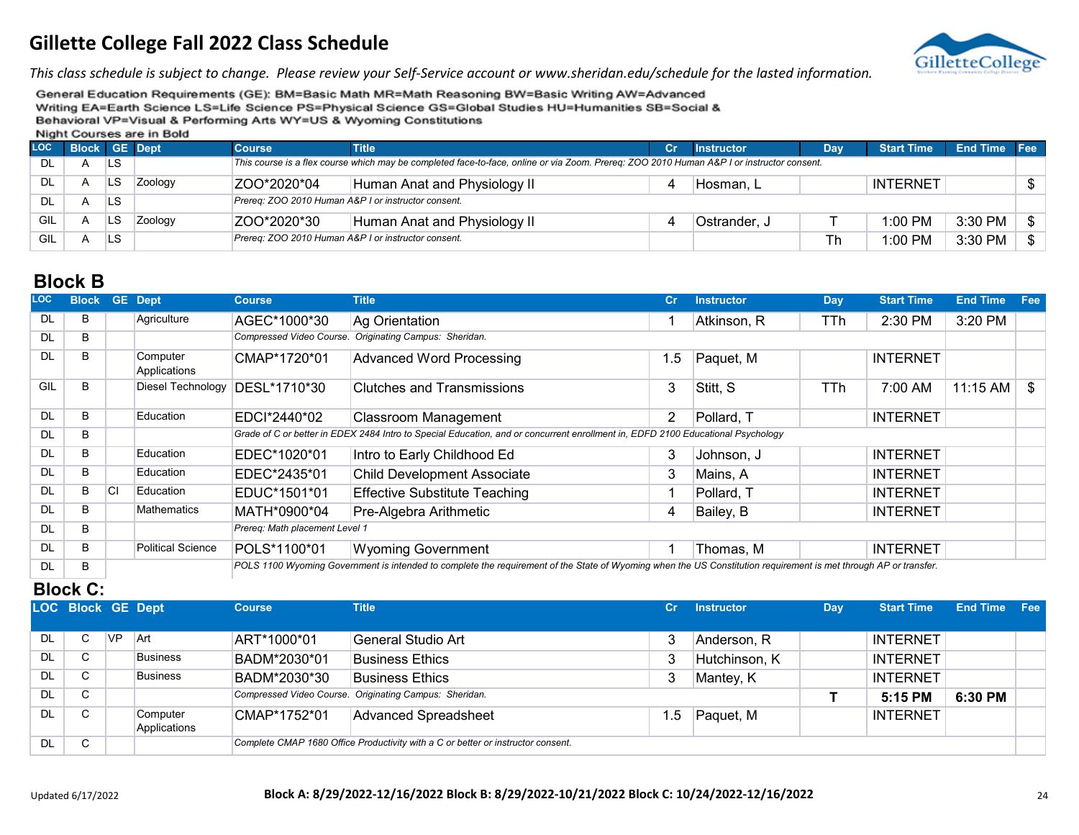

*This class schedule is subject to change. Please review your Self-Service account or www.sheridan.edu/schedule for the lasted information.*

General Education Requirements (GE): BM=Basic Math MR=Math Reasoning BW=Basic Writing AW=Advanced Writing EA=Earth Science LS=Life Science PS=Physical Science GS=Global Studies HU=Humanities SB=Social & Behavioral VP=Visual & Performing Arts WY=US & Wyoming Constitutions

Night Courses are in Bold

| <b>LOC</b> | <b>Block GE Dept</b> |    |         | <b>Course</b>                                       | <b>Title</b>                                                                                                                              | cr | <b>Instructor</b> | <b>Dav</b> | <b>Start Time</b> | <b>End Time Fee</b> |               |  |
|------------|----------------------|----|---------|-----------------------------------------------------|-------------------------------------------------------------------------------------------------------------------------------------------|----|-------------------|------------|-------------------|---------------------|---------------|--|
| DL         |                      | LS |         |                                                     | This course is a flex course which may be completed face-to-face, online or via Zoom. Prereg: ZOO 2010 Human A&P I or instructor consent. |    |                   |            |                   |                     |               |  |
| DL         |                      | LS | Zoology | ZOO*2020*04                                         | Human Anat and Physiology II                                                                                                              |    | Hosman. L         |            | <b>INTERNET</b>   |                     | $\mathbb{S}$  |  |
| DL         |                      | LS |         |                                                     | Prereg: ZOO 2010 Human A&P I or instructor consent.                                                                                       |    |                   |            |                   |                     |               |  |
| GIL        |                      | LS | Zoology | ZOO*2020*30                                         | Human Anat and Physiology II                                                                                                              |    | Ostrander, J      |            | 1:00 PM           | 3:30 PM             | $\frac{1}{2}$ |  |
| GIL        |                      | LS |         | Prereg: ZOO 2010 Human A&P I or instructor consent. |                                                                                                                                           |    |                   |            | $1:00$ PM         | 3:30 PM             | $\frac{1}{2}$ |  |

#### **Block B**

| <b>LOC</b> | <b>Block</b> |           | <b>GE</b> Dept           | <b>Course</b>                  | <b>Title</b>                                                                                                                                                     | cr             | <b>Instructor</b> | Day | <b>Start Time</b> | <b>End Time</b> | Fee |  |  |  |
|------------|--------------|-----------|--------------------------|--------------------------------|------------------------------------------------------------------------------------------------------------------------------------------------------------------|----------------|-------------------|-----|-------------------|-----------------|-----|--|--|--|
| <b>DL</b>  | В            |           | Agriculture              | AGEC*1000*30                   | Ag Orientation                                                                                                                                                   |                | Atkinson, R       | TTh | 2:30 PM           | 3:20 PM         |     |  |  |  |
| <b>DL</b>  | B            |           |                          | Compressed Video Course.       | Originating Campus: Sheridan.                                                                                                                                    |                |                   |     |                   |                 |     |  |  |  |
| <b>DL</b>  | B            |           | Computer<br>Applications | CMAP*1720*01                   | <b>Advanced Word Processing</b>                                                                                                                                  | 1.5            | Paquet, M         |     | <b>INTERNET</b>   |                 |     |  |  |  |
| GIL        | B.           |           | Diesel Technology        | DESL*1710*30                   | <b>Clutches and Transmissions</b>                                                                                                                                | 3              | Stitt, S          | TTh | 7:00 AM           | 11:15 AM        | \$  |  |  |  |
| <b>DL</b>  | B.           |           | Education                | EDCI*2440*02                   | <b>Classroom Management</b>                                                                                                                                      | $\overline{2}$ | Pollard, T        |     | <b>INTERNET</b>   |                 |     |  |  |  |
| <b>DL</b>  | B            |           |                          |                                | Grade of C or better in EDEX 2484 Intro to Special Education, and or concurrent enrollment in, EDFD 2100 Educational Psychology                                  |                |                   |     |                   |                 |     |  |  |  |
| <b>DL</b>  | B            |           | Education                | EDEC*1020*01                   | Intro to Early Childhood Ed                                                                                                                                      | 3              | Johnson, J        |     | <b>INTERNET</b>   |                 |     |  |  |  |
| <b>DL</b>  | B            |           | Education                | EDEC*2435*01                   | <b>Child Development Associate</b>                                                                                                                               | 3              | Mains, A          |     | <b>INTERNET</b>   |                 |     |  |  |  |
| <b>DL</b>  | B            | <b>CI</b> | Education                | EDUC*1501*01                   | <b>Effective Substitute Teaching</b>                                                                                                                             |                | Pollard, T        |     | <b>INTERNET</b>   |                 |     |  |  |  |
| DL.        | B            |           | <b>Mathematics</b>       | MATH*0900*04                   | Pre-Algebra Arithmetic                                                                                                                                           | 4              | Bailey, B         |     | <b>INTERNET</b>   |                 |     |  |  |  |
| <b>DL</b>  | B            |           |                          | Prereg: Math placement Level 1 |                                                                                                                                                                  |                |                   |     |                   |                 |     |  |  |  |
| <b>DL</b>  | B            |           | <b>Political Science</b> | POLS*1100*01                   | <b>Wyoming Government</b>                                                                                                                                        |                | Thomas, M         |     | <b>INTERNET</b>   |                 |     |  |  |  |
| <b>DL</b>  | B            |           |                          |                                | POLS 1100 Wyoming Government is intended to complete the requirement of the State of Wyoming when the US Constitution requirement is met through AP or transfer. |                |                   |     |                   |                 |     |  |  |  |

#### **Block C:**

|           | <b>LOC Block GE Dept</b> |           |                          | <b>Course</b> | <b>Title</b>                                                                     | Cr  | <b>Instructor</b> | Day | <b>Start Time</b> | <b>End Time Fee</b> |  |
|-----------|--------------------------|-----------|--------------------------|---------------|----------------------------------------------------------------------------------|-----|-------------------|-----|-------------------|---------------------|--|
|           |                          |           |                          |               |                                                                                  |     |                   |     |                   |                     |  |
| <b>DL</b> | $\mathbf{C}$             | <b>VP</b> | <b>Art</b>               | ART*1000*01   | General Studio Art                                                               | 3   | Anderson, R       |     | <b>INTERNET</b>   |                     |  |
| DL        | C                        |           | <b>Business</b>          | BADM*2030*01  | <b>Business Ethics</b>                                                           | 3   | Hutchinson, K     |     | <b>INTERNET</b>   |                     |  |
| DL        | C                        |           | <b>Business</b>          | BADM*2030*30  | <b>Business Ethics</b>                                                           | 3   | Mantey, K         |     | <b>INTERNET</b>   |                     |  |
| <b>DL</b> | C                        |           |                          |               | Compressed Video Course. Originating Campus: Sheridan.                           |     |                   |     | 5:15 PM           | 6:30 PM             |  |
| DL        | C                        |           | Computer<br>Applications | CMAP*1752*01  | <b>Advanced Spreadsheet</b>                                                      | 1.5 | Paquet, M         |     | <b>INTERNET</b>   |                     |  |
| <b>DL</b> | C                        |           |                          |               | Complete CMAP 1680 Office Productivity with a C or better or instructor consent. |     |                   |     |                   |                     |  |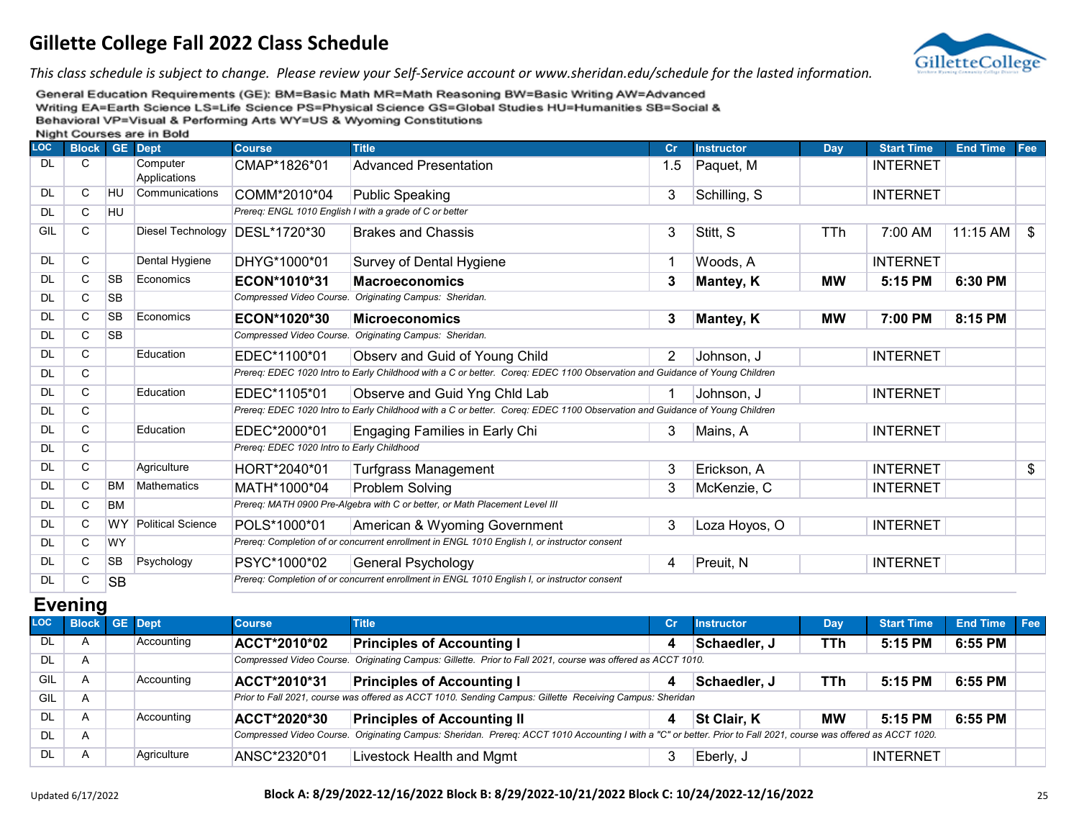

*This class schedule is subject to change. Please review your Self-Service account or www.sheridan.edu/schedule for the lasted information.*

General Education Requirements (GE): BM=Basic Math MR=Math Reasoning BW=Basic Writing AW=Advanced Writing EA=Earth Science LS=Life Science PS=Physical Science GS=Global Studies HU=Humanities SB=Social & Behavioral VP=Visual & Performing Arts WY=US & Wyoming Constitutions Night Courses are in Bold

|            |              |           | <b>INIGHT COULSES ALC III DOIU</b> |                                            |                                                                                                                            |     |                   |           |                   |                 |     |
|------------|--------------|-----------|------------------------------------|--------------------------------------------|----------------------------------------------------------------------------------------------------------------------------|-----|-------------------|-----------|-------------------|-----------------|-----|
| <b>LOC</b> | <b>Block</b> |           | <b>GE</b> Dept                     | <b>Course</b>                              | <b>Title</b>                                                                                                               | cr  | <b>Instructor</b> | Day       | <b>Start Time</b> | <b>End Time</b> | Fee |
| DL         | C            |           | Computer<br>Applications           | CMAP*1826*01                               | <b>Advanced Presentation</b>                                                                                               | 1.5 | Paquet, M         |           | <b>INTERNET</b>   |                 |     |
| DL.        | C            | <b>HU</b> | Communications                     | COMM*2010*04                               | Public Speaking                                                                                                            | 3   | Schilling, S      |           | <b>INTERNET</b>   |                 |     |
| <b>DL</b>  | C            | <b>HU</b> |                                    |                                            | Prereq: ENGL 1010 English I with a grade of C or better                                                                    |     |                   |           |                   |                 |     |
| GIL        | C            |           | Diesel Technology                  | DESL*1720*30                               | <b>Brakes and Chassis</b>                                                                                                  | 3   | Stitt, S          | TTh       | 7:00 AM           | $11:15$ AM      | \$  |
| DL.        | C            |           | Dental Hygiene                     | DHYG*1000*01                               | Survey of Dental Hygiene                                                                                                   | 1   | Woods, A          |           | <b>INTERNET</b>   |                 |     |
| <b>DL</b>  | C            | <b>SB</b> | Economics                          | ECON*1010*31                               | <b>Macroeconomics</b>                                                                                                      | 3   | Mantey, K         | <b>MW</b> | 5:15 PM           | 6:30 PM         |     |
| <b>DL</b>  | C            | <b>SB</b> |                                    |                                            | Compressed Video Course. Originating Campus: Sheridan.                                                                     |     |                   |           |                   |                 |     |
| <b>DL</b>  | C            | <b>SB</b> | Economics                          | ECON*1020*30                               | <b>Microeconomics</b>                                                                                                      | 3   | Mantey, K         | <b>MW</b> | 7:00 PM           | 8:15 PM         |     |
| <b>DL</b>  | C            | <b>SB</b> |                                    |                                            | Compressed Video Course. Originating Campus: Sheridan.                                                                     |     |                   |           |                   |                 |     |
| <b>DL</b>  | C            |           | Education                          | EDEC*1100*01                               | Observ and Guid of Young Child                                                                                             | 2   | Johnson, J        |           | <b>INTERNET</b>   |                 |     |
| <b>DL</b>  | C            |           |                                    |                                            | Prereq: EDEC 1020 Intro to Early Childhood with a C or better. Coreq: EDEC 1100 Observation and Guidance of Young Children |     |                   |           |                   |                 |     |
| <b>DL</b>  | C            |           | Education                          | EDEC*1105*01                               | Observe and Guid Yng Chld Lab                                                                                              |     | Johnson, J        |           | <b>INTERNET</b>   |                 |     |
| <b>DL</b>  | C            |           |                                    |                                            | Prereq: EDEC 1020 Intro to Early Childhood with a C or better. Coreq: EDEC 1100 Observation and Guidance of Young Children |     |                   |           |                   |                 |     |
| <b>DL</b>  | C            |           | Education                          | EDEC*2000*01                               | Engaging Families in Early Chi                                                                                             | 3   | Mains, A          |           | <b>INTERNET</b>   |                 |     |
| <b>DL</b>  | C            |           |                                    | Prereq: EDEC 1020 Intro to Early Childhood |                                                                                                                            |     |                   |           |                   |                 |     |
| <b>DL</b>  | C            |           | Agriculture                        | HORT*2040*01                               | <b>Turfgrass Management</b>                                                                                                | 3   | Erickson, A       |           | <b>INTERNET</b>   |                 | \$  |
| <b>DL</b>  | C            | <b>BM</b> | Mathematics                        | MATH*1000*04                               | Problem Solving                                                                                                            | 3   | McKenzie, C       |           | <b>INTERNET</b>   |                 |     |
| <b>DL</b>  | C            | <b>BM</b> |                                    |                                            | Prereq: MATH 0900 Pre-Algebra with C or better, or Math Placement Level III                                                |     |                   |           |                   |                 |     |
| <b>DL</b>  | C            | <b>WY</b> | Political Science                  | POLS*1000*01                               | American & Wyoming Government                                                                                              | 3   | Loza Hoyos, O     |           | <b>INTERNET</b>   |                 |     |
| <b>DL</b>  | C            | <b>WY</b> |                                    |                                            | Prereq: Completion of or concurrent enrollment in ENGL 1010 English I, or instructor consent                               |     |                   |           |                   |                 |     |
| <b>DL</b>  | C            | <b>SB</b> | Psychology                         | PSYC*1000*02                               | General Psychology                                                                                                         | 4   | Preuit, N         |           | <b>INTERNET</b>   |                 |     |
| DL         | C            | <b>SB</b> |                                    |                                            | Prereq: Completion of or concurrent enrollment in ENGL 1010 English I, or instructor consent                               |     |                   |           |                   |                 |     |

#### **Evening**

| <b>LOC</b> | <b>Block</b>            | <b>GE</b> Dept | <b>Course</b>                                                                                                                                                       | <b>Title</b>                                                                                             | cr | <b>Instructor</b>  | <b>Day</b> | <b>Start Time</b> | End Time Fee |  |  |  |
|------------|-------------------------|----------------|---------------------------------------------------------------------------------------------------------------------------------------------------------------------|----------------------------------------------------------------------------------------------------------|----|--------------------|------------|-------------------|--------------|--|--|--|
| DL         | $\mathsf{A}$            | Accounting     | <b>ACCT*2010*02</b>                                                                                                                                                 | <b>Principles of Accounting I</b>                                                                        |    | Schaedler, J       | TTh        | 5:15 PM           | 6:55 PM      |  |  |  |
| DL         | $\overline{\mathsf{A}}$ |                | Compressed Video Course. Originating Campus: Gillette. Prior to Fall 2021, course was offered as ACCT 1010.                                                         |                                                                                                          |    |                    |            |                   |              |  |  |  |
| GIL        | A                       | Accounting     | ACCT*2010*31                                                                                                                                                        | <b>Principles of Accounting I</b>                                                                        |    | Schaedler, J       | TTh        | 5:15 PM           | 6:55 PM      |  |  |  |
| GIL        |                         |                |                                                                                                                                                                     | Prior to Fall 2021, course was offered as ACCT 1010. Sending Campus: Gillette Receiving Campus: Sheridan |    |                    |            |                   |              |  |  |  |
| DL         |                         | Accounting     | <b>ACCT*2020*30</b>                                                                                                                                                 | <b>Principles of Accounting II</b>                                                                       |    | <b>St Clair, K</b> | МW         | 5:15 PM           | 6:55 PM      |  |  |  |
| DL         |                         |                | Originating Campus: Sheridan. Prereq: ACCT 1010 Accounting I with a "C" or better. Prior to Fall 2021, course was offered as ACCT 1020.<br>Compressed Video Course. |                                                                                                          |    |                    |            |                   |              |  |  |  |
| DL         | A                       | Agriculture    | ANSC*2320*01                                                                                                                                                        | Livestock Health and Mgmt                                                                                |    | Eberly, J          |            | <b>INTERNET</b>   |              |  |  |  |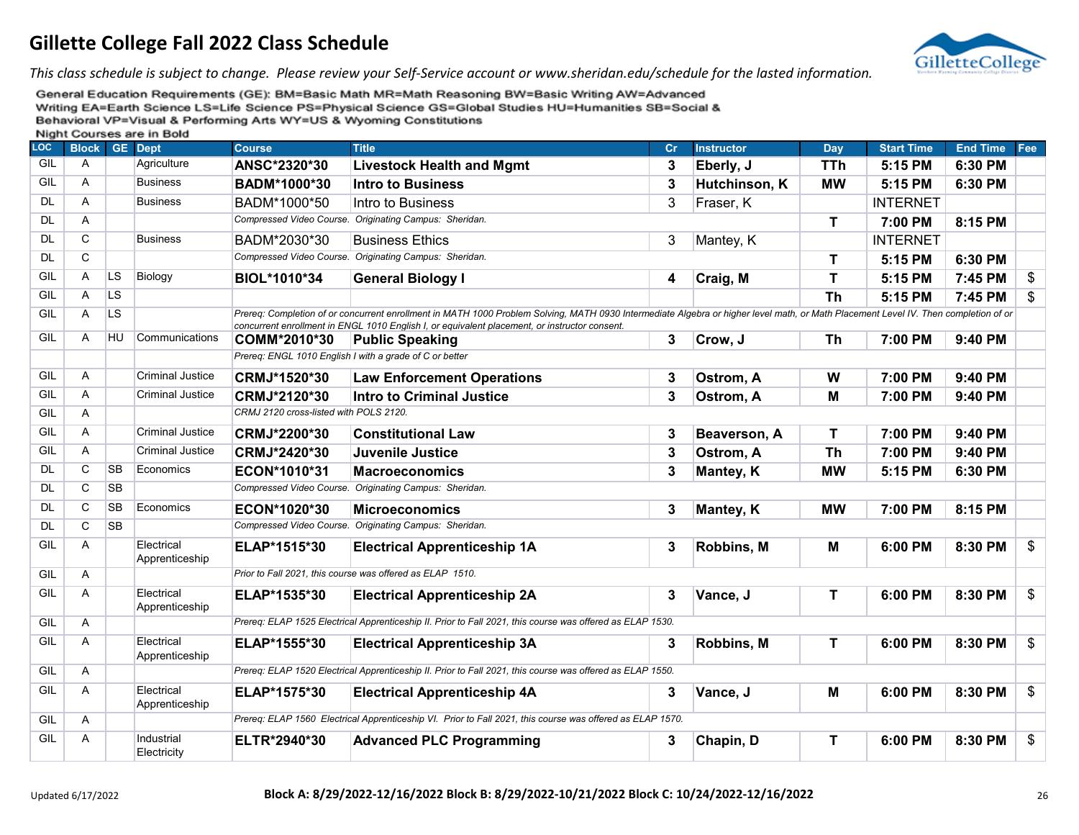

*This class schedule is subject to change. Please review your Self-Service account or www.sheridan.edu/schedule for the lasted information.*

|            |              |                | <b>INIGHT OCCIDED AIC III DOIG</b> |                                        |                                                                                                                                                                                     |    |                   |             |                   |                 |                |  |  |  |
|------------|--------------|----------------|------------------------------------|----------------------------------------|-------------------------------------------------------------------------------------------------------------------------------------------------------------------------------------|----|-------------------|-------------|-------------------|-----------------|----------------|--|--|--|
| <b>LOC</b> | <b>Block</b> |                | <b>GE</b> Dept                     | <b>Course</b>                          | <b>Title</b>                                                                                                                                                                        | Cr | <b>Instructor</b> | Day         | <b>Start Time</b> | <b>End Time</b> | Fee            |  |  |  |
| GIL        | A            |                | Agriculture                        | ANSC*2320*30                           | <b>Livestock Health and Mgmt</b>                                                                                                                                                    | 3  | Eberly, J         | <b>TTh</b>  | 5:15 PM           | 6:30 PM         |                |  |  |  |
| GIL        | Α            |                | <b>Business</b>                    | BADM*1000*30                           | <b>Intro to Business</b>                                                                                                                                                            | 3  | Hutchinson, K     | <b>MW</b>   | 5:15 PM           | 6:30 PM         |                |  |  |  |
| DL         | A            |                | <b>Business</b>                    | BADM*1000*50                           | Intro to Business                                                                                                                                                                   | 3  | Fraser, K         |             | <b>INTERNET</b>   |                 |                |  |  |  |
| <b>DL</b>  | Α            |                |                                    |                                        | Compressed Video Course. Originating Campus: Sheridan.                                                                                                                              |    |                   | $\mathbf T$ | 7:00 PM           | 8:15 PM         |                |  |  |  |
| <b>DL</b>  | C            |                | <b>Business</b>                    | BADM*2030*30                           | <b>Business Ethics</b>                                                                                                                                                              | 3  | Mantey, K         |             | <b>INTERNET</b>   |                 |                |  |  |  |
| <b>DL</b>  | $\mathsf{C}$ |                |                                    |                                        | Compressed Video Course. Originating Campus: Sheridan.                                                                                                                              |    |                   | T           | 5:15 PM           | 6:30 PM         |                |  |  |  |
| GIL        | Α            | LS             | Biology                            | BIOL*1010*34                           | <b>General Biology I</b>                                                                                                                                                            | 4  | Craig, M          | T           | 5:15 PM           | 7:45 PM         | \$             |  |  |  |
| GIL        | A            | L <sub>S</sub> |                                    |                                        |                                                                                                                                                                                     |    |                   | <b>Th</b>   | 5:15 PM           | 7:45 PM         | \$             |  |  |  |
| GIL        | Α            | <b>LS</b>      |                                    |                                        | Prereq: Completion of or concurrent enrollment in MATH 1000 Problem Solving, MATH 0930 Intermediate Algebra or higher level math, or Math Placement Level IV. Then completion of or |    |                   |             |                   |                 |                |  |  |  |
|            |              |                |                                    |                                        | concurrent enrollment in ENGL 1010 English I, or equivalent placement, or instructor consent.                                                                                       |    |                   |             |                   |                 |                |  |  |  |
| GIL        | A            | HU             | Communications                     | COMM*2010*30                           | <b>Public Speaking</b>                                                                                                                                                              | 3  | Crow, J           | Th          | 7:00 PM           | 9:40 PM         |                |  |  |  |
|            |              |                |                                    |                                        | Prereq: ENGL 1010 English I with a grade of C or better                                                                                                                             |    |                   |             |                   |                 |                |  |  |  |
| GIL        | Α            |                | <b>Criminal Justice</b>            | CRMJ*1520*30                           | <b>Law Enforcement Operations</b>                                                                                                                                                   | 3  | Ostrom, A         | W           | 7:00 PM           | 9:40 PM         |                |  |  |  |
| GIL        | A            |                | <b>Criminal Justice</b>            | CRMJ*2120*30                           | <b>Intro to Criminal Justice</b>                                                                                                                                                    | 3  | Ostrom, A         | M           | 7:00 PM           | 9:40 PM         |                |  |  |  |
| GIL        | Α            |                |                                    | CRMJ 2120 cross-listed with POLS 2120. |                                                                                                                                                                                     |    |                   |             |                   |                 |                |  |  |  |
| GIL        | Α            |                | <b>Criminal Justice</b>            | CRMJ*2200*30                           | <b>Constitutional Law</b>                                                                                                                                                           | 3  | Beaverson, A      | T           | 7:00 PM           | 9:40 PM         |                |  |  |  |
| GIL        | A            |                | <b>Criminal Justice</b>            | CRMJ*2420*30                           | Juvenile Justice                                                                                                                                                                    | 3  | Ostrom, A         | <b>Th</b>   | 7:00 PM           | 9:40 PM         |                |  |  |  |
| <b>DL</b>  | C            | <b>SB</b>      | Economics                          | ECON*1010*31                           | <b>Macroeconomics</b>                                                                                                                                                               | 3  | Mantey, K         | <b>MW</b>   | 5:15 PM           | 6:30 PM         |                |  |  |  |
| DL         | C            | <b>SB</b>      |                                    |                                        | Compressed Video Course. Originating Campus: Sheridan.                                                                                                                              |    |                   |             |                   |                 |                |  |  |  |
| DL         | C            | <b>SB</b>      | Economics                          | ECON*1020*30                           | <b>Microeconomics</b>                                                                                                                                                               | 3  | Mantey, K         | <b>MW</b>   | 7:00 PM           | 8:15 PM         |                |  |  |  |
| <b>DL</b>  | C            | <b>SB</b>      |                                    |                                        | Compressed Video Course. Originating Campus: Sheridan.                                                                                                                              |    |                   |             |                   |                 |                |  |  |  |
| GIL        | A            |                | Electrical<br>Apprenticeship       | ELAP*1515*30                           | <b>Electrical Apprenticeship 1A</b>                                                                                                                                                 | 3  | Robbins, M        | Μ           | 6:00 PM           | 8:30 PM         | \$             |  |  |  |
| GIL        | Α            |                |                                    |                                        | Prior to Fall 2021, this course was offered as ELAP 1510.                                                                                                                           |    |                   |             |                   |                 |                |  |  |  |
| GIL        | Α            |                | Electrical<br>Apprenticeship       | ELAP*1535*30                           | <b>Electrical Apprenticeship 2A</b>                                                                                                                                                 | 3  | Vance, J          | T           | 6:00 PM           | 8:30 PM         | \$             |  |  |  |
| GIL        | Α            |                |                                    |                                        | Prereq: ELAP 1525 Electrical Apprenticeship II. Prior to Fall 2021, this course was offered as ELAP 1530.                                                                           |    |                   |             |                   |                 |                |  |  |  |
| GIL        | Α            |                | Electrical<br>Apprenticeship       | ELAP*1555*30                           | <b>Electrical Apprenticeship 3A</b>                                                                                                                                                 | 3  | Robbins, M        | T           | 6:00 PM           | 8:30 PM         | $\mathfrak{S}$ |  |  |  |
| GIL        | Α            |                |                                    |                                        | Prereq: ELAP 1520 Electrical Apprenticeship II. Prior to Fall 2021, this course was offered as ELAP 1550.                                                                           |    |                   |             |                   |                 |                |  |  |  |
| GIL        | Α            |                | Electrical<br>Apprenticeship       | ELAP*1575*30                           | <b>Electrical Apprenticeship 4A</b>                                                                                                                                                 | 3  | Vance, J          | M           | 6:00 PM           | 8:30 PM         | \$             |  |  |  |
| GIL        | A            |                |                                    |                                        | Prereq: ELAP 1560 Electrical Apprenticeship VI. Prior to Fall 2021, this course was offered as ELAP 1570.                                                                           |    |                   |             |                   |                 |                |  |  |  |
| GIL        | Α            |                | Industrial<br>Electricity          | ELTR*2940*30                           | <b>Advanced PLC Programming</b>                                                                                                                                                     | 3  | Chapin, D         | $\mathbf T$ | 6:00 PM           | 8:30 PM         | \$             |  |  |  |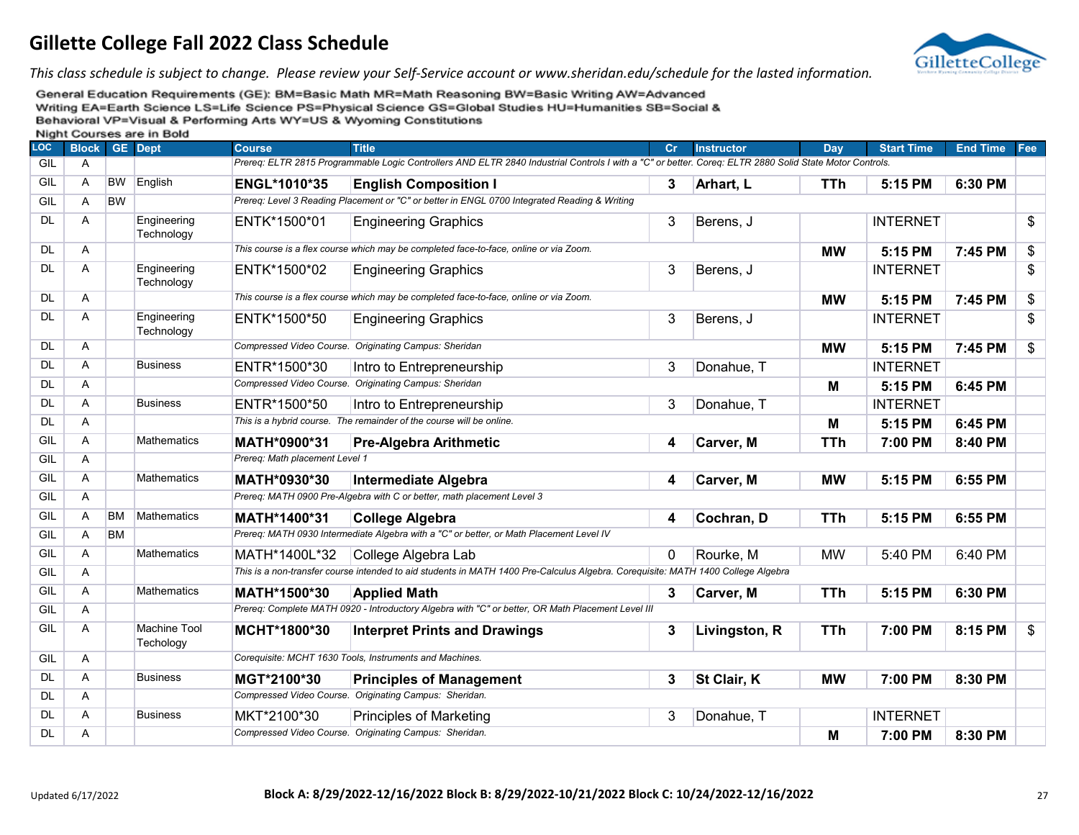

*This class schedule is subject to change. Please review your Self-Service account or www.sheridan.edu/schedule for the lasted information.*

| <b>LOC</b> | <b>Block GE Dept</b> |           | <b>THISHIII</b> OCCIDED ON CHILDONG | <b>Course</b>                                                                                | <b>Title</b>                                                                                                                                            | Cr | <b>Instructor</b> | Dav        | <b>Start Time</b> | <b>End Time</b> | Fee |
|------------|----------------------|-----------|-------------------------------------|----------------------------------------------------------------------------------------------|---------------------------------------------------------------------------------------------------------------------------------------------------------|----|-------------------|------------|-------------------|-----------------|-----|
| GIL        | A                    |           |                                     |                                                                                              | Prereg: ELTR 2815 Programmable Logic Controllers AND ELTR 2840 Industrial Controls I with a "C" or better. Coreg: ELTR 2880 Solid State Motor Controls. |    |                   |            |                   |                 |     |
| GIL        | A                    | <b>BW</b> | English                             | ENGL*1010*35                                                                                 | <b>English Composition I</b>                                                                                                                            | 3  | Arhart, L         | <b>TTh</b> | 5:15 PM           | 6:30 PM         |     |
| GIL        | A                    | <b>BW</b> |                                     | Prereq: Level 3 Reading Placement or "C" or better in ENGL 0700 Integrated Reading & Writing |                                                                                                                                                         |    |                   |            |                   |                 |     |
| <b>DL</b>  | Α                    |           | Engineering<br>Technology           | ENTK*1500*01                                                                                 | <b>Engineering Graphics</b>                                                                                                                             | 3  | Berens, J         |            | <b>INTERNET</b>   |                 | \$  |
| <b>DL</b>  | Α                    |           |                                     |                                                                                              | This course is a flex course which may be completed face-to-face, online or via Zoom.                                                                   |    |                   | <b>MW</b>  | 5:15 PM           | 7:45 PM         | \$  |
| <b>DL</b>  | Α                    |           | Engineering<br>Technology           | ENTK*1500*02                                                                                 | <b>Engineering Graphics</b>                                                                                                                             | 3  | Berens, J         |            | <b>INTERNET</b>   |                 | \$  |
| <b>DL</b>  | A                    |           |                                     |                                                                                              | This course is a flex course which may be completed face-to-face, online or via Zoom.                                                                   |    |                   | <b>MW</b>  | 5:15 PM           | 7:45 PM         | \$  |
| <b>DL</b>  | Α                    |           | Engineering<br>Technology           | ENTK*1500*50                                                                                 | <b>Engineering Graphics</b>                                                                                                                             | 3  | Berens, J         |            | <b>INTERNET</b>   |                 | \$  |
| <b>DL</b>  | A                    |           |                                     |                                                                                              | Compressed Video Course. Originating Campus: Sheridan                                                                                                   |    |                   | <b>MW</b>  | 5:15 PM           | 7:45 PM         | \$  |
| <b>DL</b>  | Α                    |           | <b>Business</b>                     | ENTR*1500*30                                                                                 | Intro to Entrepreneurship                                                                                                                               | 3  | Donahue, T        |            | <b>INTERNET</b>   |                 |     |
| <b>DL</b>  | A                    |           |                                     |                                                                                              | Compressed Video Course. Originating Campus: Sheridan                                                                                                   |    |                   | M          | 5:15 PM           | 6:45 PM         |     |
| <b>DL</b>  | Α                    |           | Business                            | ENTR*1500*50                                                                                 | Intro to Entrepreneurship                                                                                                                               | 3  | Donahue, T        |            | <b>INTERNET</b>   |                 |     |
| <b>DL</b>  | Α                    |           |                                     |                                                                                              | This is a hybrid course. The remainder of the course will be online.                                                                                    |    |                   | Μ          | 5:15 PM           | 6:45 PM         |     |
| GIL        | $\mathsf{A}$         |           | Mathematics                         | MATH*0900*31                                                                                 | <b>Pre-Algebra Arithmetic</b>                                                                                                                           | 4  | Carver, M         | <b>TTh</b> | 7:00 PM           | 8:40 PM         |     |
| GIL        | A                    |           |                                     | Prereg: Math placement Level 1                                                               |                                                                                                                                                         |    |                   |            |                   |                 |     |
| GIL        | $\overline{A}$       |           | <b>Mathematics</b>                  | MATH*0930*30                                                                                 | <b>Intermediate Algebra</b>                                                                                                                             | 4  | Carver, M         | <b>MW</b>  | 5:15 PM           | 6:55 PM         |     |
| GIL        | A                    |           |                                     |                                                                                              | Prereq: MATH 0900 Pre-Algebra with C or better, math placement Level 3                                                                                  |    |                   |            |                   |                 |     |
| GIL        | A                    | <b>BM</b> | <b>Mathematics</b>                  | MATH*1400*31                                                                                 | <b>College Algebra</b>                                                                                                                                  | 4  | Cochran, D        | <b>TTh</b> | 5:15 PM           | 6:55 PM         |     |
| GIL        | $\overline{A}$       | <b>BM</b> |                                     |                                                                                              | Prereq: MATH 0930 Intermediate Algebra with a "C" or better, or Math Placement Level IV                                                                 |    |                   |            |                   |                 |     |
| GIL        | A                    |           | Mathematics                         | MATH*1400L*32                                                                                | College Algebra Lab                                                                                                                                     | 0  | Rourke, M         | <b>MW</b>  | 5:40 PM           | 6:40 PM         |     |
| GIL        | A                    |           |                                     |                                                                                              | This is a non-transfer course intended to aid students in MATH 1400 Pre-Calculus Algebra. Corequisite: MATH 1400 College Algebra                        |    |                   |            |                   |                 |     |
| GIL        | $\mathsf{A}$         |           | <b>Mathematics</b>                  | MATH*1500*30                                                                                 | <b>Applied Math</b>                                                                                                                                     | 3  | Carver, M         | <b>TTh</b> | 5:15 PM           | 6:30 PM         |     |
| GIL        | A                    |           |                                     |                                                                                              | Prereq: Complete MATH 0920 - Introductory Algebra with "C" or better, OR Math Placement Level III                                                       |    |                   |            |                   |                 |     |
| GIL        | A                    |           | <b>Machine Tool</b><br>Techology    | MCHT*1800*30                                                                                 | <b>Interpret Prints and Drawings</b>                                                                                                                    | 3  | Livingston, R     | <b>TTh</b> | 7:00 PM           | 8:15 PM         | \$  |
| GIL        | $\overline{A}$       |           |                                     |                                                                                              | Corequisite: MCHT 1630 Tools, Instruments and Machines.                                                                                                 |    |                   |            |                   |                 |     |
| <b>DL</b>  | A                    |           | Business                            | MGT*2100*30                                                                                  | <b>Principles of Management</b>                                                                                                                         | 3  | St Clair, K       | <b>MW</b>  | 7:00 PM           | 8:30 PM         |     |
| <b>DL</b>  | A                    |           |                                     |                                                                                              | Compressed Video Course. Originating Campus: Sheridan.                                                                                                  |    |                   |            |                   |                 |     |
| DL.        | A                    |           | <b>Business</b>                     | MKT*2100*30                                                                                  | <b>Principles of Marketing</b>                                                                                                                          | 3  | Donahue, T        |            | <b>INTERNET</b>   |                 |     |
| DL         | Α                    |           |                                     |                                                                                              | Compressed Video Course. Originating Campus: Sheridan.                                                                                                  |    |                   | Μ          | 7:00 PM           | 8:30 PM         |     |